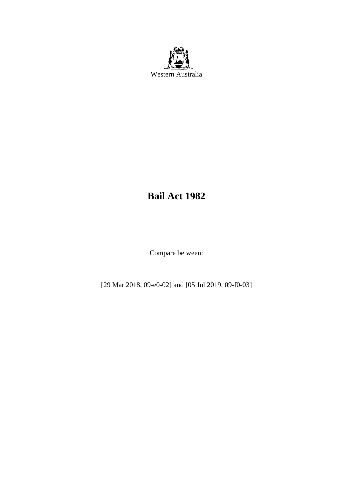

# **Bail Act 1982**

Compare between:

[29 Mar 2018, 09-e0-02] and [05 Jul 2019, 09-f0-03]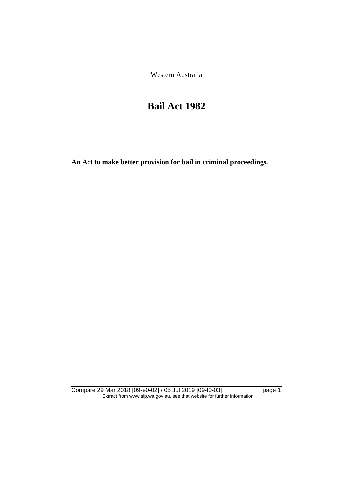Western Australia

# **Bail Act 1982**

**An Act to make better provision for bail in criminal proceedings.** 

Compare 29 Mar 2018 [09-e0-02] / 05 Jul 2019 [09-f0-03] page 1 Extract from www.slp.wa.gov.au, see that website for further information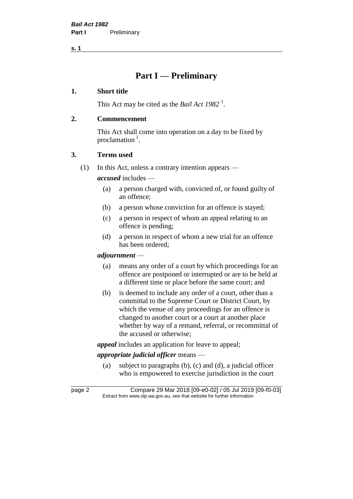## **Part I — Preliminary**

## **1. Short title**

This Act may be cited as the *Bail Act* 1982<sup>1</sup>.

## **2. Commencement**

This Act shall come into operation on a day to be fixed by proclamation<sup>1</sup>.

## **3. Terms used**

(1) In this Act, unless a contrary intention appears —

*accused* includes —

- (a) a person charged with, convicted of, or found guilty of an offence;
- (b) a person whose conviction for an offence is stayed;
- (c) a person in respect of whom an appeal relating to an offence is pending;
- (d) a person in respect of whom a new trial for an offence has been ordered;

## *adjournment* —

- (a) means any order of a court by which proceedings for an offence are postponed or interrupted or are to be held at a different time or place before the same court; and
- (b) is deemed to include any order of a court, other than a committal to the Supreme Court or District Court, by which the venue of any proceedings for an offence is changed to another court or a court at another place whether by way of a remand, referral, or recommittal of the accused or otherwise;

*appeal* includes an application for leave to appeal;

## *appropriate judicial officer* means —

(a) subject to paragraphs (b), (c) and (d), a judicial officer who is empowered to exercise jurisdiction in the court

page 2 Compare 29 Mar 2018 [09-e0-02] / 05 Jul 2019 [09-f0-03] Extract from www.slp.wa.gov.au, see that website for further information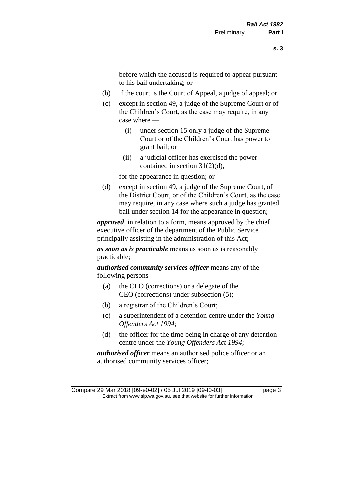before which the accused is required to appear pursuant to his bail undertaking; or

- (b) if the court is the Court of Appeal, a judge of appeal; or
- (c) except in section 49, a judge of the Supreme Court or of the Children's Court, as the case may require, in any case where —
	- (i) under section 15 only a judge of the Supreme Court or of the Children's Court has power to grant bail; or
	- (ii) a judicial officer has exercised the power contained in section 31(2)(d),

for the appearance in question; or

(d) except in section 49, a judge of the Supreme Court, of the District Court, or of the Children's Court, as the case may require, in any case where such a judge has granted bail under section 14 for the appearance in question;

*approved*, in relation to a form, means approved by the chief executive officer of the department of the Public Service principally assisting in the administration of this Act;

*as soon as is practicable* means as soon as is reasonably practicable;

*authorised community services officer* means any of the following persons —

- (a) the CEO (corrections) or a delegate of the CEO (corrections) under subsection (5);
- (b) a registrar of the Children's Court;
- (c) a superintendent of a detention centre under the *Young Offenders Act 1994*;
- (d) the officer for the time being in charge of any detention centre under the *Young Offenders Act 1994*;

*authorised officer* means an authorised police officer or an authorised community services officer;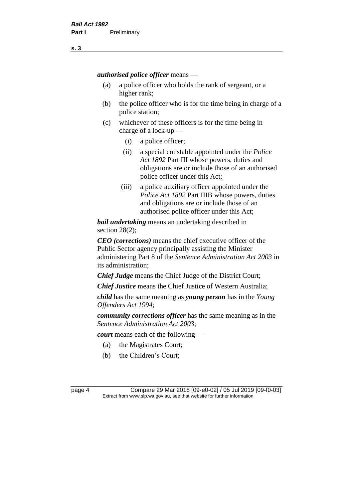*authorised police officer* means —

- (a) a police officer who holds the rank of sergeant, or a higher rank;
- (b) the police officer who is for the time being in charge of a police station;
- (c) whichever of these officers is for the time being in charge of a lock-up —
	- (i) a police officer;
	- (ii) a special constable appointed under the *Police Act 1892* Part III whose powers, duties and obligations are or include those of an authorised police officer under this Act;
	- (iii) a police auxiliary officer appointed under the *Police Act 1892* Part IIIB whose powers, duties and obligations are or include those of an authorised police officer under this Act;

*bail undertaking* means an undertaking described in section 28(2);

*CEO (corrections)* means the chief executive officer of the Public Sector agency principally assisting the Minister administering Part 8 of the *Sentence Administration Act 2003* in its administration;

*Chief Judge* means the Chief Judge of the District Court;

*Chief Justice* means the Chief Justice of Western Australia;

*child* has the same meaning as *young person* has in the *Young Offenders Act 1994*;

*community corrections officer* has the same meaning as in the *Sentence Administration Act 2003*;

*court* means each of the following —

- (a) the Magistrates Court;
- (b) the Children's Court;

page 4 Compare 29 Mar 2018 [09-e0-02] / 05 Jul 2019 [09-f0-03] Extract from www.slp.wa.gov.au, see that website for further information

**s. 3**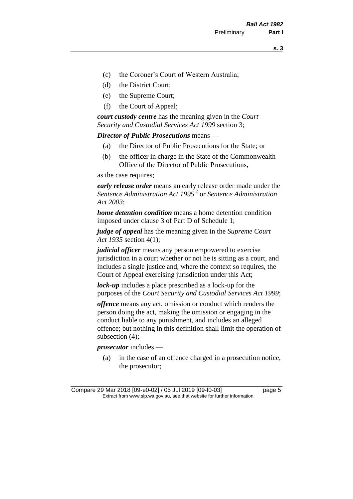- (c) the Coroner's Court of Western Australia;
- (d) the District Court;
- (e) the Supreme Court;
- (f) the Court of Appeal;

*court custody centre* has the meaning given in the *Court Security and Custodial Services Act 1999* section 3;

*Director of Public Prosecutions* means —

- (a) the Director of Public Prosecutions for the State; or
- (b) the officer in charge in the State of the Commonwealth Office of the Director of Public Prosecutions,

as the case requires;

*early release order* means an early release order made under the *Sentence Administration Act 1995* <sup>2</sup> or *Sentence Administration Act 2003*;

*home detention condition* means a home detention condition imposed under clause 3 of Part D of Schedule 1;

*judge of appeal* has the meaning given in the *Supreme Court Act 1935* section 4(1);

*judicial officer* means any person empowered to exercise jurisdiction in a court whether or not he is sitting as a court, and includes a single justice and, where the context so requires, the Court of Appeal exercising jurisdiction under this Act;

*lock-up* includes a place prescribed as a lock-up for the purposes of the *Court Security and Custodial Services Act 1999*;

*offence* means any act, omission or conduct which renders the person doing the act, making the omission or engaging in the conduct liable to any punishment, and includes an alleged offence; but nothing in this definition shall limit the operation of subsection (4);

*prosecutor* includes —

(a) in the case of an offence charged in a prosecution notice, the prosecutor;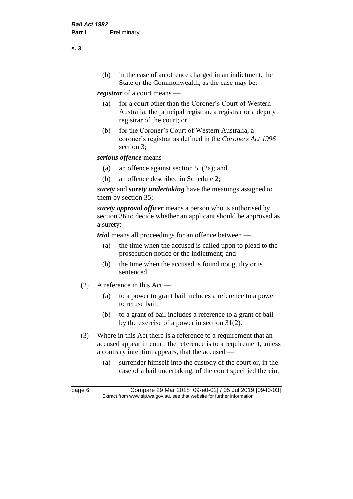(b) in the case of an offence charged in an indictment, the State or the Commonwealth, as the case may be;

*registrar* of a court means —

- (a) for a court other than the Coroner's Court of Western Australia, the principal registrar, a registrar or a deputy registrar of the court; or
- (b) for the Coroner's Court of Western Australia, a coroner's registrar as defined in the *Coroners Act 1996* section 3;

*serious offence* means —

- (a) an offence against section 51(2a); and
- (b) an offence described in Schedule 2;

*surety* and *surety undertaking* have the meanings assigned to them by section 35;

*surety approval officer* means a person who is authorised by section 36 to decide whether an applicant should be approved as a surety;

*trial* means all proceedings for an offence between —

- (a) the time when the accused is called upon to plead to the prosecution notice or the indictment; and
- (b) the time when the accused is found not guilty or is sentenced.
- (2) A reference in this Act
	- (a) to a power to grant bail includes a reference to a power to refuse bail;
	- (b) to a grant of bail includes a reference to a grant of bail by the exercise of a power in section 31(2).
- (3) Where in this Act there is a reference to a requirement that an accused appear in court, the reference is to a requirement, unless a contrary intention appears, that the accused —
	- (a) surrender himself into the custody of the court or, in the case of a bail undertaking, of the court specified therein,

**s. 3**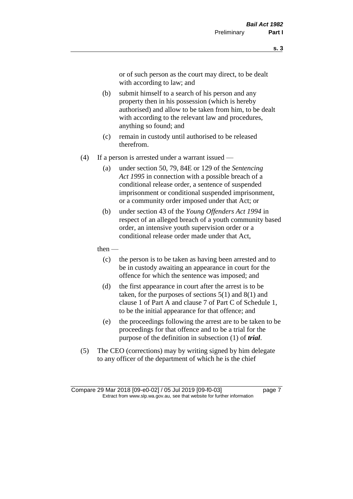or of such person as the court may direct, to be dealt with according to law; and

- (b) submit himself to a search of his person and any property then in his possession (which is hereby authorised) and allow to be taken from him, to be dealt with according to the relevant law and procedures, anything so found; and
- (c) remain in custody until authorised to be released therefrom.
- (4) If a person is arrested under a warrant issued
	- (a) under section 50, 79, 84E or 129 of the *Sentencing Act 1995* in connection with a possible breach of a conditional release order, a sentence of suspended imprisonment or conditional suspended imprisonment, or a community order imposed under that Act; or
	- (b) under section 43 of the *Young Offenders Act 1994* in respect of an alleged breach of a youth community based order, an intensive youth supervision order or a conditional release order made under that Act,
	- then
		- (c) the person is to be taken as having been arrested and to be in custody awaiting an appearance in court for the offence for which the sentence was imposed; and
		- (d) the first appearance in court after the arrest is to be taken, for the purposes of sections  $5(1)$  and  $8(1)$  and clause 1 of Part A and clause 7 of Part C of Schedule 1, to be the initial appearance for that offence; and
		- (e) the proceedings following the arrest are to be taken to be proceedings for that offence and to be a trial for the purpose of the definition in subsection (1) of *trial*.
- (5) The CEO (corrections) may by writing signed by him delegate to any officer of the department of which he is the chief

Compare 29 Mar 2018 [09-e0-02] / 05 Jul 2019 [09-f0-03] page 7 Extract from www.slp.wa.gov.au, see that website for further information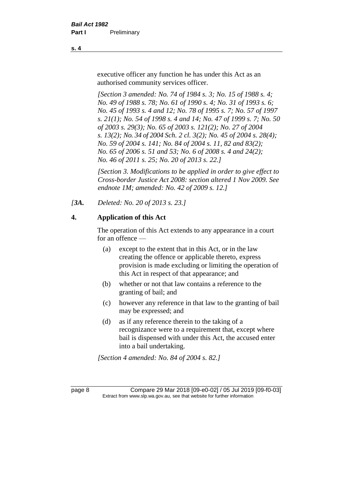executive officer any function he has under this Act as an authorised community services officer.

*[Section 3 amended: No. 74 of 1984 s. 3; No. 15 of 1988 s. 4; No. 49 of 1988 s. 78; No. 61 of 1990 s. 4; No. 31 of 1993 s. 6; No. 45 of 1993 s. 4 and 12; No. 78 of 1995 s. 7; No. 57 of 1997 s. 21(1); No. 54 of 1998 s. 4 and 14; No. 47 of 1999 s. 7; No. 50 of 2003 s. 29(3); No. 65 of 2003 s. 121(2); No. 27 of 2004 s. 13(2); No. 34 of 2004 Sch. 2 cl. 3(2); No. 45 of 2004 s. 28(4); No. 59 of 2004 s. 141; No. 84 of 2004 s. 11, 82 and 83(2); No. 65 of 2006 s. 51 and 53; No. 6 of 2008 s. 4 and 24(2); No. 46 of 2011 s. 25; No. 20 of 2013 s. 22.]* 

*[Section 3. Modifications to be applied in order to give effect to Cross-border Justice Act 2008: section altered 1 Nov 2009. See endnote 1M; amended: No. 42 of 2009 s. 12.]*

*[3A. Deleted: No. 20 of 2013 s. 23.]*

## **4. Application of this Act**

The operation of this Act extends to any appearance in a court for an offence —

- (a) except to the extent that in this Act, or in the law creating the offence or applicable thereto, express provision is made excluding or limiting the operation of this Act in respect of that appearance; and
- (b) whether or not that law contains a reference to the granting of bail; and
- (c) however any reference in that law to the granting of bail may be expressed; and
- (d) as if any reference therein to the taking of a recognizance were to a requirement that, except where bail is dispensed with under this Act, the accused enter into a bail undertaking.

*[Section 4 amended: No. 84 of 2004 s. 82.]*

page 8 Compare 29 Mar 2018 [09-e0-02] / 05 Jul 2019 [09-f0-03] Extract from www.slp.wa.gov.au, see that website for further information

**s. 4**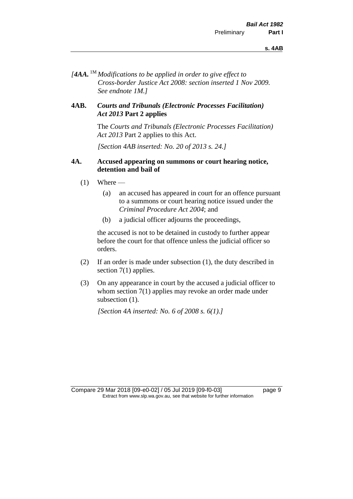*[4AA.* 1M *Modifications to be applied in order to give effect to Cross-border Justice Act 2008: section inserted 1 Nov 2009. See endnote 1M.]*

## **4AB.** *Courts and Tribunals (Electronic Processes Facilitation) Act 2013* **Part 2 applies**

The *Courts and Tribunals (Electronic Processes Facilitation) Act 2013* Part 2 applies to this Act.

*[Section 4AB inserted: No. 20 of 2013 s. 24.]*

## **4A. Accused appearing on summons or court hearing notice, detention and bail of**

- $(1)$  Where
	- (a) an accused has appeared in court for an offence pursuant to a summons or court hearing notice issued under the *Criminal Procedure Act 2004*; and
	- (b) a judicial officer adjourns the proceedings,

the accused is not to be detained in custody to further appear before the court for that offence unless the judicial officer so orders.

- (2) If an order is made under subsection (1), the duty described in section 7(1) applies.
- (3) On any appearance in court by the accused a judicial officer to whom section 7(1) applies may revoke an order made under subsection  $(1)$ .

*[Section 4A inserted: No. 6 of 2008 s. 6(1).]*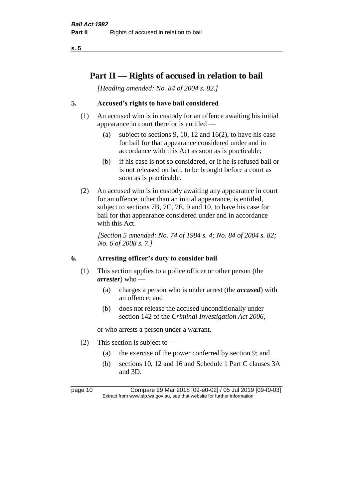# **Part II — Rights of accused in relation to bail**

*[Heading amended: No. 84 of 2004 s. 82.]* 

## **5. Accused's rights to have bail considered**

- (1) An accused who is in custody for an offence awaiting his initial appearance in court therefor is entitled —
	- (a) subject to sections 9, 10, 12 and 16(2), to have his case for bail for that appearance considered under and in accordance with this Act as soon as is practicable;
	- (b) if his case is not so considered, or if he is refused bail or is not released on bail, to be brought before a court as soon as is practicable.
- (2) An accused who is in custody awaiting any appearance in court for an offence, other than an initial appearance, is entitled, subject to sections 7B, 7C, 7E, 9 and 10, to have his case for bail for that appearance considered under and in accordance with this Act.

*[Section 5 amended: No. 74 of 1984 s. 4; No. 84 of 2004 s. 82; No. 6 of 2008 s. 7.]* 

## **6. Arresting officer's duty to consider bail**

- (1) This section applies to a police officer or other person (the *arrester*) who —
	- (a) charges a person who is under arrest (the *accused*) with an offence; and
	- (b) does not release the accused unconditionally under section 142 of the *Criminal Investigation Act 2006*,

or who arrests a person under a warrant.

- (2) This section is subject to  $-$ 
	- (a) the exercise of the power conferred by section 9; and
	- (b) sections 10, 12 and 16 and Schedule 1 Part C clauses 3A and 3D.

page 10 Compare 29 Mar 2018 [09-e0-02] / 05 Jul 2019 [09-f0-03] Extract from www.slp.wa.gov.au, see that website for further information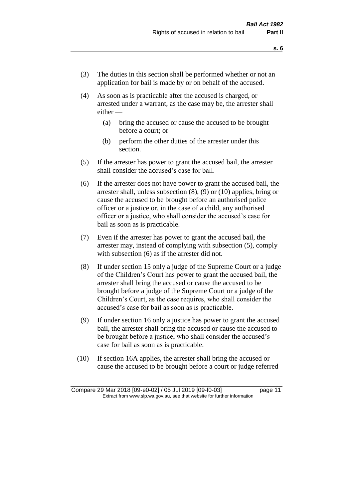- (3) The duties in this section shall be performed whether or not an application for bail is made by or on behalf of the accused.
- (4) As soon as is practicable after the accused is charged, or arrested under a warrant, as the case may be, the arrester shall either —
	- (a) bring the accused or cause the accused to be brought before a court; or
	- (b) perform the other duties of the arrester under this section.
- (5) If the arrester has power to grant the accused bail, the arrester shall consider the accused's case for bail.
- (6) If the arrester does not have power to grant the accused bail, the arrester shall, unless subsection (8), (9) or (10) applies, bring or cause the accused to be brought before an authorised police officer or a justice or, in the case of a child, any authorised officer or a justice, who shall consider the accused's case for bail as soon as is practicable.
- (7) Even if the arrester has power to grant the accused bail, the arrester may, instead of complying with subsection (5), comply with subsection  $(6)$  as if the arrester did not.
- (8) If under section 15 only a judge of the Supreme Court or a judge of the Children's Court has power to grant the accused bail, the arrester shall bring the accused or cause the accused to be brought before a judge of the Supreme Court or a judge of the Children's Court, as the case requires, who shall consider the accused's case for bail as soon as is practicable.
- (9) If under section 16 only a justice has power to grant the accused bail, the arrester shall bring the accused or cause the accused to be brought before a justice, who shall consider the accused's case for bail as soon as is practicable.
- (10) If section 16A applies, the arrester shall bring the accused or cause the accused to be brought before a court or judge referred

Compare 29 Mar 2018 [09-e0-02] / 05 Jul 2019 [09-f0-03] page 11 Extract from www.slp.wa.gov.au, see that website for further information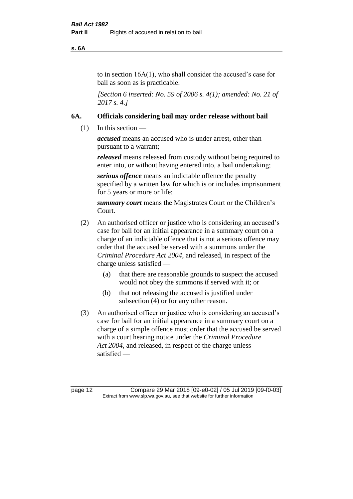#### **s. 6A**

to in section 16A(1), who shall consider the accused's case for bail as soon as is practicable.

*[Section 6 inserted: No. 59 of 2006 s. 4(1); amended: No. 21 of 2017 s. 4.]* 

### **6A. Officials considering bail may order release without bail**

(1) In this section —

*accused* means an accused who is under arrest, other than pursuant to a warrant;

*released* means released from custody without being required to enter into, or without having entered into, a bail undertaking;

*serious offence* means an indictable offence the penalty specified by a written law for which is or includes imprisonment for 5 years or more or life;

*summary court* means the Magistrates Court or the Children's Court.

- (2) An authorised officer or justice who is considering an accused's case for bail for an initial appearance in a summary court on a charge of an indictable offence that is not a serious offence may order that the accused be served with a summons under the *Criminal Procedure Act 2004*, and released, in respect of the charge unless satisfied —
	- (a) that there are reasonable grounds to suspect the accused would not obey the summons if served with it; or
	- (b) that not releasing the accused is justified under subsection (4) or for any other reason.
- (3) An authorised officer or justice who is considering an accused's case for bail for an initial appearance in a summary court on a charge of a simple offence must order that the accused be served with a court hearing notice under the *Criminal Procedure Act 2004*, and released, in respect of the charge unless satisfied —

page 12 Compare 29 Mar 2018 [09-e0-02] / 05 Jul 2019 [09-f0-03] Extract from www.slp.wa.gov.au, see that website for further information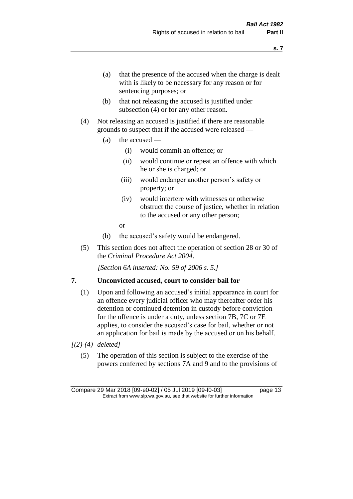- (a) that the presence of the accused when the charge is dealt with is likely to be necessary for any reason or for sentencing purposes; or
- (b) that not releasing the accused is justified under subsection (4) or for any other reason.
- (4) Not releasing an accused is justified if there are reasonable grounds to suspect that if the accused were released —
	- (a) the accused
		- (i) would commit an offence; or
		- (ii) would continue or repeat an offence with which he or she is charged; or
		- (iii) would endanger another person's safety or property; or
		- (iv) would interfere with witnesses or otherwise obstruct the course of justice, whether in relation to the accused or any other person;
		- or
	- (b) the accused's safety would be endangered.
- (5) This section does not affect the operation of section 28 or 30 of the *Criminal Procedure Act 2004*.

*[Section 6A inserted: No. 59 of 2006 s. 5.]* 

## **7. Unconvicted accused, court to consider bail for**

- (1) Upon and following an accused's initial appearance in court for an offence every judicial officer who may thereafter order his detention or continued detention in custody before conviction for the offence is under a duty, unless section 7B, 7C or 7E applies, to consider the accused's case for bail, whether or not an application for bail is made by the accused or on his behalf.
- *[(2)-(4) deleted]*
	- (5) The operation of this section is subject to the exercise of the powers conferred by sections 7A and 9 and to the provisions of

**s. 7**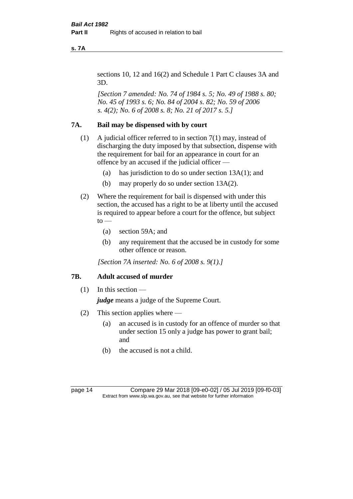**s. 7A**

sections 10, 12 and 16(2) and Schedule 1 Part C clauses 3A and 3D.

*[Section 7 amended: No. 74 of 1984 s. 5; No. 49 of 1988 s. 80; No. 45 of 1993 s. 6; No. 84 of 2004 s. 82; No. 59 of 2006 s. 4(2); No. 6 of 2008 s. 8; No. 21 of 2017 s. 5.]* 

## **7A. Bail may be dispensed with by court**

- (1) A judicial officer referred to in section 7(1) may, instead of discharging the duty imposed by that subsection, dispense with the requirement for bail for an appearance in court for an offence by an accused if the judicial officer —
	- (a) has jurisdiction to do so under section 13A(1); and
	- (b) may properly do so under section 13A(2).
- (2) Where the requirement for bail is dispensed with under this section, the accused has a right to be at liberty until the accused is required to appear before a court for the offence, but subject  $to -$ 
	- (a) section 59A; and
	- (b) any requirement that the accused be in custody for some other offence or reason.

*[Section 7A inserted: No. 6 of 2008 s. 9(1).]*

## **7B. Adult accused of murder**

 $(1)$  In this section —

*judge* means a judge of the Supreme Court.

- (2) This section applies where
	- (a) an accused is in custody for an offence of murder so that under section 15 only a judge has power to grant bail; and
	- (b) the accused is not a child.

page 14 Compare 29 Mar 2018 [09-e0-02] / 05 Jul 2019 [09-f0-03] Extract from www.slp.wa.gov.au, see that website for further information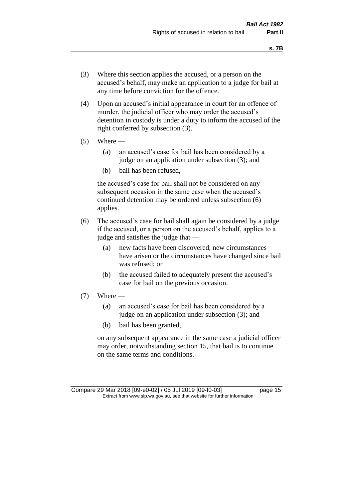- (3) Where this section applies the accused, or a person on the accused's behalf, may make an application to a judge for bail at any time before conviction for the offence.
- (4) Upon an accused's initial appearance in court for an offence of murder, the judicial officer who may order the accused's detention in custody is under a duty to inform the accused of the right conferred by subsection (3).
- $(5)$  Where
	- (a) an accused's case for bail has been considered by a judge on an application under subsection (3); and
	- (b) bail has been refused,

the accused's case for bail shall not be considered on any subsequent occasion in the same case when the accused's continued detention may be ordered unless subsection (6) applies.

- (6) The accused's case for bail shall again be considered by a judge if the accused, or a person on the accused's behalf, applies to a judge and satisfies the judge that —
	- (a) new facts have been discovered, new circumstances have arisen or the circumstances have changed since bail was refused; or
	- (b) the accused failed to adequately present the accused's case for bail on the previous occasion.
- $(7)$  Where
	- (a) an accused's case for bail has been considered by a judge on an application under subsection (3); and
	- (b) bail has been granted,

on any subsequent appearance in the same case a judicial officer may order, notwithstanding section 15, that bail is to continue on the same terms and conditions.

Compare 29 Mar 2018 [09-e0-02] / 05 Jul 2019 [09-f0-03] page 15 Extract from www.slp.wa.gov.au, see that website for further information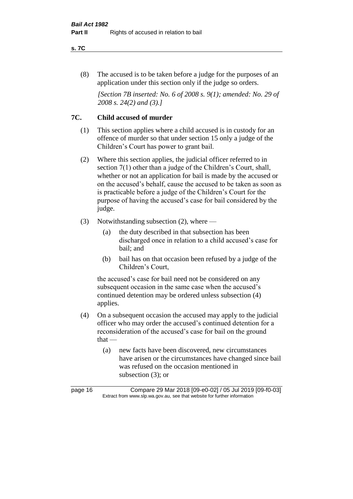#### **s. 7C**

(8) The accused is to be taken before a judge for the purposes of an application under this section only if the judge so orders.

*[Section 7B inserted: No. 6 of 2008 s. 9(1); amended: No. 29 of 2008 s. 24(2) and (3).]*

## **7C. Child accused of murder**

- (1) This section applies where a child accused is in custody for an offence of murder so that under section 15 only a judge of the Children's Court has power to grant bail.
- (2) Where this section applies, the judicial officer referred to in section 7(1) other than a judge of the Children's Court, shall, whether or not an application for bail is made by the accused or on the accused's behalf, cause the accused to be taken as soon as is practicable before a judge of the Children's Court for the purpose of having the accused's case for bail considered by the judge.
- (3) Notwithstanding subsection (2), where
	- (a) the duty described in that subsection has been discharged once in relation to a child accused's case for bail; and
	- (b) bail has on that occasion been refused by a judge of the Children's Court,

the accused's case for bail need not be considered on any subsequent occasion in the same case when the accused's continued detention may be ordered unless subsection (4) applies.

- (4) On a subsequent occasion the accused may apply to the judicial officer who may order the accused's continued detention for a reconsideration of the accused's case for bail on the ground that —
	- (a) new facts have been discovered, new circumstances have arisen or the circumstances have changed since bail was refused on the occasion mentioned in subsection (3); or

page 16 Compare 29 Mar 2018 [09-e0-02] / 05 Jul 2019 [09-f0-03] Extract from www.slp.wa.gov.au, see that website for further information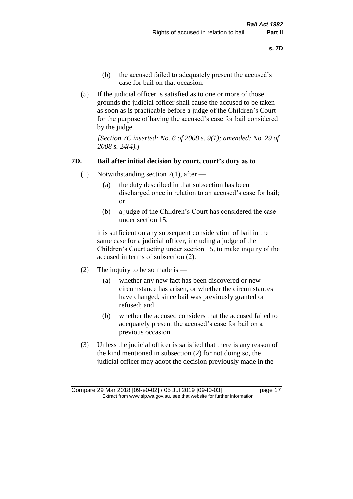- (b) the accused failed to adequately present the accused's case for bail on that occasion.
- (5) If the judicial officer is satisfied as to one or more of those grounds the judicial officer shall cause the accused to be taken as soon as is practicable before a judge of the Children's Court for the purpose of having the accused's case for bail considered by the judge.

*[Section 7C inserted: No. 6 of 2008 s. 9(1); amended: No. 29 of 2008 s. 24(4).]*

### **7D. Bail after initial decision by court, court's duty as to**

- (1) Notwithstanding section 7(1), after
	- (a) the duty described in that subsection has been discharged once in relation to an accused's case for bail; or
	- (b) a judge of the Children's Court has considered the case under section 15,

it is sufficient on any subsequent consideration of bail in the same case for a judicial officer, including a judge of the Children's Court acting under section 15, to make inquiry of the accused in terms of subsection (2).

- (2) The inquiry to be so made is
	- (a) whether any new fact has been discovered or new circumstance has arisen, or whether the circumstances have changed, since bail was previously granted or refused; and
	- (b) whether the accused considers that the accused failed to adequately present the accused's case for bail on a previous occasion.
- (3) Unless the judicial officer is satisfied that there is any reason of the kind mentioned in subsection (2) for not doing so, the judicial officer may adopt the decision previously made in the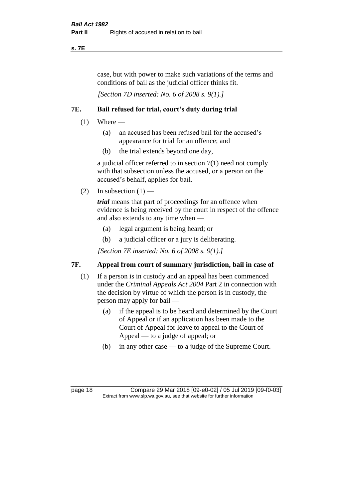## **s. 7E**

case, but with power to make such variations of the terms and conditions of bail as the judicial officer thinks fit.

*[Section 7D inserted: No. 6 of 2008 s. 9(1).]*

## **7E. Bail refused for trial, court's duty during trial**

- $(1)$  Where
	- (a) an accused has been refused bail for the accused's appearance for trial for an offence; and
	- (b) the trial extends beyond one day,

a judicial officer referred to in section 7(1) need not comply with that subsection unless the accused, or a person on the accused's behalf, applies for bail.

(2) In subsection  $(1)$  —

*trial* means that part of proceedings for an offence when evidence is being received by the court in respect of the offence and also extends to any time when —

- (a) legal argument is being heard; or
- (b) a judicial officer or a jury is deliberating.

*[Section 7E inserted: No. 6 of 2008 s. 9(1).]*

## **7F. Appeal from court of summary jurisdiction, bail in case of**

- (1) If a person is in custody and an appeal has been commenced under the *Criminal Appeals Act 2004* Part 2 in connection with the decision by virtue of which the person is in custody, the person may apply for bail —
	- (a) if the appeal is to be heard and determined by the Court of Appeal or if an application has been made to the Court of Appeal for leave to appeal to the Court of Appeal — to a judge of appeal; or
	- (b) in any other case to a judge of the Supreme Court.

page 18 Compare 29 Mar 2018 [09-e0-02] / 05 Jul 2019 [09-f0-03] Extract from www.slp.wa.gov.au, see that website for further information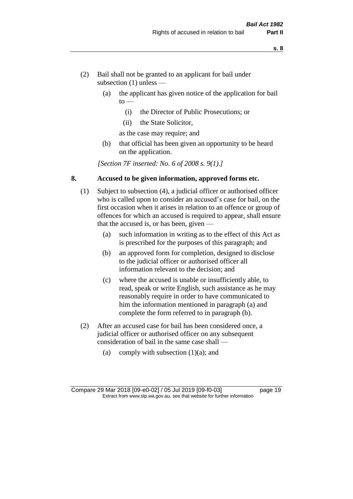- (2) Bail shall not be granted to an applicant for bail under subsection (1) unless —
	- (a) the applicant has given notice of the application for bail  $to -$ 
		- (i) the Director of Public Prosecutions; or
		- (ii) the State Solicitor,
		- as the case may require; and
	- (b) that official has been given an opportunity to be heard on the application.

*[Section 7F inserted: No. 6 of 2008 s. 9(1).]*

## **8. Accused to be given information, approved forms etc.**

- (1) Subject to subsection (4), a judicial officer or authorised officer who is called upon to consider an accused's case for bail, on the first occasion when it arises in relation to an offence or group of offences for which an accused is required to appear, shall ensure that the accused is, or has been, given —
	- (a) such information in writing as to the effect of this Act as is prescribed for the purposes of this paragraph; and
	- (b) an approved form for completion, designed to disclose to the judicial officer or authorised officer all information relevant to the decision; and
	- (c) where the accused is unable or insufficiently able, to read, speak or write English, such assistance as he may reasonably require in order to have communicated to him the information mentioned in paragraph (a) and complete the form referred to in paragraph (b).
- (2) After an accused case for bail has been considered once, a judicial officer or authorised officer on any subsequent consideration of bail in the same case shall —
	- (a) comply with subsection  $(1)(a)$ ; and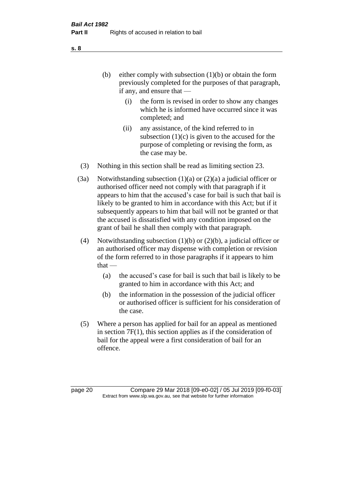(b) either comply with subsection  $(1)(b)$  or obtain the form previously completed for the purposes of that paragraph, if any, and ensure that —

- (i) the form is revised in order to show any changes which he is informed have occurred since it was completed; and
- (ii) any assistance, of the kind referred to in subsection  $(1)(c)$  is given to the accused for the purpose of completing or revising the form, as the case may be.
- (3) Nothing in this section shall be read as limiting section 23.
- (3a) Notwithstanding subsection  $(1)(a)$  or  $(2)(a)$  a judicial officer or authorised officer need not comply with that paragraph if it appears to him that the accused's case for bail is such that bail is likely to be granted to him in accordance with this Act; but if it subsequently appears to him that bail will not be granted or that the accused is dissatisfied with any condition imposed on the grant of bail he shall then comply with that paragraph.
- (4) Notwithstanding subsection (1)(b) or (2)(b), a judicial officer or an authorised officer may dispense with completion or revision of the form referred to in those paragraphs if it appears to him  $that -$ 
	- (a) the accused's case for bail is such that bail is likely to be granted to him in accordance with this Act; and
	- (b) the information in the possession of the judicial officer or authorised officer is sufficient for his consideration of the case.
- (5) Where a person has applied for bail for an appeal as mentioned in section 7F(1), this section applies as if the consideration of bail for the appeal were a first consideration of bail for an offence.

page 20 Compare 29 Mar 2018 [09-e0-02] / 05 Jul 2019 [09-f0-03] Extract from www.slp.wa.gov.au, see that website for further information

**s. 8**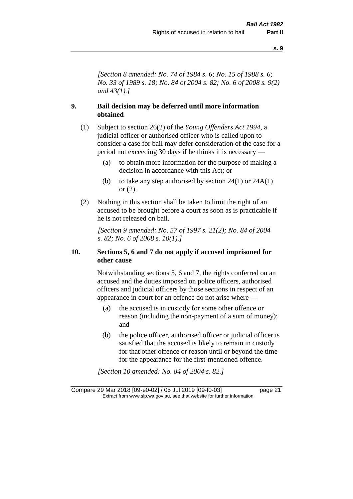*[Section 8 amended: No. 74 of 1984 s. 6; No. 15 of 1988 s. 6; No. 33 of 1989 s. 18; No. 84 of 2004 s. 82; No. 6 of 2008 s. 9(2) and 43(1).]* 

## **9. Bail decision may be deferred until more information obtained**

- (1) Subject to section 26(2) of the *Young Offenders Act 1994*, a judicial officer or authorised officer who is called upon to consider a case for bail may defer consideration of the case for a period not exceeding 30 days if he thinks it is necessary —
	- (a) to obtain more information for the purpose of making a decision in accordance with this Act; or
	- (b) to take any step authorised by section  $24(1)$  or  $24A(1)$ or (2).
- (2) Nothing in this section shall be taken to limit the right of an accused to be brought before a court as soon as is practicable if he is not released on bail.

*[Section 9 amended: No. 57 of 1997 s. 21(2); No. 84 of 2004 s. 82; No. 6 of 2008 s. 10(1).]*

## **10. Sections 5, 6 and 7 do not apply if accused imprisoned for other cause**

Notwithstanding sections 5, 6 and 7, the rights conferred on an accused and the duties imposed on police officers, authorised officers and judicial officers by those sections in respect of an appearance in court for an offence do not arise where —

- (a) the accused is in custody for some other offence or reason (including the non-payment of a sum of money); and
- (b) the police officer, authorised officer or judicial officer is satisfied that the accused is likely to remain in custody for that other offence or reason until or beyond the time for the appearance for the first-mentioned offence.

*[Section 10 amended: No. 84 of 2004 s. 82.]*

Compare 29 Mar 2018 [09-e0-02] / 05 Jul 2019 [09-f0-03] page 21 Extract from www.slp.wa.gov.au, see that website for further information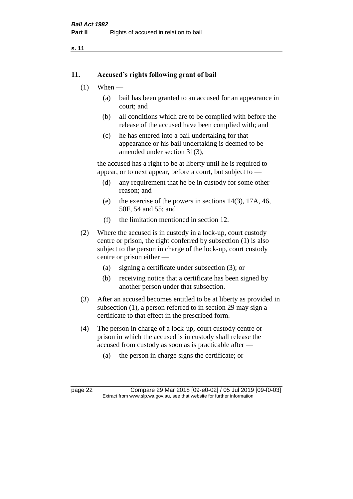#### **11. Accused's rights following grant of bail**

- $(1)$  When
	- (a) bail has been granted to an accused for an appearance in court; and
	- (b) all conditions which are to be complied with before the release of the accused have been complied with; and
	- (c) he has entered into a bail undertaking for that appearance or his bail undertaking is deemed to be amended under section 31(3),

the accused has a right to be at liberty until he is required to appear, or to next appear, before a court, but subject to —

- (d) any requirement that he be in custody for some other reason; and
- (e) the exercise of the powers in sections 14(3), 17A, 46, 50F, 54 and 55; and
- (f) the limitation mentioned in section 12.
- (2) Where the accused is in custody in a lock-up, court custody centre or prison, the right conferred by subsection (1) is also subject to the person in charge of the lock-up, court custody centre or prison either —
	- (a) signing a certificate under subsection (3); or
	- (b) receiving notice that a certificate has been signed by another person under that subsection.
- (3) After an accused becomes entitled to be at liberty as provided in subsection (1), a person referred to in section 29 may sign a certificate to that effect in the prescribed form.
- (4) The person in charge of a lock-up, court custody centre or prison in which the accused is in custody shall release the accused from custody as soon as is practicable after —
	- (a) the person in charge signs the certificate; or

page 22 Compare 29 Mar 2018 [09-e0-02] / 05 Jul 2019 [09-f0-03] Extract from www.slp.wa.gov.au, see that website for further information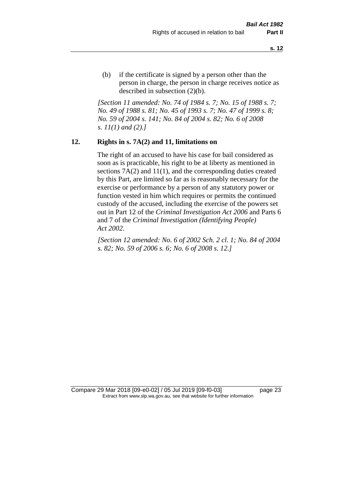(b) if the certificate is signed by a person other than the person in charge, the person in charge receives notice as described in subsection (2)(b).

*[Section 11 amended: No. 74 of 1984 s. 7; No. 15 of 1988 s. 7; No. 49 of 1988 s. 81; No. 45 of 1993 s. 7; No. 47 of 1999 s. 8; No. 59 of 2004 s. 141; No. 84 of 2004 s. 82; No. 6 of 2008 s. 11(1) and (2).]* 

#### **12. Rights in s. 7A(2) and 11, limitations on**

The right of an accused to have his case for bail considered as soon as is practicable, his right to be at liberty as mentioned in sections 7A(2) and 11(1), and the corresponding duties created by this Part, are limited so far as is reasonably necessary for the exercise or performance by a person of any statutory power or function vested in him which requires or permits the continued custody of the accused, including the exercise of the powers set out in Part 12 of the *Criminal Investigation Act 2006* and Parts 6 and 7 of the *Criminal Investigation (Identifying People) Act 2002*.

*[Section 12 amended: No. 6 of 2002 Sch. 2 cl. 1; No. 84 of 2004 s. 82; No. 59 of 2006 s. 6; No. 6 of 2008 s. 12.]*

Compare 29 Mar 2018 [09-e0-02] / 05 Jul 2019 [09-f0-03] page 23 Extract from www.slp.wa.gov.au, see that website for further information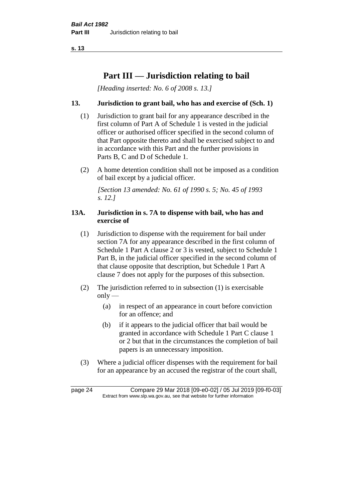# **Part III — Jurisdiction relating to bail**

*[Heading inserted: No. 6 of 2008 s. 13.]*

## **13. Jurisdiction to grant bail, who has and exercise of (Sch. 1)**

- (1) Jurisdiction to grant bail for any appearance described in the first column of Part A of Schedule 1 is vested in the judicial officer or authorised officer specified in the second column of that Part opposite thereto and shall be exercised subject to and in accordance with this Part and the further provisions in Parts B, C and D of Schedule 1.
- (2) A home detention condition shall not be imposed as a condition of bail except by a judicial officer.

*[Section 13 amended: No. 61 of 1990 s. 5; No. 45 of 1993 s. 12.]* 

## **13A. Jurisdiction in s. 7A to dispense with bail, who has and exercise of**

- (1) Jurisdiction to dispense with the requirement for bail under section 7A for any appearance described in the first column of Schedule 1 Part A clause 2 or 3 is vested, subject to Schedule 1 Part B, in the judicial officer specified in the second column of that clause opposite that description, but Schedule 1 Part A clause 7 does not apply for the purposes of this subsection.
- (2) The jurisdiction referred to in subsection (1) is exercisable  $only$ —
	- (a) in respect of an appearance in court before conviction for an offence; and
	- (b) if it appears to the judicial officer that bail would be granted in accordance with Schedule 1 Part C clause 1 or 2 but that in the circumstances the completion of bail papers is an unnecessary imposition.
- (3) Where a judicial officer dispenses with the requirement for bail for an appearance by an accused the registrar of the court shall,

page 24 Compare 29 Mar 2018 [09-e0-02] / 05 Jul 2019 [09-f0-03] Extract from www.slp.wa.gov.au, see that website for further information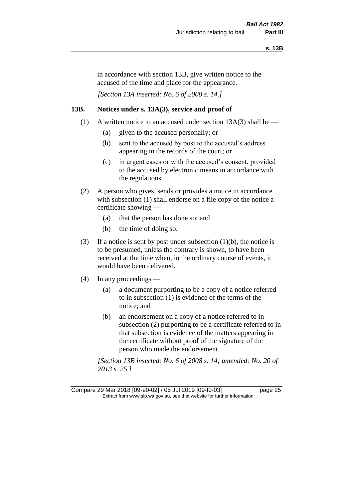in accordance with section 13B, give written notice to the accused of the time and place for the appearance.

*[Section 13A inserted: No. 6 of 2008 s. 14.]*

## **13B. Notices under s. 13A(3), service and proof of**

- (1) A written notice to an accused under section  $13A(3)$  shall be
	- (a) given to the accused personally; or
	- (b) sent to the accused by post to the accused's address appearing in the records of the court; or
	- (c) in urgent cases or with the accused's consent, provided to the accused by electronic means in accordance with the regulations.
- (2) A person who gives, sends or provides a notice in accordance with subsection (1) shall endorse on a file copy of the notice a certificate showing —
	- (a) that the person has done so; and
	- (b) the time of doing so.
- (3) If a notice is sent by post under subsection  $(1)(b)$ , the notice is to be presumed, unless the contrary is shown, to have been received at the time when, in the ordinary course of events, it would have been delivered.
- (4) In any proceedings
	- (a) a document purporting to be a copy of a notice referred to in subsection (1) is evidence of the terms of the notice; and
	- (b) an endorsement on a copy of a notice referred to in subsection (2) purporting to be a certificate referred to in that subsection is evidence of the matters appearing in the certificate without proof of the signature of the person who made the endorsement.

*[Section 13B inserted: No. 6 of 2008 s. 14; amended: No. 20 of 2013 s. 25.]*

Compare 29 Mar 2018 [09-e0-02] / 05 Jul 2019 [09-f0-03] page 25 Extract from www.slp.wa.gov.au, see that website for further information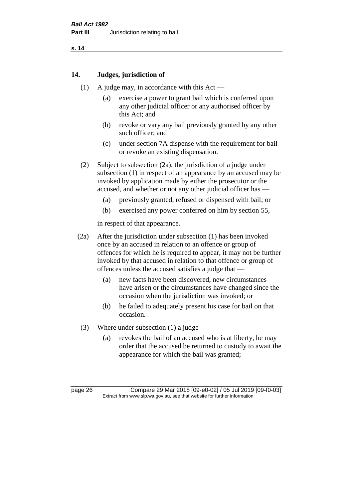## **14. Judges, jurisdiction of**

- (1) A judge may, in accordance with this Act
	- (a) exercise a power to grant bail which is conferred upon any other judicial officer or any authorised officer by this Act; and
	- (b) revoke or vary any bail previously granted by any other such officer; and
	- (c) under section 7A dispense with the requirement for bail or revoke an existing dispensation.
- (2) Subject to subsection (2a), the jurisdiction of a judge under subsection (1) in respect of an appearance by an accused may be invoked by application made by either the prosecutor or the accused, and whether or not any other judicial officer has —
	- (a) previously granted, refused or dispensed with bail; or
	- (b) exercised any power conferred on him by section 55,

in respect of that appearance.

- (2a) After the jurisdiction under subsection (1) has been invoked once by an accused in relation to an offence or group of offences for which he is required to appear, it may not be further invoked by that accused in relation to that offence or group of offences unless the accused satisfies a judge that —
	- (a) new facts have been discovered, new circumstances have arisen or the circumstances have changed since the occasion when the jurisdiction was invoked; or
	- (b) he failed to adequately present his case for bail on that occasion.
- (3) Where under subsection (1) a judge
	- (a) revokes the bail of an accused who is at liberty, he may order that the accused be returned to custody to await the appearance for which the bail was granted;

page 26 Compare 29 Mar 2018 [09-e0-02] / 05 Jul 2019 [09-f0-03] Extract from www.slp.wa.gov.au, see that website for further information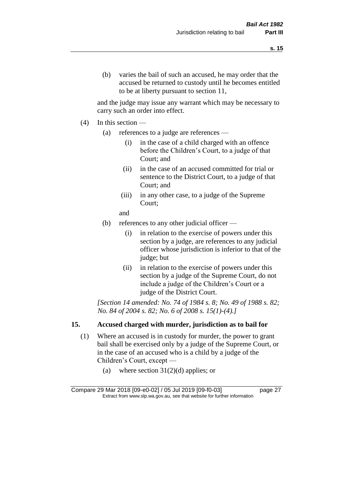and the judge may issue any warrant which may be necessary to carry such an order into effect.

- (4) In this section
	- (a) references to a judge are references
		- (i) in the case of a child charged with an offence before the Children's Court, to a judge of that Court; and
		- (ii) in the case of an accused committed for trial or sentence to the District Court, to a judge of that Court; and
		- (iii) in any other case, to a judge of the Supreme Court;
		- and
	- (b) references to any other judicial officer
		- (i) in relation to the exercise of powers under this section by a judge, are references to any judicial officer whose jurisdiction is inferior to that of the judge; but
		- (ii) in relation to the exercise of powers under this section by a judge of the Supreme Court, do not include a judge of the Children's Court or a judge of the District Court.

*[Section 14 amended: No. 74 of 1984 s. 8; No. 49 of 1988 s. 82; No. 84 of 2004 s. 82; No. 6 of 2008 s. 15(1)-(4).]* 

## **15. Accused charged with murder, jurisdiction as to bail for**

- (1) Where an accused is in custody for murder, the power to grant bail shall be exercised only by a judge of the Supreme Court, or in the case of an accused who is a child by a judge of the Children's Court, except —
	- (a) where section  $31(2)(d)$  applies; or

Compare 29 Mar 2018 [09-e0-02] / 05 Jul 2019 [09-f0-03] page 27 Extract from www.slp.wa.gov.au, see that website for further information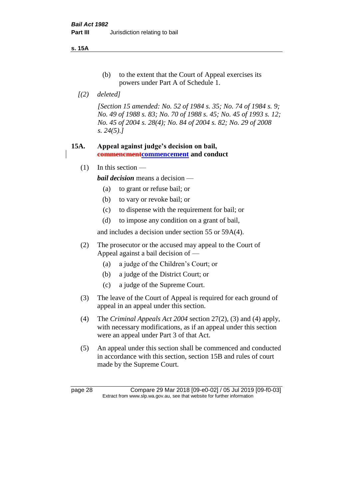**s. 15A**

- (b) to the extent that the Court of Appeal exercises its powers under Part A of Schedule 1.
- *[(2) deleted]*

*[Section 15 amended: No. 52 of 1984 s. 35; No. 74 of 1984 s. 9; No. 49 of 1988 s. 83; No. 70 of 1988 s. 45; No. 45 of 1993 s. 12; No. 45 of 2004 s. 28(4); No. 84 of 2004 s. 82; No. 29 of 2008 s. 24(5).]* 

## **15A. Appeal against judge's decision on bail, commencmentcommencement and conduct**

 $(1)$  In this section —

*bail decision* means a decision —

- (a) to grant or refuse bail; or
- (b) to vary or revoke bail; or
- (c) to dispense with the requirement for bail; or
- (d) to impose any condition on a grant of bail,

and includes a decision under section 55 or 59A(4).

- (2) The prosecutor or the accused may appeal to the Court of Appeal against a bail decision of —
	- (a) a judge of the Children's Court; or
	- (b) a judge of the District Court; or
	- (c) a judge of the Supreme Court.
- (3) The leave of the Court of Appeal is required for each ground of appeal in an appeal under this section.
- (4) The *Criminal Appeals Act 2004* section 27(2), (3) and (4) apply, with necessary modifications, as if an appeal under this section were an appeal under Part 3 of that Act.
- (5) An appeal under this section shall be commenced and conducted in accordance with this section, section 15B and rules of court made by the Supreme Court.

page 28 Compare 29 Mar 2018 [09-e0-02] / 05 Jul 2019 [09-f0-03] Extract from www.slp.wa.gov.au, see that website for further information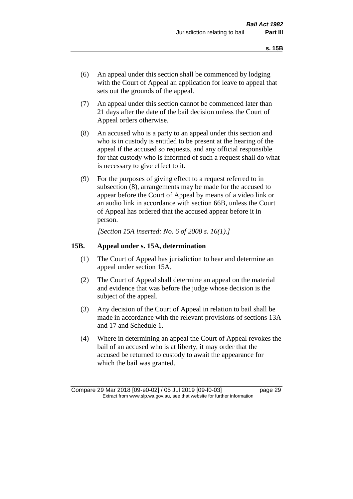- (6) An appeal under this section shall be commenced by lodging with the Court of Appeal an application for leave to appeal that sets out the grounds of the appeal.
- (7) An appeal under this section cannot be commenced later than 21 days after the date of the bail decision unless the Court of Appeal orders otherwise.
- (8) An accused who is a party to an appeal under this section and who is in custody is entitled to be present at the hearing of the appeal if the accused so requests, and any official responsible for that custody who is informed of such a request shall do what is necessary to give effect to it.
- (9) For the purposes of giving effect to a request referred to in subsection (8), arrangements may be made for the accused to appear before the Court of Appeal by means of a video link or an audio link in accordance with section 66B, unless the Court of Appeal has ordered that the accused appear before it in person.

*[Section 15A inserted: No. 6 of 2008 s. 16(1).]*

#### **15B. Appeal under s. 15A, determination**

- (1) The Court of Appeal has jurisdiction to hear and determine an appeal under section 15A.
- (2) The Court of Appeal shall determine an appeal on the material and evidence that was before the judge whose decision is the subject of the appeal.
- (3) Any decision of the Court of Appeal in relation to bail shall be made in accordance with the relevant provisions of sections 13A and 17 and Schedule 1.
- (4) Where in determining an appeal the Court of Appeal revokes the bail of an accused who is at liberty, it may order that the accused be returned to custody to await the appearance for which the bail was granted.

Compare 29 Mar 2018 [09-e0-02] / 05 Jul 2019 [09-f0-03] page 29 Extract from www.slp.wa.gov.au, see that website for further information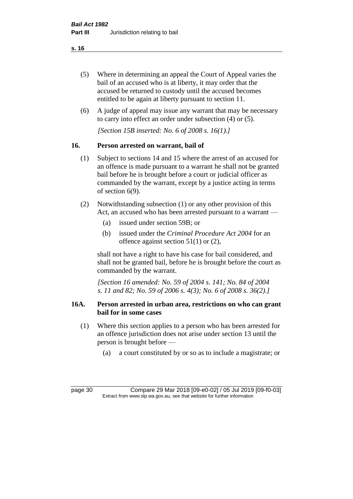- (5) Where in determining an appeal the Court of Appeal varies the bail of an accused who is at liberty, it may order that the accused be returned to custody until the accused becomes entitled to be again at liberty pursuant to section 11.
- (6) A judge of appeal may issue any warrant that may be necessary to carry into effect an order under subsection (4) or (5).

*[Section 15B inserted: No. 6 of 2008 s. 16(1).]*

## **16. Person arrested on warrant, bail of**

- (1) Subject to sections 14 and 15 where the arrest of an accused for an offence is made pursuant to a warrant he shall not be granted bail before he is brought before a court or judicial officer as commanded by the warrant, except by a justice acting in terms of section 6(9).
- (2) Notwithstanding subsection (1) or any other provision of this Act, an accused who has been arrested pursuant to a warrant —
	- (a) issued under section 59B; or
	- (b) issued under the *Criminal Procedure Act 2004* for an offence against section 51(1) or (2),

shall not have a right to have his case for bail considered, and shall not be granted bail, before he is brought before the court as commanded by the warrant.

*[Section 16 amended: No. 59 of 2004 s. 141; No. 84 of 2004 s. 11 and 82; No. 59 of 2006 s. 4(3); No. 6 of 2008 s. 36(2).]*

## **16A. Person arrested in urban area, restrictions on who can grant bail for in some cases**

- (1) Where this section applies to a person who has been arrested for an offence jurisdiction does not arise under section 13 until the person is brought before —
	- (a) a court constituted by or so as to include a magistrate; or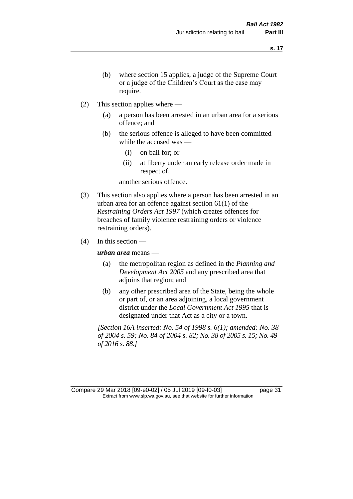- (b) where section 15 applies, a judge of the Supreme Court or a judge of the Children's Court as the case may require.
- (2) This section applies where
	- (a) a person has been arrested in an urban area for a serious offence; and
	- (b) the serious offence is alleged to have been committed while the accused was —
		- (i) on bail for; or
		- (ii) at liberty under an early release order made in respect of,

another serious offence.

- (3) This section also applies where a person has been arrested in an urban area for an offence against section 61(1) of the *Restraining Orders Act 1997* (which creates offences for breaches of family violence restraining orders or violence restraining orders).
- $(4)$  In this section —

*urban area* means —

- (a) the metropolitan region as defined in the *Planning and Development Act 2005* and any prescribed area that adjoins that region; and
- (b) any other prescribed area of the State, being the whole or part of, or an area adjoining, a local government district under the *Local Government Act 1995* that is designated under that Act as a city or a town.

*[Section 16A inserted: No. 54 of 1998 s. 6(1); amended: No. 38 of 2004 s. 59; No. 84 of 2004 s. 82; No. 38 of 2005 s. 15; No. 49 of 2016 s. 88.]*

Compare 29 Mar 2018 [09-e0-02] / 05 Jul 2019 [09-f0-03] page 31 Extract from www.slp.wa.gov.au, see that website for further information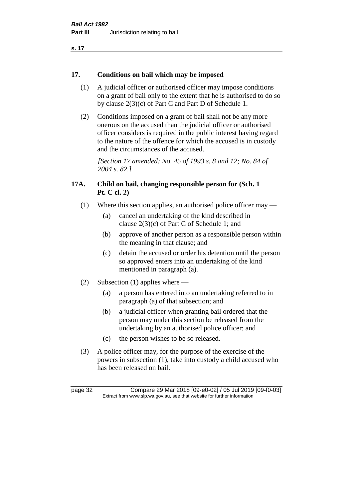## **17. Conditions on bail which may be imposed**

- (1) A judicial officer or authorised officer may impose conditions on a grant of bail only to the extent that he is authorised to do so by clause 2(3)(c) of Part C and Part D of Schedule 1.
- (2) Conditions imposed on a grant of bail shall not be any more onerous on the accused than the judicial officer or authorised officer considers is required in the public interest having regard to the nature of the offence for which the accused is in custody and the circumstances of the accused.

*[Section 17 amended: No. 45 of 1993 s. 8 and 12; No. 84 of 2004 s. 82.]* 

## **17A. Child on bail, changing responsible person for (Sch. 1 Pt. C cl. 2)**

- (1) Where this section applies, an authorised police officer may
	- (a) cancel an undertaking of the kind described in clause 2(3)(c) of Part C of Schedule 1; and
	- (b) approve of another person as a responsible person within the meaning in that clause; and
	- (c) detain the accused or order his detention until the person so approved enters into an undertaking of the kind mentioned in paragraph (a).
- (2) Subsection (1) applies where
	- (a) a person has entered into an undertaking referred to in paragraph (a) of that subsection; and
	- (b) a judicial officer when granting bail ordered that the person may under this section be released from the undertaking by an authorised police officer; and
	- (c) the person wishes to be so released.
- (3) A police officer may, for the purpose of the exercise of the powers in subsection (1), take into custody a child accused who has been released on bail.

page 32 Compare 29 Mar 2018 [09-e0-02] / 05 Jul 2019 [09-f0-03] Extract from www.slp.wa.gov.au, see that website for further information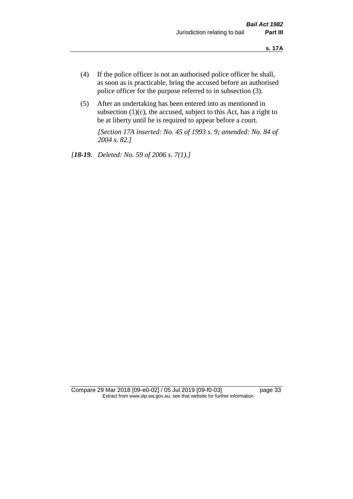- (4) If the police officer is not an authorised police officer he shall, as soon as is practicable, bring the accused before an authorised police officer for the purpose referred to in subsection (3).
- (5) After an undertaking has been entered into as mentioned in subsection  $(1)(c)$ , the accused, subject to this Act, has a right to be at liberty until he is required to appear before a court.

*[Section 17A inserted: No. 45 of 1993 s. 9; amended: No. 84 of 2004 s. 82.]* 

*[18-19. Deleted: No. 59 of 2006 s. 7(1).]*

Compare 29 Mar 2018 [09-e0-02] / 05 Jul 2019 [09-f0-03] page 33 Extract from www.slp.wa.gov.au, see that website for further information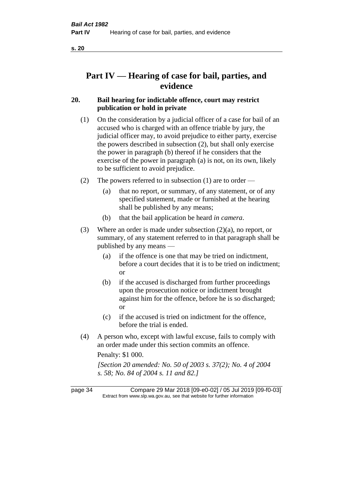# **Part IV — Hearing of case for bail, parties, and evidence**

## **20. Bail hearing for indictable offence, court may restrict publication or hold in private**

- (1) On the consideration by a judicial officer of a case for bail of an accused who is charged with an offence triable by jury, the judicial officer may, to avoid prejudice to either party, exercise the powers described in subsection (2), but shall only exercise the power in paragraph (b) thereof if he considers that the exercise of the power in paragraph (a) is not, on its own, likely to be sufficient to avoid prejudice.
- (2) The powers referred to in subsection (1) are to order
	- (a) that no report, or summary, of any statement, or of any specified statement, made or furnished at the hearing shall be published by any means;
	- (b) that the bail application be heard *in camera*.
- (3) Where an order is made under subsection (2)(a), no report, or summary, of any statement referred to in that paragraph shall be published by any means —
	- (a) if the offence is one that may be tried on indictment, before a court decides that it is to be tried on indictment; or
	- (b) if the accused is discharged from further proceedings upon the prosecution notice or indictment brought against him for the offence, before he is so discharged; or
	- (c) if the accused is tried on indictment for the offence, before the trial is ended.
- (4) A person who, except with lawful excuse, fails to comply with an order made under this section commits an offence.

Penalty: \$1 000.

*[Section 20 amended: No. 50 of 2003 s. 37(2); No. 4 of 2004 s. 58; No. 84 of 2004 s. 11 and 82.]*

page 34 Compare 29 Mar 2018 [09-e0-02] / 05 Jul 2019 [09-f0-03] Extract from www.slp.wa.gov.au, see that website for further information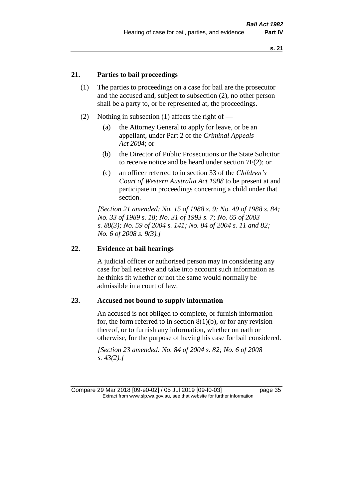# **21. Parties to bail proceedings**

- (1) The parties to proceedings on a case for bail are the prosecutor and the accused and, subject to subsection (2), no other person shall be a party to, or be represented at, the proceedings.
- (2) Nothing in subsection (1) affects the right of
	- (a) the Attorney General to apply for leave, or be an appellant, under Part 2 of the *Criminal Appeals Act 2004*; or
	- (b) the Director of Public Prosecutions or the State Solicitor to receive notice and be heard under section 7F(2); or
	- (c) an officer referred to in section 33 of the *Children's Court of Western Australia Act 1988* to be present at and participate in proceedings concerning a child under that section.

*[Section 21 amended: No. 15 of 1988 s. 9; No. 49 of 1988 s. 84; No. 33 of 1989 s. 18; No. 31 of 1993 s. 7; No. 65 of 2003 s. 88(3); No. 59 of 2004 s. 141; No. 84 of 2004 s. 11 and 82; No. 6 of 2008 s. 9(3).]* 

#### **22. Evidence at bail hearings**

A judicial officer or authorised person may in considering any case for bail receive and take into account such information as he thinks fit whether or not the same would normally be admissible in a court of law.

#### **23. Accused not bound to supply information**

An accused is not obliged to complete, or furnish information for, the form referred to in section  $8(1)(b)$ , or for any revision thereof, or to furnish any information, whether on oath or otherwise, for the purpose of having his case for bail considered.

*[Section 23 amended: No. 84 of 2004 s. 82; No. 6 of 2008 s. 43(2).]* 

Compare 29 Mar 2018 [09-e0-02] / 05 Jul 2019 [09-f0-03] page 35 Extract from www.slp.wa.gov.au, see that website for further information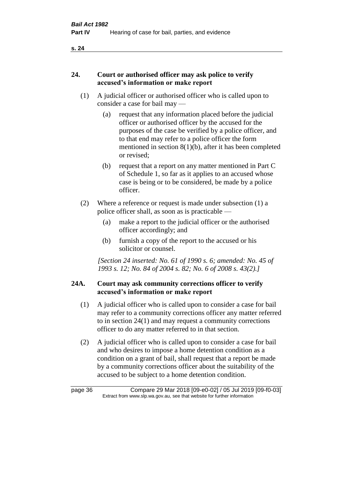# **24. Court or authorised officer may ask police to verify accused's information or make report**

- (1) A judicial officer or authorised officer who is called upon to consider a case for bail may —
	- (a) request that any information placed before the judicial officer or authorised officer by the accused for the purposes of the case be verified by a police officer, and to that end may refer to a police officer the form mentioned in section 8(1)(b), after it has been completed or revised;
	- (b) request that a report on any matter mentioned in Part C of Schedule 1, so far as it applies to an accused whose case is being or to be considered, be made by a police officer.
- (2) Where a reference or request is made under subsection (1) a police officer shall, as soon as is practicable —
	- (a) make a report to the judicial officer or the authorised officer accordingly; and
	- (b) furnish a copy of the report to the accused or his solicitor or counsel.

*[Section 24 inserted: No. 61 of 1990 s. 6; amended: No. 45 of 1993 s. 12; No. 84 of 2004 s. 82; No. 6 of 2008 s. 43(2).]* 

# **24A. Court may ask community corrections officer to verify accused's information or make report**

- (1) A judicial officer who is called upon to consider a case for bail may refer to a community corrections officer any matter referred to in section 24(1) and may request a community corrections officer to do any matter referred to in that section.
- (2) A judicial officer who is called upon to consider a case for bail and who desires to impose a home detention condition as a condition on a grant of bail, shall request that a report be made by a community corrections officer about the suitability of the accused to be subject to a home detention condition.

| page 36 | Compare 29 Mar 2018 [09-e0-02] / 05 Jul 2019 [09-f0-03]                  |
|---------|--------------------------------------------------------------------------|
|         | Extract from www.slp.wa.gov.au, see that website for further information |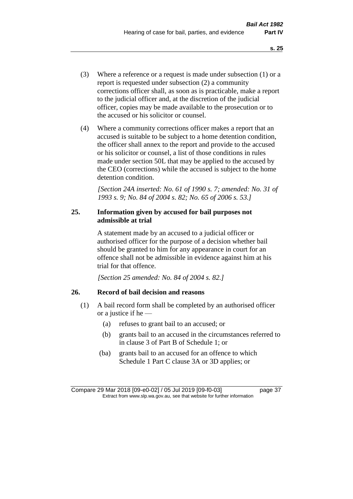- (3) Where a reference or a request is made under subsection (1) or a report is requested under subsection (2) a community corrections officer shall, as soon as is practicable, make a report to the judicial officer and, at the discretion of the judicial officer, copies may be made available to the prosecution or to the accused or his solicitor or counsel.
- (4) Where a community corrections officer makes a report that an accused is suitable to be subject to a home detention condition, the officer shall annex to the report and provide to the accused or his solicitor or counsel, a list of those conditions in rules made under section 50L that may be applied to the accused by the CEO (corrections) while the accused is subject to the home detention condition.

*[Section 24A inserted: No. 61 of 1990 s. 7; amended: No. 31 of 1993 s. 9; No. 84 of 2004 s. 82; No. 65 of 2006 s. 53.]* 

## **25. Information given by accused for bail purposes not admissible at trial**

A statement made by an accused to a judicial officer or authorised officer for the purpose of a decision whether bail should be granted to him for any appearance in court for an offence shall not be admissible in evidence against him at his trial for that offence.

*[Section 25 amended: No. 84 of 2004 s. 82.]* 

### **26. Record of bail decision and reasons**

- (1) A bail record form shall be completed by an authorised officer or a justice if he —
	- (a) refuses to grant bail to an accused; or
	- (b) grants bail to an accused in the circumstances referred to in clause 3 of Part B of Schedule 1; or
	- (ba) grants bail to an accused for an offence to which Schedule 1 Part C clause 3A or 3D applies; or

Compare 29 Mar 2018 [09-e0-02] / 05 Jul 2019 [09-f0-03] page 37 Extract from www.slp.wa.gov.au, see that website for further information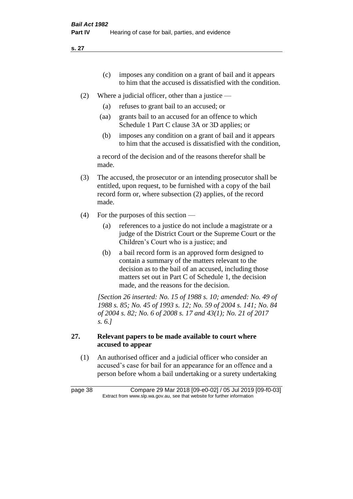- (c) imposes any condition on a grant of bail and it appears to him that the accused is dissatisfied with the condition.
- (2) Where a judicial officer, other than a justice
	- (a) refuses to grant bail to an accused; or
	- (aa) grants bail to an accused for an offence to which Schedule 1 Part C clause 3A or 3D applies; or
	- (b) imposes any condition on a grant of bail and it appears to him that the accused is dissatisfied with the condition,

a record of the decision and of the reasons therefor shall be made.

- (3) The accused, the prosecutor or an intending prosecutor shall be entitled, upon request, to be furnished with a copy of the bail record form or, where subsection (2) applies, of the record made.
- (4) For the purposes of this section
	- (a) references to a justice do not include a magistrate or a judge of the District Court or the Supreme Court or the Children's Court who is a justice; and
	- (b) a bail record form is an approved form designed to contain a summary of the matters relevant to the decision as to the bail of an accused, including those matters set out in Part C of Schedule 1, the decision made, and the reasons for the decision.

*[Section 26 inserted: No. 15 of 1988 s. 10; amended: No. 49 of 1988 s. 85; No. 45 of 1993 s. 12; No. 59 of 2004 s. 141; No. 84 of 2004 s. 82; No. 6 of 2008 s. 17 and 43(1); No. 21 of 2017 s. 6.]* 

# **27. Relevant papers to be made available to court where accused to appear**

(1) An authorised officer and a judicial officer who consider an accused's case for bail for an appearance for an offence and a person before whom a bail undertaking or a surety undertaking

page 38 Compare 29 Mar 2018 [09-e0-02] / 05 Jul 2019 [09-f0-03] Extract from www.slp.wa.gov.au, see that website for further information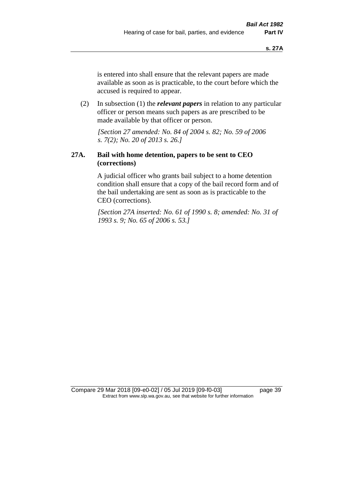is entered into shall ensure that the relevant papers are made available as soon as is practicable, to the court before which the accused is required to appear.

(2) In subsection (1) the *relevant papers* in relation to any particular officer or person means such papers as are prescribed to be made available by that officer or person.

*[Section 27 amended: No. 84 of 2004 s. 82; No. 59 of 2006 s. 7(2); No. 20 of 2013 s. 26.]* 

### **27A. Bail with home detention, papers to be sent to CEO (corrections)**

A judicial officer who grants bail subject to a home detention condition shall ensure that a copy of the bail record form and of the bail undertaking are sent as soon as is practicable to the CEO (corrections).

*[Section 27A inserted: No. 61 of 1990 s. 8; amended: No. 31 of 1993 s. 9; No. 65 of 2006 s. 53.]* 

Compare 29 Mar 2018 [09-e0-02] / 05 Jul 2019 [09-f0-03] page 39 Extract from www.slp.wa.gov.au, see that website for further information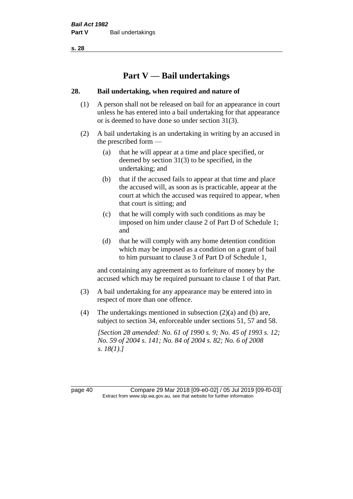# **Part V — Bail undertakings**

#### **28. Bail undertaking, when required and nature of**

- (1) A person shall not be released on bail for an appearance in court unless he has entered into a bail undertaking for that appearance or is deemed to have done so under section 31(3).
- (2) A bail undertaking is an undertaking in writing by an accused in the prescribed form —
	- (a) that he will appear at a time and place specified, or deemed by section 31(3) to be specified, in the undertaking; and
	- (b) that if the accused fails to appear at that time and place the accused will, as soon as is practicable, appear at the court at which the accused was required to appear, when that court is sitting; and
	- (c) that he will comply with such conditions as may be imposed on him under clause 2 of Part D of Schedule 1; and
	- (d) that he will comply with any home detention condition which may be imposed as a condition on a grant of bail to him pursuant to clause 3 of Part D of Schedule 1,

and containing any agreement as to forfeiture of money by the accused which may be required pursuant to clause 1 of that Part.

- (3) A bail undertaking for any appearance may be entered into in respect of more than one offence.
- (4) The undertakings mentioned in subsection (2)(a) and (b) are, subject to section 34, enforceable under sections 51, 57 and 58.

*[Section 28 amended: No. 61 of 1990 s. 9; No. 45 of 1993 s. 12; No. 59 of 2004 s. 141; No. 84 of 2004 s. 82; No. 6 of 2008 s. 18(1).]* 

page 40 Compare 29 Mar 2018 [09-e0-02] / 05 Jul 2019 [09-f0-03] Extract from www.slp.wa.gov.au, see that website for further information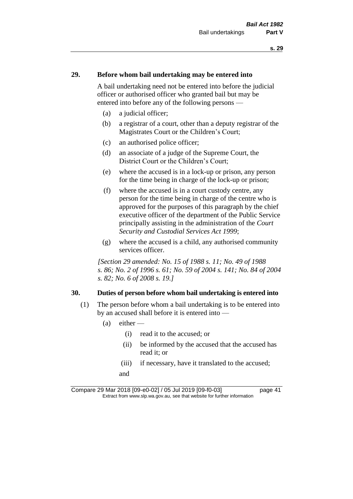#### **29. Before whom bail undertaking may be entered into**

A bail undertaking need not be entered into before the judicial officer or authorised officer who granted bail but may be entered into before any of the following persons —

- (a) a judicial officer;
- (b) a registrar of a court, other than a deputy registrar of the Magistrates Court or the Children's Court;
- (c) an authorised police officer;
- (d) an associate of a judge of the Supreme Court, the District Court or the Children's Court;
- (e) where the accused is in a lock-up or prison, any person for the time being in charge of the lock-up or prison;
- (f) where the accused is in a court custody centre, any person for the time being in charge of the centre who is approved for the purposes of this paragraph by the chief executive officer of the department of the Public Service principally assisting in the administration of the *Court Security and Custodial Services Act 1999*;
- (g) where the accused is a child, any authorised community services officer.

*[Section 29 amended: No. 15 of 1988 s. 11; No. 49 of 1988 s. 86; No. 2 of 1996 s. 61; No. 59 of 2004 s. 141; No. 84 of 2004 s. 82; No. 6 of 2008 s. 19.]* 

#### **30. Duties of person before whom bail undertaking is entered into**

- (1) The person before whom a bail undertaking is to be entered into by an accused shall before it is entered into —
	- $(a)$  either
		- (i) read it to the accused; or
		- (ii) be informed by the accused that the accused has read it; or
		- (iii) if necessary, have it translated to the accused; and

Compare 29 Mar 2018 [09-e0-02] / 05 Jul 2019 [09-f0-03] page 41 Extract from www.slp.wa.gov.au, see that website for further information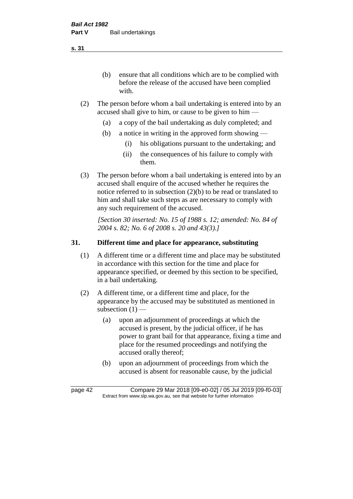(b) ensure that all conditions which are to be complied with before the release of the accused have been complied with.

- (2) The person before whom a bail undertaking is entered into by an accused shall give to him, or cause to be given to him —
	- (a) a copy of the bail undertaking as duly completed; and
	- (b) a notice in writing in the approved form showing
		- (i) his obligations pursuant to the undertaking; and
		- (ii) the consequences of his failure to comply with them.
- (3) The person before whom a bail undertaking is entered into by an accused shall enquire of the accused whether he requires the notice referred to in subsection (2)(b) to be read or translated to him and shall take such steps as are necessary to comply with any such requirement of the accused.

*[Section 30 inserted: No. 15 of 1988 s. 12; amended: No. 84 of 2004 s. 82; No. 6 of 2008 s. 20 and 43(3).]* 

# **31. Different time and place for appearance, substituting**

- (1) A different time or a different time and place may be substituted in accordance with this section for the time and place for appearance specified, or deemed by this section to be specified, in a bail undertaking.
- (2) A different time, or a different time and place, for the appearance by the accused may be substituted as mentioned in subsection  $(1)$  —
	- (a) upon an adjournment of proceedings at which the accused is present, by the judicial officer, if he has power to grant bail for that appearance, fixing a time and place for the resumed proceedings and notifying the accused orally thereof;
	- (b) upon an adjournment of proceedings from which the accused is absent for reasonable cause, by the judicial

**s. 31**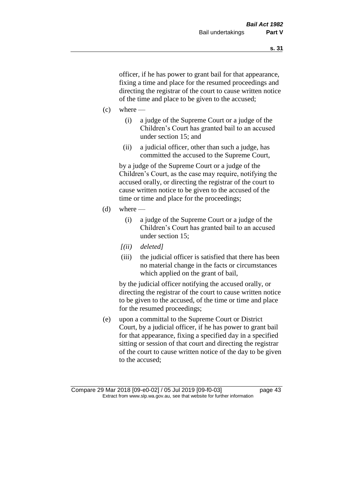officer, if he has power to grant bail for that appearance, fixing a time and place for the resumed proceedings and directing the registrar of the court to cause written notice of the time and place to be given to the accused;

- $(c)$  where
	- (i) a judge of the Supreme Court or a judge of the Children's Court has granted bail to an accused under section 15; and
	- (ii) a judicial officer, other than such a judge, has committed the accused to the Supreme Court,

by a judge of the Supreme Court or a judge of the Children's Court, as the case may require, notifying the accused orally, or directing the registrar of the court to cause written notice to be given to the accused of the time or time and place for the proceedings;

- (d) where  $-$ 
	- (i) a judge of the Supreme Court or a judge of the Children's Court has granted bail to an accused under section 15;
	- *[(ii) deleted]*
	- (iii) the judicial officer is satisfied that there has been no material change in the facts or circumstances which applied on the grant of bail,

by the judicial officer notifying the accused orally, or directing the registrar of the court to cause written notice to be given to the accused, of the time or time and place for the resumed proceedings;

(e) upon a committal to the Supreme Court or District Court, by a judicial officer, if he has power to grant bail for that appearance, fixing a specified day in a specified sitting or session of that court and directing the registrar of the court to cause written notice of the day to be given to the accused;

Compare 29 Mar 2018 [09-e0-02] / 05 Jul 2019 [09-f0-03] page 43 Extract from www.slp.wa.gov.au, see that website for further information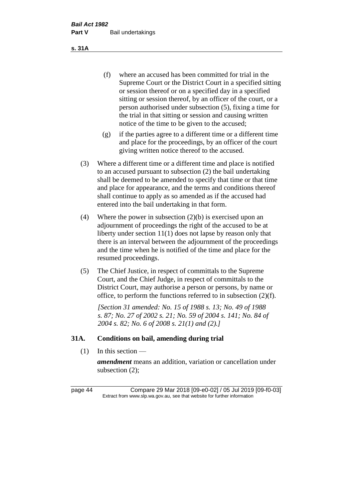(f) where an accused has been committed for trial in the Supreme Court or the District Court in a specified sitting or session thereof or on a specified day in a specified sitting or session thereof, by an officer of the court, or a person authorised under subsection (5), fixing a time for the trial in that sitting or session and causing written notice of the time to be given to the accused;

- (g) if the parties agree to a different time or a different time and place for the proceedings, by an officer of the court giving written notice thereof to the accused.
- (3) Where a different time or a different time and place is notified to an accused pursuant to subsection (2) the bail undertaking shall be deemed to be amended to specify that time or that time and place for appearance, and the terms and conditions thereof shall continue to apply as so amended as if the accused had entered into the bail undertaking in that form.
- (4) Where the power in subsection (2)(b) is exercised upon an adjournment of proceedings the right of the accused to be at liberty under section 11(1) does not lapse by reason only that there is an interval between the adjournment of the proceedings and the time when he is notified of the time and place for the resumed proceedings.
- (5) The Chief Justice, in respect of committals to the Supreme Court, and the Chief Judge, in respect of committals to the District Court, may authorise a person or persons, by name or office, to perform the functions referred to in subsection (2)(f).

*[Section 31 amended: No. 15 of 1988 s. 13; No. 49 of 1988 s. 87; No. 27 of 2002 s. 21; No. 59 of 2004 s. 141; No. 84 of 2004 s. 82; No. 6 of 2008 s. 21(1) and (2).]* 

### **31A. Conditions on bail, amending during trial**

 $(1)$  In this section —

*amendment* means an addition, variation or cancellation under subsection (2);

page 44 Compare 29 Mar 2018 [09-e0-02] / 05 Jul 2019 [09-f0-03] Extract from www.slp.wa.gov.au, see that website for further information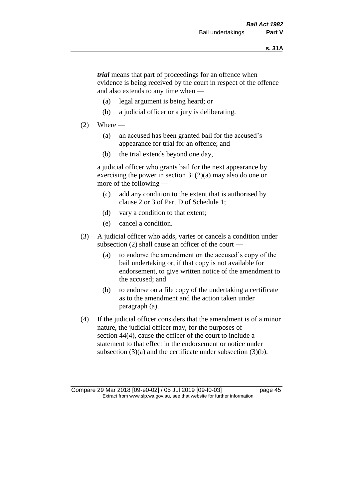*trial* means that part of proceedings for an offence when evidence is being received by the court in respect of the offence and also extends to any time when —

- (a) legal argument is being heard; or
- (b) a judicial officer or a jury is deliberating.

#### $(2)$  Where —

- (a) an accused has been granted bail for the accused's appearance for trial for an offence; and
- (b) the trial extends beyond one day,

a judicial officer who grants bail for the next appearance by exercising the power in section  $31(2)(a)$  may also do one or more of the following —

- (c) add any condition to the extent that is authorised by clause 2 or 3 of Part D of Schedule 1;
- (d) vary a condition to that extent;
- (e) cancel a condition.
- (3) A judicial officer who adds, varies or cancels a condition under subsection (2) shall cause an officer of the court —
	- (a) to endorse the amendment on the accused's copy of the bail undertaking or, if that copy is not available for endorsement, to give written notice of the amendment to the accused; and
	- (b) to endorse on a file copy of the undertaking a certificate as to the amendment and the action taken under paragraph (a).
- (4) If the judicial officer considers that the amendment is of a minor nature, the judicial officer may, for the purposes of section 44(4), cause the officer of the court to include a statement to that effect in the endorsement or notice under subsection (3)(a) and the certificate under subsection (3)(b).

Compare 29 Mar 2018 [09-e0-02] / 05 Jul 2019 [09-f0-03] page 45 Extract from www.slp.wa.gov.au, see that website for further information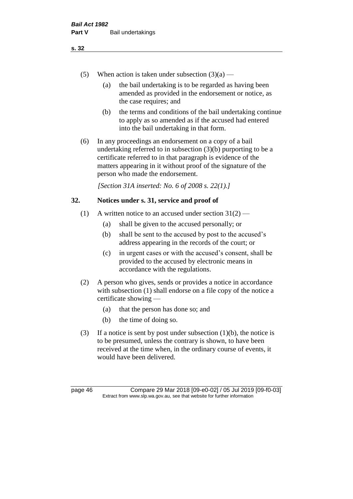- (5) When action is taken under subsection  $(3)(a)$ 
	- (a) the bail undertaking is to be regarded as having been amended as provided in the endorsement or notice, as the case requires; and
	- (b) the terms and conditions of the bail undertaking continue to apply as so amended as if the accused had entered into the bail undertaking in that form.
- (6) In any proceedings an endorsement on a copy of a bail undertaking referred to in subsection (3)(b) purporting to be a certificate referred to in that paragraph is evidence of the matters appearing in it without proof of the signature of the person who made the endorsement.

*[Section 31A inserted: No. 6 of 2008 s. 22(1).]*

# **32. Notices under s. 31, service and proof of**

- (1) A written notice to an accused under section  $31(2)$ 
	- (a) shall be given to the accused personally; or
	- (b) shall be sent to the accused by post to the accused's address appearing in the records of the court; or
	- (c) in urgent cases or with the accused's consent, shall be provided to the accused by electronic means in accordance with the regulations.
- (2) A person who gives, sends or provides a notice in accordance with subsection (1) shall endorse on a file copy of the notice a certificate showing —
	- (a) that the person has done so; and
	- (b) the time of doing so.
- (3) If a notice is sent by post under subsection  $(1)(b)$ , the notice is to be presumed, unless the contrary is shown, to have been received at the time when, in the ordinary course of events, it would have been delivered.

page 46 Compare 29 Mar 2018 [09-e0-02] / 05 Jul 2019 [09-f0-03] Extract from www.slp.wa.gov.au, see that website for further information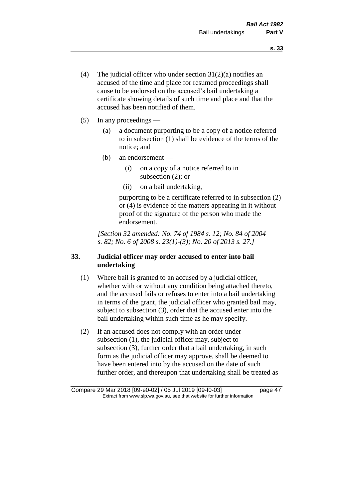- (4) The judicial officer who under section  $31(2)(a)$  notifies an accused of the time and place for resumed proceedings shall cause to be endorsed on the accused's bail undertaking a certificate showing details of such time and place and that the accused has been notified of them.
- (5) In any proceedings
	- (a) a document purporting to be a copy of a notice referred to in subsection (1) shall be evidence of the terms of the notice; and
	- (b) an endorsement
		- (i) on a copy of a notice referred to in subsection (2); or
		- (ii) on a bail undertaking,

purporting to be a certificate referred to in subsection (2) or (4) is evidence of the matters appearing in it without proof of the signature of the person who made the endorsement.

*[Section 32 amended: No. 74 of 1984 s. 12; No. 84 of 2004 s. 82; No. 6 of 2008 s. 23(1)-(3); No. 20 of 2013 s. 27.]* 

# **33. Judicial officer may order accused to enter into bail undertaking**

- (1) Where bail is granted to an accused by a judicial officer, whether with or without any condition being attached thereto, and the accused fails or refuses to enter into a bail undertaking in terms of the grant, the judicial officer who granted bail may, subject to subsection (3), order that the accused enter into the bail undertaking within such time as he may specify.
- (2) If an accused does not comply with an order under subsection (1), the judicial officer may, subject to subsection (3), further order that a bail undertaking, in such form as the judicial officer may approve, shall be deemed to have been entered into by the accused on the date of such further order, and thereupon that undertaking shall be treated as

Compare 29 Mar 2018 [09-e0-02] / 05 Jul 2019 [09-f0-03] page 47 Extract from www.slp.wa.gov.au, see that website for further information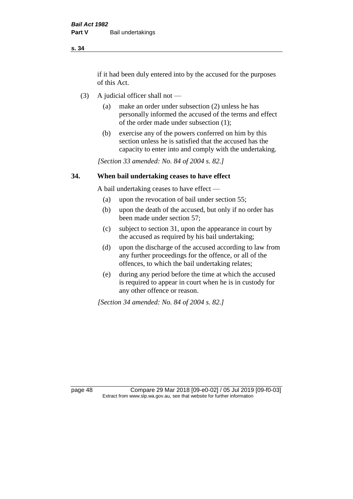if it had been duly entered into by the accused for the purposes of this Act.

- (3) A judicial officer shall not
	- (a) make an order under subsection (2) unless he has personally informed the accused of the terms and effect of the order made under subsection (1);
	- (b) exercise any of the powers conferred on him by this section unless he is satisfied that the accused has the capacity to enter into and comply with the undertaking.

*[Section 33 amended: No. 84 of 2004 s. 82.]* 

## **34. When bail undertaking ceases to have effect**

A bail undertaking ceases to have effect —

- (a) upon the revocation of bail under section 55;
- (b) upon the death of the accused, but only if no order has been made under section 57;
- (c) subject to section 31, upon the appearance in court by the accused as required by his bail undertaking;
- (d) upon the discharge of the accused according to law from any further proceedings for the offence, or all of the offences, to which the bail undertaking relates;
- (e) during any period before the time at which the accused is required to appear in court when he is in custody for any other offence or reason.

*[Section 34 amended: No. 84 of 2004 s. 82.]* 

page 48 Compare 29 Mar 2018 [09-e0-02] / 05 Jul 2019 [09-f0-03] Extract from www.slp.wa.gov.au, see that website for further information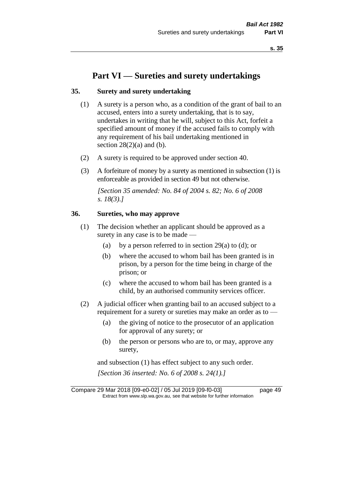# **Part VI — Sureties and surety undertakings**

### **35. Surety and surety undertaking**

- (1) A surety is a person who, as a condition of the grant of bail to an accused, enters into a surety undertaking, that is to say, undertakes in writing that he will, subject to this Act, forfeit a specified amount of money if the accused fails to comply with any requirement of his bail undertaking mentioned in section  $28(2)(a)$  and (b).
- (2) A surety is required to be approved under section 40.
- (3) A forfeiture of money by a surety as mentioned in subsection (1) is enforceable as provided in section 49 but not otherwise.

*[Section 35 amended: No. 84 of 2004 s. 82; No. 6 of 2008 s. 18(3).]* 

## **36. Sureties, who may approve**

- (1) The decision whether an applicant should be approved as a surety in any case is to be made —
	- (a) by a person referred to in section 29(a) to (d); or
	- (b) where the accused to whom bail has been granted is in prison, by a person for the time being in charge of the prison; or
	- (c) where the accused to whom bail has been granted is a child, by an authorised community services officer.
- (2) A judicial officer when granting bail to an accused subject to a requirement for a surety or sureties may make an order as to -
	- (a) the giving of notice to the prosecutor of an application for approval of any surety; or
	- (b) the person or persons who are to, or may, approve any surety,

and subsection (1) has effect subject to any such order. *[Section 36 inserted: No. 6 of 2008 s. 24(1).]*

Compare 29 Mar 2018 [09-e0-02] / 05 Jul 2019 [09-f0-03] page 49 Extract from www.slp.wa.gov.au, see that website for further information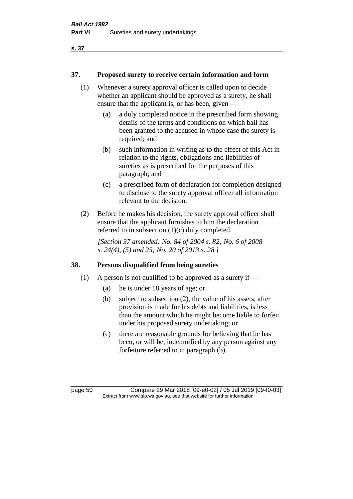#### **37. Proposed surety to receive certain information and form**

- (1) Whenever a surety approval officer is called upon to decide whether an applicant should be approved as a surety, he shall ensure that the applicant is, or has been, given —
	- (a) a duly completed notice in the prescribed form showing details of the terms and conditions on which bail has been granted to the accused in whose case the surety is required; and
	- (b) such information in writing as to the effect of this Act in relation to the rights, obligations and liabilities of sureties as is prescribed for the purposes of this paragraph; and
	- (c) a prescribed form of declaration for completion designed to disclose to the surety approval officer all information relevant to the decision.
- (2) Before he makes his decision, the surety approval officer shall ensure that the applicant furnishes to him the declaration referred to in subsection (1)(c) duly completed.

*[Section 37 amended: No. 84 of 2004 s. 82; No. 6 of 2008 s. 24(4), (5) and 25; No. 20 of 2013 s. 28.]* 

# **38. Persons disqualified from being sureties**

- (1) A person is not qualified to be approved as a surety if  $-$ 
	- (a) he is under 18 years of age; or
	- (b) subject to subsection (2), the value of his assets, after provision is made for his debts and liabilities, is less than the amount which he might become liable to forfeit under his proposed surety undertaking; or
	- (c) there are reasonable grounds for believing that he has been, or will be, indemnified by any person against any forfeiture referred to in paragraph (b).

page 50 Compare 29 Mar 2018 [09-e0-02] / 05 Jul 2019 [09-f0-03] Extract from www.slp.wa.gov.au, see that website for further information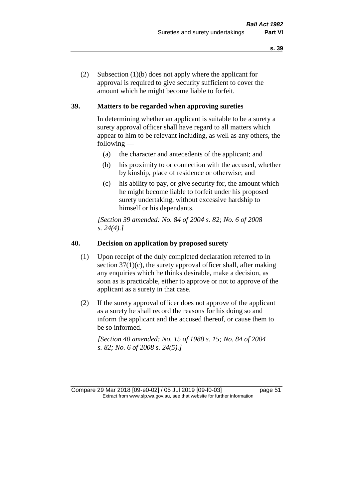(2) Subsection (1)(b) does not apply where the applicant for approval is required to give security sufficient to cover the amount which he might become liable to forfeit.

# **39. Matters to be regarded when approving sureties**

In determining whether an applicant is suitable to be a surety a surety approval officer shall have regard to all matters which appear to him to be relevant including, as well as any others, the following —

- (a) the character and antecedents of the applicant; and
- (b) his proximity to or connection with the accused, whether by kinship, place of residence or otherwise; and
- (c) his ability to pay, or give security for, the amount which he might become liable to forfeit under his proposed surety undertaking, without excessive hardship to himself or his dependants.

*[Section 39 amended: No. 84 of 2004 s. 82; No. 6 of 2008 s. 24(4).]* 

#### **40. Decision on application by proposed surety**

- (1) Upon receipt of the duly completed declaration referred to in section  $37(1)(c)$ , the surety approval officer shall, after making any enquiries which he thinks desirable, make a decision, as soon as is practicable, either to approve or not to approve of the applicant as a surety in that case.
- (2) If the surety approval officer does not approve of the applicant as a surety he shall record the reasons for his doing so and inform the applicant and the accused thereof, or cause them to be so informed.

*[Section 40 amended: No. 15 of 1988 s. 15; No. 84 of 2004 s. 82; No. 6 of 2008 s. 24(5).]* 

Compare 29 Mar 2018 [09-e0-02] / 05 Jul 2019 [09-f0-03] page 51 Extract from www.slp.wa.gov.au, see that website for further information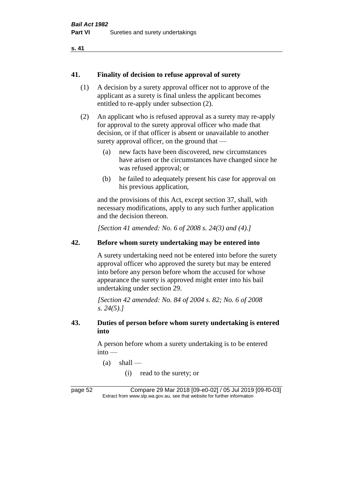#### **41. Finality of decision to refuse approval of surety**

- (1) A decision by a surety approval officer not to approve of the applicant as a surety is final unless the applicant becomes entitled to re-apply under subsection (2).
- (2) An applicant who is refused approval as a surety may re-apply for approval to the surety approval officer who made that decision, or if that officer is absent or unavailable to another surety approval officer, on the ground that —
	- (a) new facts have been discovered, new circumstances have arisen or the circumstances have changed since he was refused approval; or
	- (b) he failed to adequately present his case for approval on his previous application,

and the provisions of this Act, except section 37, shall, with necessary modifications, apply to any such further application and the decision thereon.

*[Section 41 amended: No. 6 of 2008 s. 24(3) and (4).]*

# **42. Before whom surety undertaking may be entered into**

A surety undertaking need not be entered into before the surety approval officer who approved the surety but may be entered into before any person before whom the accused for whose appearance the surety is approved might enter into his bail undertaking under section 29.

*[Section 42 amended: No. 84 of 2004 s. 82; No. 6 of 2008 s. 24(5).]* 

#### **43. Duties of person before whom surety undertaking is entered into**

A person before whom a surety undertaking is to be entered into —

- $(a)$  shall
	- (i) read to the surety; or

page 52 Compare 29 Mar 2018 [09-e0-02] / 05 Jul 2019 [09-f0-03] Extract from www.slp.wa.gov.au, see that website for further information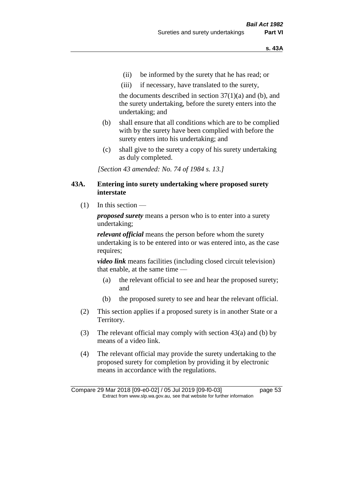- (ii) be informed by the surety that he has read; or
- (iii) if necessary, have translated to the surety,

the documents described in section  $37(1)(a)$  and (b), and the surety undertaking, before the surety enters into the undertaking; and

- (b) shall ensure that all conditions which are to be complied with by the surety have been complied with before the surety enters into his undertaking; and
- (c) shall give to the surety a copy of his surety undertaking as duly completed.

*[Section 43 amended: No. 74 of 1984 s. 13.]* 

#### **43A. Entering into surety undertaking where proposed surety interstate**

 $(1)$  In this section —

*proposed surety* means a person who is to enter into a surety undertaking;

*relevant official* means the person before whom the surety undertaking is to be entered into or was entered into, as the case requires;

*video link* means facilities (including closed circuit television) that enable, at the same time —

- (a) the relevant official to see and hear the proposed surety; and
- (b) the proposed surety to see and hear the relevant official.
- (2) This section applies if a proposed surety is in another State or a Territory.
- (3) The relevant official may comply with section 43(a) and (b) by means of a video link.
- (4) The relevant official may provide the surety undertaking to the proposed surety for completion by providing it by electronic means in accordance with the regulations.

Compare 29 Mar 2018 [09-e0-02] / 05 Jul 2019 [09-f0-03] page 53 Extract from www.slp.wa.gov.au, see that website for further information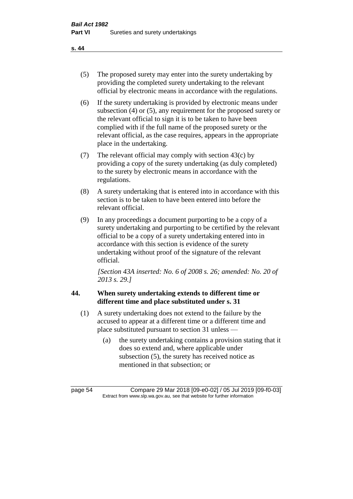- (5) The proposed surety may enter into the surety undertaking by providing the completed surety undertaking to the relevant official by electronic means in accordance with the regulations.
- (6) If the surety undertaking is provided by electronic means under subsection (4) or (5), any requirement for the proposed surety or the relevant official to sign it is to be taken to have been complied with if the full name of the proposed surety or the relevant official, as the case requires, appears in the appropriate place in the undertaking.
- (7) The relevant official may comply with section 43(c) by providing a copy of the surety undertaking (as duly completed) to the surety by electronic means in accordance with the regulations.
- (8) A surety undertaking that is entered into in accordance with this section is to be taken to have been entered into before the relevant official.
- (9) In any proceedings a document purporting to be a copy of a surety undertaking and purporting to be certified by the relevant official to be a copy of a surety undertaking entered into in accordance with this section is evidence of the surety undertaking without proof of the signature of the relevant official.

*[Section 43A inserted: No. 6 of 2008 s. 26; amended: No. 20 of 2013 s. 29.]*

# **44. When surety undertaking extends to different time or different time and place substituted under s. 31**

- (1) A surety undertaking does not extend to the failure by the accused to appear at a different time or a different time and place substituted pursuant to section 31 unless —
	- (a) the surety undertaking contains a provision stating that it does so extend and, where applicable under subsection (5), the surety has received notice as mentioned in that subsection; or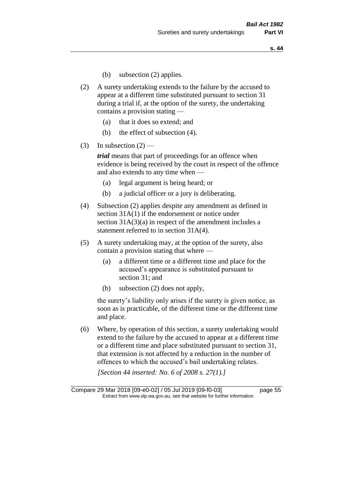- (b) subsection (2) applies.
- (2) A surety undertaking extends to the failure by the accused to appear at a different time substituted pursuant to section 31 during a trial if, at the option of the surety, the undertaking contains a provision stating —
	- (a) that it does so extend; and
	- (b) the effect of subsection (4).
- (3) In subsection  $(2)$  —

*trial* means that part of proceedings for an offence when evidence is being received by the court in respect of the offence and also extends to any time when —

- (a) legal argument is being heard; or
- (b) a judicial officer or a jury is deliberating.
- (4) Subsection (2) applies despite any amendment as defined in section 31A(1) if the endorsement or notice under section 31A(3)(a) in respect of the amendment includes a statement referred to in section 31A(4).
- (5) A surety undertaking may, at the option of the surety, also contain a provision stating that where —
	- (a) a different time or a different time and place for the accused's appearance is substituted pursuant to section 31; and
	- (b) subsection (2) does not apply,

the surety's liability only arises if the surety is given notice, as soon as is practicable, of the different time or the different time and place.

(6) Where, by operation of this section, a surety undertaking would extend to the failure by the accused to appear at a different time or a different time and place substituted pursuant to section 31, that extension is not affected by a reduction in the number of offences to which the accused's bail undertaking relates.

*[Section 44 inserted: No. 6 of 2008 s. 27(1).]*

Compare 29 Mar 2018 [09-e0-02] / 05 Jul 2019 [09-f0-03] page 55 Extract from www.slp.wa.gov.au, see that website for further information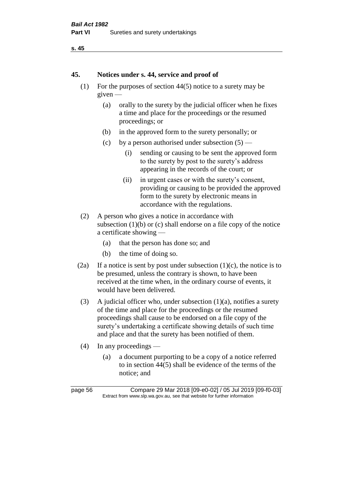```
s. 45
```
#### **45. Notices under s. 44, service and proof of**

- (1) For the purposes of section 44(5) notice to a surety may be given —
	- (a) orally to the surety by the judicial officer when he fixes a time and place for the proceedings or the resumed proceedings; or
	- (b) in the approved form to the surety personally; or
	- (c) by a person authorised under subsection  $(5)$ 
		- (i) sending or causing to be sent the approved form to the surety by post to the surety's address appearing in the records of the court; or
		- (ii) in urgent cases or with the surety's consent, providing or causing to be provided the approved form to the surety by electronic means in accordance with the regulations.
- (2) A person who gives a notice in accordance with subsection  $(1)(b)$  or  $(c)$  shall endorse on a file copy of the notice a certificate showing —
	- (a) that the person has done so; and
	- (b) the time of doing so.
- (2a) If a notice is sent by post under subsection  $(1)(c)$ , the notice is to be presumed, unless the contrary is shown, to have been received at the time when, in the ordinary course of events, it would have been delivered.
- (3) A judicial officer who, under subsection  $(1)(a)$ , notifies a surety of the time and place for the proceedings or the resumed proceedings shall cause to be endorsed on a file copy of the surety's undertaking a certificate showing details of such time and place and that the surety has been notified of them.
- (4) In any proceedings
	- (a) a document purporting to be a copy of a notice referred to in section 44(5) shall be evidence of the terms of the notice; and

page 56 Compare 29 Mar 2018 [09-e0-02] / 05 Jul 2019 [09-f0-03] Extract from www.slp.wa.gov.au, see that website for further information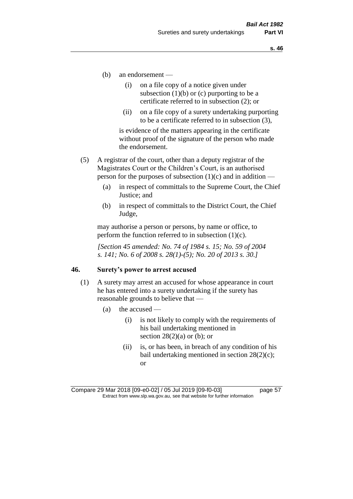- (b) an endorsement
	- (i) on a file copy of a notice given under subsection  $(1)(b)$  or  $(c)$  purporting to be a certificate referred to in subsection (2); or
	- (ii) on a file copy of a surety undertaking purporting to be a certificate referred to in subsection (3),

is evidence of the matters appearing in the certificate without proof of the signature of the person who made the endorsement.

- (5) A registrar of the court, other than a deputy registrar of the Magistrates Court or the Children's Court, is an authorised person for the purposes of subsection  $(1)(c)$  and in addition —
	- (a) in respect of committals to the Supreme Court, the Chief Justice; and
	- (b) in respect of committals to the District Court, the Chief Judge,

may authorise a person or persons, by name or office, to perform the function referred to in subsection  $(1)(c)$ .

*[Section 45 amended: No. 74 of 1984 s. 15; No. 59 of 2004 s. 141; No. 6 of 2008 s. 28(1)-(5); No. 20 of 2013 s. 30.]* 

#### **46. Surety's power to arrest accused**

- (1) A surety may arrest an accused for whose appearance in court he has entered into a surety undertaking if the surety has reasonable grounds to believe that —
	- (a) the accused
		- (i) is not likely to comply with the requirements of his bail undertaking mentioned in section  $28(2)(a)$  or (b); or
		- (ii) is, or has been, in breach of any condition of his bail undertaking mentioned in section 28(2)(c); or

Compare 29 Mar 2018 [09-e0-02] / 05 Jul 2019 [09-f0-03] page 57 Extract from www.slp.wa.gov.au, see that website for further information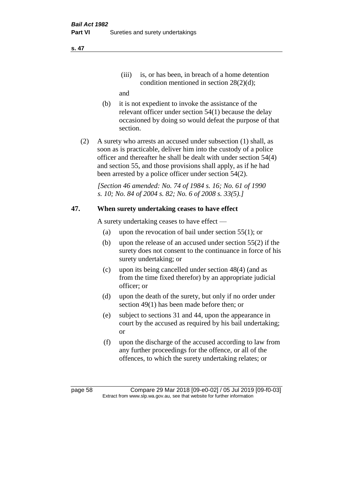(iii) is, or has been, in breach of a home detention condition mentioned in section 28(2)(d);

and

- (b) it is not expedient to invoke the assistance of the relevant officer under section 54(1) because the delay occasioned by doing so would defeat the purpose of that section.
- (2) A surety who arrests an accused under subsection (1) shall, as soon as is practicable, deliver him into the custody of a police officer and thereafter he shall be dealt with under section 54(4) and section 55, and those provisions shall apply, as if he had been arrested by a police officer under section 54(2).

*[Section 46 amended: No. 74 of 1984 s. 16; No. 61 of 1990 s. 10; No. 84 of 2004 s. 82; No. 6 of 2008 s. 33(5).]* 

# **47. When surety undertaking ceases to have effect**

A surety undertaking ceases to have effect —

- (a) upon the revocation of bail under section 55(1); or
- (b) upon the release of an accused under section 55(2) if the surety does not consent to the continuance in force of his surety undertaking; or
- (c) upon its being cancelled under section 48(4) (and as from the time fixed therefor) by an appropriate judicial officer; or
- (d) upon the death of the surety, but only if no order under section 49(1) has been made before then; or
- (e) subject to sections 31 and 44, upon the appearance in court by the accused as required by his bail undertaking; or
- (f) upon the discharge of the accused according to law from any further proceedings for the offence, or all of the offences, to which the surety undertaking relates; or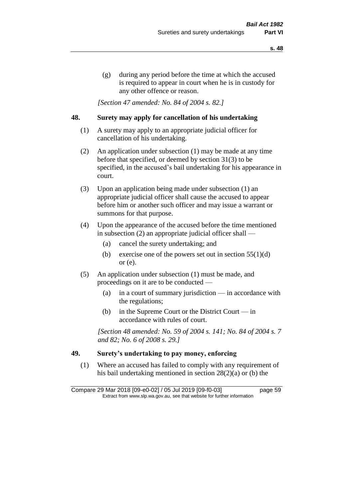(g) during any period before the time at which the accused is required to appear in court when he is in custody for any other offence or reason.

*[Section 47 amended: No. 84 of 2004 s. 82.]* 

#### **48. Surety may apply for cancellation of his undertaking**

- (1) A surety may apply to an appropriate judicial officer for cancellation of his undertaking.
- (2) An application under subsection (1) may be made at any time before that specified, or deemed by section 31(3) to be specified, in the accused's bail undertaking for his appearance in court.
- (3) Upon an application being made under subsection (1) an appropriate judicial officer shall cause the accused to appear before him or another such officer and may issue a warrant or summons for that purpose.
- (4) Upon the appearance of the accused before the time mentioned in subsection (2) an appropriate judicial officer shall —
	- (a) cancel the surety undertaking; and
	- (b) exercise one of the powers set out in section  $55(1)(d)$ or (e).
- (5) An application under subsection (1) must be made, and proceedings on it are to be conducted —
	- (a) in a court of summary jurisdiction in accordance with the regulations;
	- (b) in the Supreme Court or the District Court  $-\text{in}$ accordance with rules of court.

*[Section 48 amended: No. 59 of 2004 s. 141; No. 84 of 2004 s. 7 and 82; No. 6 of 2008 s. 29.]* 

#### **49. Surety's undertaking to pay money, enforcing**

(1) Where an accused has failed to comply with any requirement of his bail undertaking mentioned in section 28(2)(a) or (b) the

Compare 29 Mar 2018 [09-e0-02] / 05 Jul 2019 [09-f0-03] page 59 Extract from www.slp.wa.gov.au, see that website for further information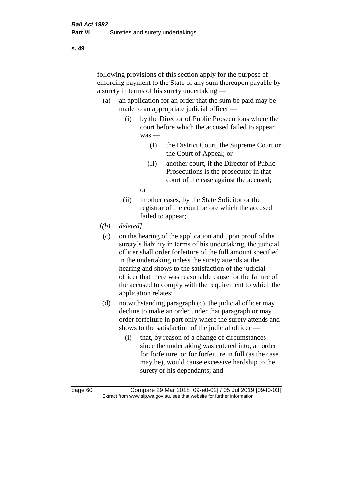following provisions of this section apply for the purpose of enforcing payment to the State of any sum thereupon payable by a surety in terms of his surety undertaking —

- (a) an application for an order that the sum be paid may be made to an appropriate judicial officer —
	- (i) by the Director of Public Prosecutions where the court before which the accused failed to appear was —
		- (I) the District Court, the Supreme Court or the Court of Appeal; or
		- (II) another court, if the Director of Public Prosecutions is the prosecutor in that court of the case against the accused;

or

- (ii) in other cases, by the State Solicitor or the registrar of the court before which the accused failed to appear;
- *[(b) deleted]*
	- (c) on the hearing of the application and upon proof of the surety's liability in terms of his undertaking, the judicial officer shall order forfeiture of the full amount specified in the undertaking unless the surety attends at the hearing and shows to the satisfaction of the judicial officer that there was reasonable cause for the failure of the accused to comply with the requirement to which the application relates;
- (d) notwithstanding paragraph (c), the judicial officer may decline to make an order under that paragraph or may order forfeiture in part only where the surety attends and shows to the satisfaction of the judicial officer —
	- (i) that, by reason of a change of circumstances since the undertaking was entered into, an order for forfeiture, or for forfeiture in full (as the case may be), would cause excessive hardship to the surety or his dependants; and

page 60 Compare 29 Mar 2018 [09-e0-02] / 05 Jul 2019 [09-f0-03] Extract from www.slp.wa.gov.au, see that website for further information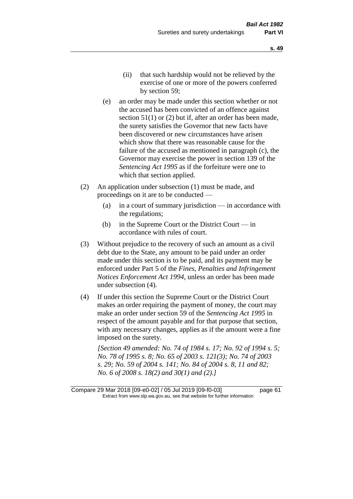- (e) an order may be made under this section whether or not the accused has been convicted of an offence against section 51(1) or (2) but if, after an order has been made, the surety satisfies the Governor that new facts have been discovered or new circumstances have arisen which show that there was reasonable cause for the failure of the accused as mentioned in paragraph (c), the Governor may exercise the power in section 139 of the *Sentencing Act 1995* as if the forfeiture were one to which that section applied.
- (2) An application under subsection (1) must be made, and proceedings on it are to be conducted —
	- (a) in a court of summary jurisdiction in accordance with the regulations;
	- (b) in the Supreme Court or the District Court  $-\text{in}$ accordance with rules of court.
- (3) Without prejudice to the recovery of such an amount as a civil debt due to the State, any amount to be paid under an order made under this section is to be paid, and its payment may be enforced under Part 5 of the *Fines, Penalties and Infringement Notices Enforcement Act 1994*, unless an order has been made under subsection (4).
- (4) If under this section the Supreme Court or the District Court makes an order requiring the payment of money, the court may make an order under section 59 of the *Sentencing Act 1995* in respect of the amount payable and for that purpose that section, with any necessary changes, applies as if the amount were a fine imposed on the surety.

*[Section 49 amended: No. 74 of 1984 s. 17; No. 92 of 1994 s. 5; No. 78 of 1995 s. 8; No. 65 of 2003 s. 121(3); No. 74 of 2003 s. 29; No. 59 of 2004 s. 141; No. 84 of 2004 s. 8, 11 and 82; No. 6 of 2008 s. 18(2) and 30(1) and (2).]* 

Compare 29 Mar 2018 [09-e0-02] / 05 Jul 2019 [09-f0-03] page 61 Extract from www.slp.wa.gov.au, see that website for further information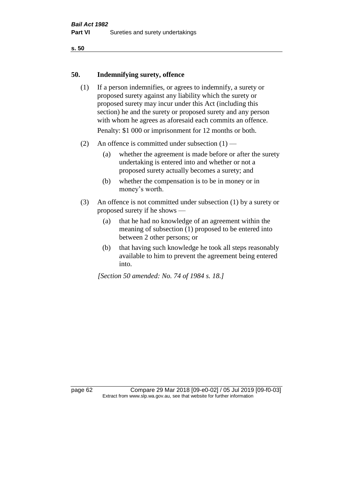#### **50. Indemnifying surety, offence**

- (1) If a person indemnifies, or agrees to indemnify, a surety or proposed surety against any liability which the surety or proposed surety may incur under this Act (including this section) he and the surety or proposed surety and any person with whom he agrees as aforesaid each commits an offence. Penalty: \$1 000 or imprisonment for 12 months or both.
- (2) An offence is committed under subsection  $(1)$ 
	- (a) whether the agreement is made before or after the surety undertaking is entered into and whether or not a proposed surety actually becomes a surety; and
	- (b) whether the compensation is to be in money or in money's worth.
- (3) An offence is not committed under subsection (1) by a surety or proposed surety if he shows —
	- (a) that he had no knowledge of an agreement within the meaning of subsection (1) proposed to be entered into between 2 other persons; or
	- (b) that having such knowledge he took all steps reasonably available to him to prevent the agreement being entered into.

*[Section 50 amended: No. 74 of 1984 s. 18.]* 

page 62 Compare 29 Mar 2018 [09-e0-02] / 05 Jul 2019 [09-f0-03] Extract from www.slp.wa.gov.au, see that website for further information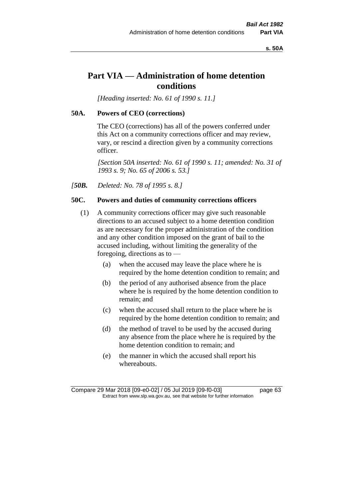**s. 50A**

# **Part VIA — Administration of home detention conditions**

*[Heading inserted: No. 61 of 1990 s. 11.]* 

#### **50A. Powers of CEO (corrections)**

The CEO (corrections) has all of the powers conferred under this Act on a community corrections officer and may review, vary, or rescind a direction given by a community corrections officer.

*[Section 50A inserted: No. 61 of 1990 s. 11; amended: No. 31 of 1993 s. 9; No. 65 of 2006 s. 53.]* 

*[50B. Deleted: No. 78 of 1995 s. 8.]* 

# **50C. Powers and duties of community corrections officers**

- (1) A community corrections officer may give such reasonable directions to an accused subject to a home detention condition as are necessary for the proper administration of the condition and any other condition imposed on the grant of bail to the accused including, without limiting the generality of the foregoing, directions as to —
	- (a) when the accused may leave the place where he is required by the home detention condition to remain; and
	- (b) the period of any authorised absence from the place where he is required by the home detention condition to remain; and
	- (c) when the accused shall return to the place where he is required by the home detention condition to remain; and
	- (d) the method of travel to be used by the accused during any absence from the place where he is required by the home detention condition to remain; and
	- (e) the manner in which the accused shall report his whereabouts.

Compare 29 Mar 2018 [09-e0-02] / 05 Jul 2019 [09-f0-03] page 63 Extract from www.slp.wa.gov.au, see that website for further information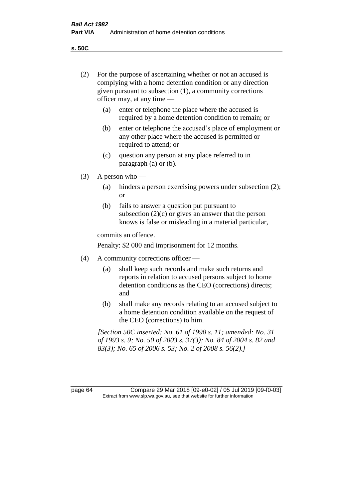**s. 50C**

| (2)     | For the purpose of ascertaining whether or not an accused is<br>complying with a home detention condition or any direction<br>given pursuant to subsection $(1)$ , a community corrections<br>officer may, at any time - |                                                                                                                                                                                          |  |
|---------|--------------------------------------------------------------------------------------------------------------------------------------------------------------------------------------------------------------------------|------------------------------------------------------------------------------------------------------------------------------------------------------------------------------------------|--|
|         | (a)                                                                                                                                                                                                                      | enter or telephone the place where the accused is<br>required by a home detention condition to remain; or                                                                                |  |
|         | (b)                                                                                                                                                                                                                      | enter or telephone the accused's place of employment or<br>any other place where the accused is permitted or<br>required to attend; or                                                   |  |
|         | (c)                                                                                                                                                                                                                      | question any person at any place referred to in<br>paragraph $(a)$ or $(b)$ .                                                                                                            |  |
| (3)     | A person who $-$                                                                                                                                                                                                         |                                                                                                                                                                                          |  |
|         | (a)                                                                                                                                                                                                                      | hinders a person exercising powers under subsection (2);<br><sub>or</sub>                                                                                                                |  |
|         | (b)                                                                                                                                                                                                                      | fails to answer a question put pursuant to<br>subsection $(2)(c)$ or gives an answer that the person<br>knows is false or misleading in a material particular,                           |  |
|         | commits an offence.                                                                                                                                                                                                      |                                                                                                                                                                                          |  |
|         |                                                                                                                                                                                                                          | Penalty: \$2 000 and imprisonment for 12 months.                                                                                                                                         |  |
| (4)     | A community corrections officer —                                                                                                                                                                                        |                                                                                                                                                                                          |  |
|         | (a)                                                                                                                                                                                                                      | shall keep such records and make such returns and<br>reports in relation to accused persons subject to home<br>detention conditions as the CEO (corrections) directs;<br>and             |  |
|         | (b)                                                                                                                                                                                                                      | shall make any records relating to an accused subject to<br>a home detention condition available on the request of<br>the CEO (corrections) to him.                                      |  |
|         |                                                                                                                                                                                                                          | [Section 50C inserted: No. 61 of 1990 s. 11; amended: No. 31<br>of 1993 s. 9; No. 50 of 2003 s. 37(3); No. 84 of 2004 s. 82 and<br>83(3); No. 65 of 2006 s. 53; No. 2 of 2008 s. 56(2).] |  |
| page 64 |                                                                                                                                                                                                                          | Compare 29 Mar 2018 [09-e0-02] / 05 Jul 2019 [09-f0-03]<br>Extract from www.slp.wa.gov.au, see that website for further information                                                      |  |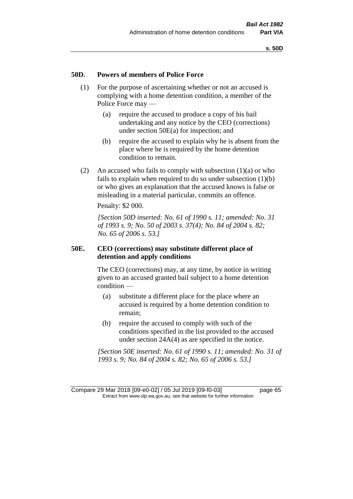#### **50D. Powers of members of Police Force**

- (1) For the purpose of ascertaining whether or not an accused is complying with a home detention condition, a member of the Police Force may —
	- (a) require the accused to produce a copy of his bail undertaking and any notice by the CEO (corrections) under section 50E(a) for inspection; and
	- (b) require the accused to explain why he is absent from the place where he is required by the home detention condition to remain.
- (2) An accused who fails to comply with subsection  $(1)(a)$  or who fails to explain when required to do so under subsection (1)(b) or who gives an explanation that the accused knows is false or misleading in a material particular, commits an offence.

Penalty: \$2 000.

*[Section 50D inserted: No. 61 of 1990 s. 11; amended: No. 31 of 1993 s. 9; No. 50 of 2003 s. 37(4); No. 84 of 2004 s. 82; No. 65 of 2006 s. 53.]* 

#### **50E. CEO (corrections) may substitute different place of detention and apply conditions**

The CEO (corrections) may, at any time, by notice in writing given to an accused granted bail subject to a home detention condition —

- (a) substitute a different place for the place where an accused is required by a home detention condition to remain;
- (b) require the accused to comply with such of the conditions specified in the list provided to the accused under section 24A(4) as are specified in the notice.

*[Section 50E inserted: No. 61 of 1990 s. 11; amended: No. 31 of 1993 s. 9; No. 84 of 2004 s. 82; No. 65 of 2006 s. 53.]* 

Compare 29 Mar 2018 [09-e0-02] / 05 Jul 2019 [09-f0-03] page 65 Extract from www.slp.wa.gov.au, see that website for further information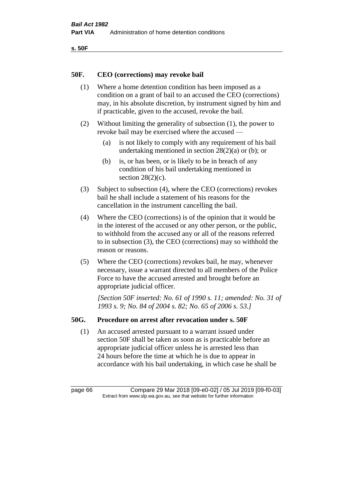```
s. 50F
```
### **50F. CEO (corrections) may revoke bail**

- (1) Where a home detention condition has been imposed as a condition on a grant of bail to an accused the CEO (corrections) may, in his absolute discretion, by instrument signed by him and if practicable, given to the accused, revoke the bail.
- (2) Without limiting the generality of subsection (1), the power to revoke bail may be exercised where the accused —
	- (a) is not likely to comply with any requirement of his bail undertaking mentioned in section 28(2)(a) or (b); or
	- (b) is, or has been, or is likely to be in breach of any condition of his bail undertaking mentioned in section  $28(2)(c)$ .
- (3) Subject to subsection (4), where the CEO (corrections) revokes bail he shall include a statement of his reasons for the cancellation in the instrument cancelling the bail.
- (4) Where the CEO (corrections) is of the opinion that it would be in the interest of the accused or any other person, or the public, to withhold from the accused any or all of the reasons referred to in subsection (3), the CEO (corrections) may so withhold the reason or reasons.
- (5) Where the CEO (corrections) revokes bail, he may, whenever necessary, issue a warrant directed to all members of the Police Force to have the accused arrested and brought before an appropriate judicial officer.

*[Section 50F inserted: No. 61 of 1990 s. 11; amended: No. 31 of 1993 s. 9; No. 84 of 2004 s. 82; No. 65 of 2006 s. 53.]* 

### **50G. Procedure on arrest after revocation under s. 50F**

(1) An accused arrested pursuant to a warrant issued under section 50F shall be taken as soon as is practicable before an appropriate judicial officer unless he is arrested less than 24 hours before the time at which he is due to appear in accordance with his bail undertaking, in which case he shall be

page 66 Compare 29 Mar 2018 [09-e0-02] / 05 Jul 2019 [09-f0-03] Extract from www.slp.wa.gov.au, see that website for further information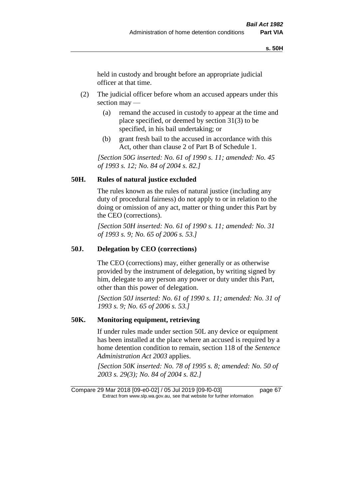held in custody and brought before an appropriate judicial officer at that time.

- (2) The judicial officer before whom an accused appears under this section may —
	- (a) remand the accused in custody to appear at the time and place specified, or deemed by section 31(3) to be specified, in his bail undertaking; or
	- (b) grant fresh bail to the accused in accordance with this Act, other than clause 2 of Part B of Schedule 1.

*[Section 50G inserted: No. 61 of 1990 s. 11; amended: No. 45 of 1993 s. 12; No. 84 of 2004 s. 82.]* 

### **50H. Rules of natural justice excluded**

The rules known as the rules of natural justice (including any duty of procedural fairness) do not apply to or in relation to the doing or omission of any act, matter or thing under this Part by the CEO (corrections).

*[Section 50H inserted: No. 61 of 1990 s. 11; amended: No. 31 of 1993 s. 9; No. 65 of 2006 s. 53.]* 

#### **50J. Delegation by CEO (corrections)**

The CEO (corrections) may, either generally or as otherwise provided by the instrument of delegation, by writing signed by him, delegate to any person any power or duty under this Part, other than this power of delegation.

*[Section 50J inserted: No. 61 of 1990 s. 11; amended: No. 31 of 1993 s. 9; No. 65 of 2006 s. 53.]* 

#### **50K. Monitoring equipment, retrieving**

If under rules made under section 50L any device or equipment has been installed at the place where an accused is required by a home detention condition to remain, section 118 of the *Sentence Administration Act 2003* applies.

*[Section 50K inserted: No. 78 of 1995 s. 8; amended: No. 50 of 2003 s. 29(3); No. 84 of 2004 s. 82.]* 

Compare 29 Mar 2018 [09-e0-02] / 05 Jul 2019 [09-f0-03] page 67 Extract from www.slp.wa.gov.au, see that website for further information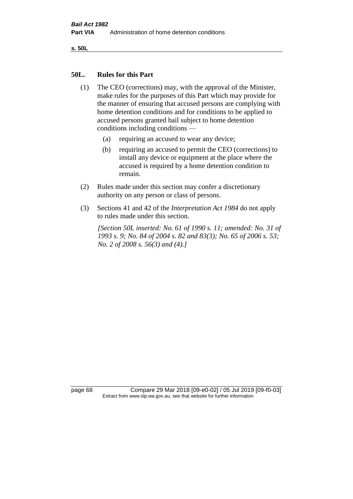**s. 50L**

#### **50L. Rules for this Part**

- (1) The CEO (corrections) may, with the approval of the Minister, make rules for the purposes of this Part which may provide for the manner of ensuring that accused persons are complying with home detention conditions and for conditions to be applied to accused persons granted bail subject to home detention conditions including conditions —
	- (a) requiring an accused to wear any device;
	- (b) requiring an accused to permit the CEO (corrections) to install any device or equipment at the place where the accused is required by a home detention condition to remain.
- (2) Rules made under this section may confer a discretionary authority on any person or class of persons.
- (3) Sections 41 and 42 of the *Interpretation Act 1984* do not apply to rules made under this section.

*[Section 50L inserted: No. 61 of 1990 s. 11; amended: No. 31 of 1993 s. 9; No. 84 of 2004 s. 82 and 83(3); No. 65 of 2006 s. 53; No. 2 of 2008 s. 56(3) and (4).]* 

page 68 Compare 29 Mar 2018 [09-e0-02] / 05 Jul 2019 [09-f0-03] Extract from www.slp.wa.gov.au, see that website for further information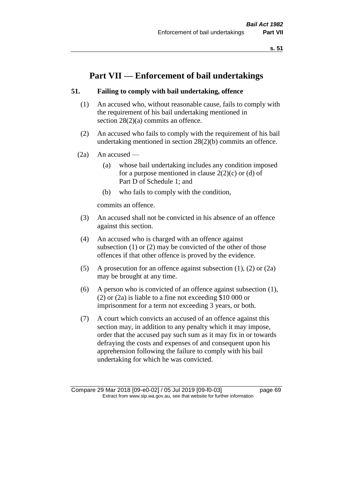# **Part VII — Enforcement of bail undertakings**

### **51. Failing to comply with bail undertaking, offence**

- (1) An accused who, without reasonable cause, fails to comply with the requirement of his bail undertaking mentioned in section 28(2)(a) commits an offence.
- (2) An accused who fails to comply with the requirement of his bail undertaking mentioned in section 28(2)(b) commits an offence.
- $(2a)$  An accused
	- (a) whose bail undertaking includes any condition imposed for a purpose mentioned in clause  $2(2)(c)$  or (d) of Part D of Schedule 1; and
	- (b) who fails to comply with the condition,

commits an offence.

- (3) An accused shall not be convicted in his absence of an offence against this section.
- (4) An accused who is charged with an offence against subsection (1) or (2) may be convicted of the other of those offences if that other offence is proved by the evidence.
- (5) A prosecution for an offence against subsection (1), (2) or (2a) may be brought at any time.
- (6) A person who is convicted of an offence against subsection (1), (2) or (2a) is liable to a fine not exceeding \$10 000 or imprisonment for a term not exceeding 3 years, or both.
- (7) A court which convicts an accused of an offence against this section may, in addition to any penalty which it may impose, order that the accused pay such sum as it may fix in or towards defraying the costs and expenses of and consequent upon his apprehension following the failure to comply with his bail undertaking for which he was convicted.

Compare 29 Mar 2018 [09-e0-02] / 05 Jul 2019 [09-f0-03] page 69 Extract from www.slp.wa.gov.au, see that website for further information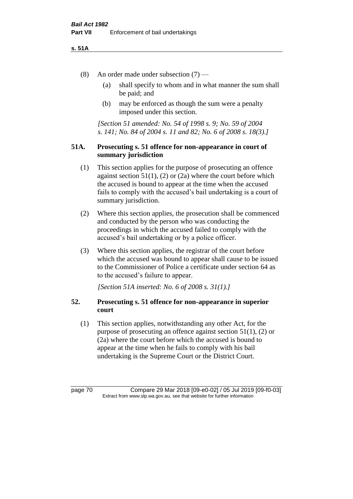#### **s. 51A**

- (8) An order made under subsection (7)
	- (a) shall specify to whom and in what manner the sum shall be paid; and
	- (b) may be enforced as though the sum were a penalty imposed under this section.

*[Section 51 amended: No. 54 of 1998 s. 9; No. 59 of 2004 s. 141; No. 84 of 2004 s. 11 and 82; No. 6 of 2008 s. 18(3).]*

### **51A. Prosecuting s. 51 offence for non-appearance in court of summary jurisdiction**

- (1) This section applies for the purpose of prosecuting an offence against section  $51(1)$ ,  $(2)$  or  $(2a)$  where the court before which the accused is bound to appear at the time when the accused fails to comply with the accused's bail undertaking is a court of summary jurisdiction.
- (2) Where this section applies, the prosecution shall be commenced and conducted by the person who was conducting the proceedings in which the accused failed to comply with the accused's bail undertaking or by a police officer.
- (3) Where this section applies, the registrar of the court before which the accused was bound to appear shall cause to be issued to the Commissioner of Police a certificate under section 64 as to the accused's failure to appear.

*[Section 51A inserted: No. 6 of 2008 s. 31(1).]*

# **52. Prosecuting s. 51 offence for non-appearance in superior court**

(1) This section applies, notwithstanding any other Act, for the purpose of prosecuting an offence against section 51(1), (2) or (2a) where the court before which the accused is bound to appear at the time when he fails to comply with his bail undertaking is the Supreme Court or the District Court.

page 70 Compare 29 Mar 2018 [09-e0-02] / 05 Jul 2019 [09-f0-03] Extract from www.slp.wa.gov.au, see that website for further information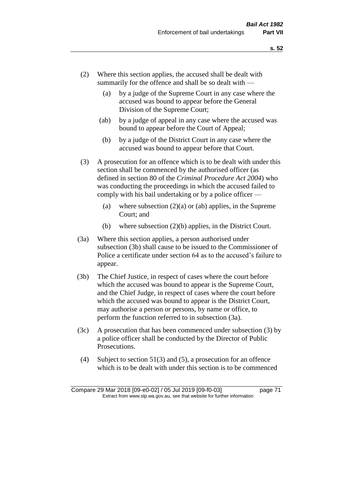- (2) Where this section applies, the accused shall be dealt with summarily for the offence and shall be so dealt with —
	- (a) by a judge of the Supreme Court in any case where the accused was bound to appear before the General Division of the Supreme Court;
	- (ab) by a judge of appeal in any case where the accused was bound to appear before the Court of Appeal;
	- (b) by a judge of the District Court in any case where the accused was bound to appear before that Court.
- (3) A prosecution for an offence which is to be dealt with under this section shall be commenced by the authorised officer (as defined in section 80 of the *Criminal Procedure Act 2004*) who was conducting the proceedings in which the accused failed to comply with his bail undertaking or by a police officer —
	- (a) where subsection  $(2)(a)$  or (ab) applies, in the Supreme Court; and
	- (b) where subsection (2)(b) applies, in the District Court.
- (3a) Where this section applies, a person authorised under subsection (3b) shall cause to be issued to the Commissioner of Police a certificate under section 64 as to the accused's failure to appear.
- (3b) The Chief Justice, in respect of cases where the court before which the accused was bound to appear is the Supreme Court, and the Chief Judge, in respect of cases where the court before which the accused was bound to appear is the District Court, may authorise a person or persons, by name or office, to perform the function referred to in subsection (3a).
- (3c) A prosecution that has been commenced under subsection (3) by a police officer shall be conducted by the Director of Public Prosecutions.
- (4) Subject to section 51(3) and (5), a prosecution for an offence which is to be dealt with under this section is to be commenced

Compare 29 Mar 2018 [09-e0-02] / 05 Jul 2019 [09-f0-03] page 71 Extract from www.slp.wa.gov.au, see that website for further information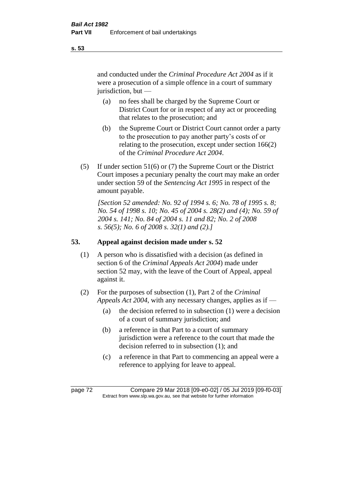and conducted under the *Criminal Procedure Act 2004* as if it were a prosecution of a simple offence in a court of summary jurisdiction, but —

- (a) no fees shall be charged by the Supreme Court or District Court for or in respect of any act or proceeding that relates to the prosecution; and
- (b) the Supreme Court or District Court cannot order a party to the prosecution to pay another party's costs of or relating to the prosecution, except under section 166(2) of the *Criminal Procedure Act 2004*.
- (5) If under section 51(6) or (7) the Supreme Court or the District Court imposes a pecuniary penalty the court may make an order under section 59 of the *Sentencing Act 1995* in respect of the amount payable.

*[Section 52 amended: No. 92 of 1994 s. 6; No. 78 of 1995 s. 8; No. 54 of 1998 s. 10; No. 45 of 2004 s. 28(2) and (4); No. 59 of 2004 s. 141; No. 84 of 2004 s. 11 and 82; No. 2 of 2008 s. 56(5); No. 6 of 2008 s. 32(1) and (2).]* 

# **53. Appeal against decision made under s. 52**

- (1) A person who is dissatisfied with a decision (as defined in section 6 of the *Criminal Appeals Act 2004*) made under section 52 may, with the leave of the Court of Appeal, appeal against it.
- (2) For the purposes of subsection (1), Part 2 of the *Criminal Appeals Act 2004*, with any necessary changes, applies as if —
	- (a) the decision referred to in subsection (1) were a decision of a court of summary jurisdiction; and
	- (b) a reference in that Part to a court of summary jurisdiction were a reference to the court that made the decision referred to in subsection (1); and
	- (c) a reference in that Part to commencing an appeal were a reference to applying for leave to appeal.

**s. 53**

page 72 Compare 29 Mar 2018 [09-e0-02] / 05 Jul 2019 [09-f0-03] Extract from www.slp.wa.gov.au, see that website for further information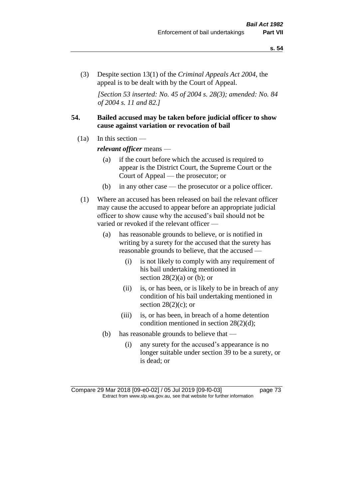(3) Despite section 13(1) of the *Criminal Appeals Act 2004*, the appeal is to be dealt with by the Court of Appeal.

*[Section 53 inserted: No. 45 of 2004 s. 28(3); amended: No. 84 of 2004 s. 11 and 82.]*

# **54. Bailed accused may be taken before judicial officer to show cause against variation or revocation of bail**

 $(1a)$  In this section —

*relevant officer* means —

- (a) if the court before which the accused is required to appear is the District Court, the Supreme Court or the Court of Appeal — the prosecutor; or
- (b) in any other case the prosecutor or a police officer.
- (1) Where an accused has been released on bail the relevant officer may cause the accused to appear before an appropriate judicial officer to show cause why the accused's bail should not be varied or revoked if the relevant officer —
	- (a) has reasonable grounds to believe, or is notified in writing by a surety for the accused that the surety has reasonable grounds to believe, that the accused —
		- (i) is not likely to comply with any requirement of his bail undertaking mentioned in section  $28(2)(a)$  or (b); or
		- (ii) is, or has been, or is likely to be in breach of any condition of his bail undertaking mentioned in section  $28(2)(c)$ ; or
		- (iii) is, or has been, in breach of a home detention condition mentioned in section 28(2)(d);
	- (b) has reasonable grounds to believe that
		- (i) any surety for the accused's appearance is no longer suitable under section 39 to be a surety, or is dead; or

Compare 29 Mar 2018 [09-e0-02] / 05 Jul 2019 [09-f0-03] page 73 Extract from www.slp.wa.gov.au, see that website for further information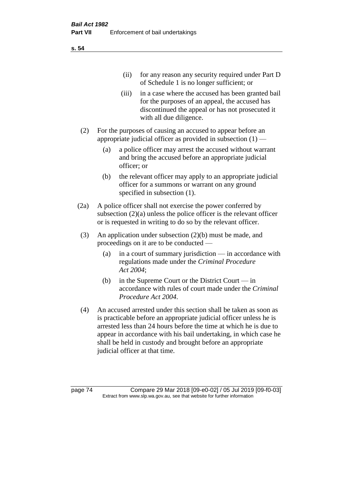(ii) for any reason any security required under Part D of Schedule 1 is no longer sufficient; or

- (iii) in a case where the accused has been granted bail for the purposes of an appeal, the accused has discontinued the appeal or has not prosecuted it with all due diligence.
- (2) For the purposes of causing an accused to appear before an appropriate judicial officer as provided in subsection (1) —
	- (a) a police officer may arrest the accused without warrant and bring the accused before an appropriate judicial officer; or
	- (b) the relevant officer may apply to an appropriate judicial officer for a summons or warrant on any ground specified in subsection (1).
- (2a) A police officer shall not exercise the power conferred by subsection (2)(a) unless the police officer is the relevant officer or is requested in writing to do so by the relevant officer.
- (3) An application under subsection (2)(b) must be made, and proceedings on it are to be conducted —
	- (a) in a court of summary jurisdiction in accordance with regulations made under the *Criminal Procedure Act 2004*;
	- (b) in the Supreme Court or the District Court  $-\text{in}$ accordance with rules of court made under the *Criminal Procedure Act 2004*.
- (4) An accused arrested under this section shall be taken as soon as is practicable before an appropriate judicial officer unless he is arrested less than 24 hours before the time at which he is due to appear in accordance with his bail undertaking, in which case he shall be held in custody and brought before an appropriate judicial officer at that time.

page 74 Compare 29 Mar 2018 [09-e0-02] / 05 Jul 2019 [09-f0-03] Extract from www.slp.wa.gov.au, see that website for further information

**s. 54**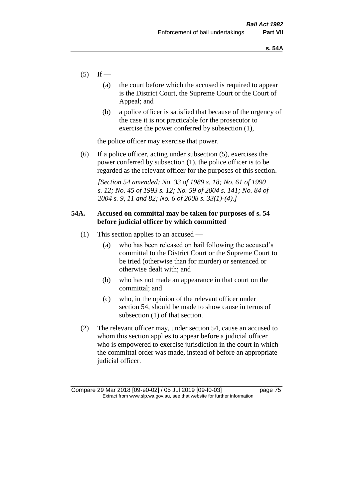- $(5)$  If
	- (a) the court before which the accused is required to appear is the District Court, the Supreme Court or the Court of Appeal; and
	- (b) a police officer is satisfied that because of the urgency of the case it is not practicable for the prosecutor to exercise the power conferred by subsection (1),

the police officer may exercise that power.

(6) If a police officer, acting under subsection (5), exercises the power conferred by subsection (1), the police officer is to be regarded as the relevant officer for the purposes of this section.

*[Section 54 amended: No. 33 of 1989 s. 18; No. 61 of 1990 s. 12; No. 45 of 1993 s. 12; No. 59 of 2004 s. 141; No. 84 of 2004 s. 9, 11 and 82; No. 6 of 2008 s. 33(1)-(4).]* 

# **54A. Accused on committal may be taken for purposes of s. 54 before judicial officer by which committed**

- (1) This section applies to an accused
	- (a) who has been released on bail following the accused's committal to the District Court or the Supreme Court to be tried (otherwise than for murder) or sentenced or otherwise dealt with; and
	- (b) who has not made an appearance in that court on the committal; and
	- (c) who, in the opinion of the relevant officer under section 54, should be made to show cause in terms of subsection (1) of that section.
- (2) The relevant officer may, under section 54, cause an accused to whom this section applies to appear before a judicial officer who is empowered to exercise jurisdiction in the court in which the committal order was made, instead of before an appropriate judicial officer.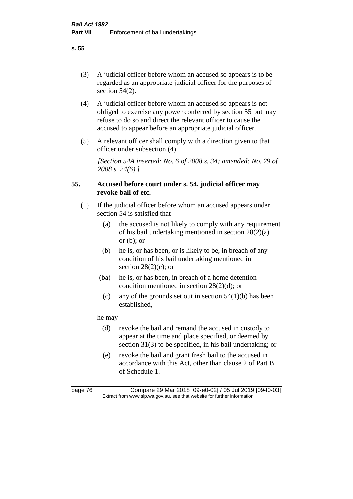(3) A judicial officer before whom an accused so appears is to be regarded as an appropriate judicial officer for the purposes of section 54(2).

- (4) A judicial officer before whom an accused so appears is not obliged to exercise any power conferred by section 55 but may refuse to do so and direct the relevant officer to cause the accused to appear before an appropriate judicial officer.
- (5) A relevant officer shall comply with a direction given to that officer under subsection (4).

*[Section 54A inserted: No. 6 of 2008 s. 34; amended: No. 29 of 2008 s. 24(6).]*

# **55. Accused before court under s. 54, judicial officer may revoke bail of etc.**

- (1) If the judicial officer before whom an accused appears under section 54 is satisfied that —
	- (a) the accused is not likely to comply with any requirement of his bail undertaking mentioned in section 28(2)(a) or  $(b)$ ; or
	- (b) he is, or has been, or is likely to be, in breach of any condition of his bail undertaking mentioned in section  $28(2)(c)$ ; or
	- (ba) he is, or has been, in breach of a home detention condition mentioned in section 28(2)(d); or
	- (c) any of the grounds set out in section  $54(1)(b)$  has been established,

he may —

- (d) revoke the bail and remand the accused in custody to appear at the time and place specified, or deemed by section 31(3) to be specified, in his bail undertaking; or
- (e) revoke the bail and grant fresh bail to the accused in accordance with this Act, other than clause 2 of Part B of Schedule 1.

page 76 Compare 29 Mar 2018 [09-e0-02] / 05 Jul 2019 [09-f0-03] Extract from www.slp.wa.gov.au, see that website for further information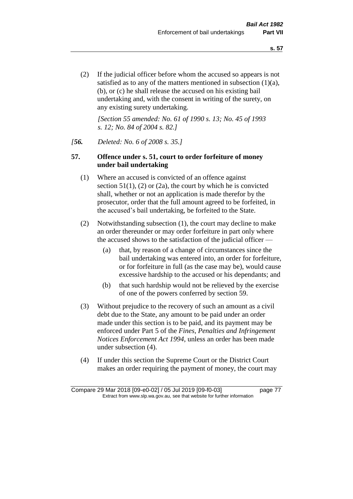(2) If the judicial officer before whom the accused so appears is not satisfied as to any of the matters mentioned in subsection (1)(a), (b), or (c) he shall release the accused on his existing bail undertaking and, with the consent in writing of the surety, on any existing surety undertaking.

*[Section 55 amended: No. 61 of 1990 s. 13; No. 45 of 1993 s. 12; No. 84 of 2004 s. 82.]* 

#### *[56. Deleted: No. 6 of 2008 s. 35.]*

# **57. Offence under s. 51, court to order forfeiture of money under bail undertaking**

- (1) Where an accused is convicted of an offence against section  $51(1)$ ,  $(2)$  or  $(2a)$ , the court by which he is convicted shall, whether or not an application is made therefor by the prosecutor, order that the full amount agreed to be forfeited, in the accused's bail undertaking, be forfeited to the State.
- (2) Notwithstanding subsection (1), the court may decline to make an order thereunder or may order forfeiture in part only where the accused shows to the satisfaction of the judicial officer —
	- (a) that, by reason of a change of circumstances since the bail undertaking was entered into, an order for forfeiture, or for forfeiture in full (as the case may be), would cause excessive hardship to the accused or his dependants; and
	- (b) that such hardship would not be relieved by the exercise of one of the powers conferred by section 59.
- (3) Without prejudice to the recovery of such an amount as a civil debt due to the State, any amount to be paid under an order made under this section is to be paid, and its payment may be enforced under Part 5 of the *Fines, Penalties and Infringement Notices Enforcement Act 1994*, unless an order has been made under subsection (4).
- (4) If under this section the Supreme Court or the District Court makes an order requiring the payment of money, the court may

Compare 29 Mar 2018 [09-e0-02] / 05 Jul 2019 [09-f0-03] page 77 Extract from www.slp.wa.gov.au, see that website for further information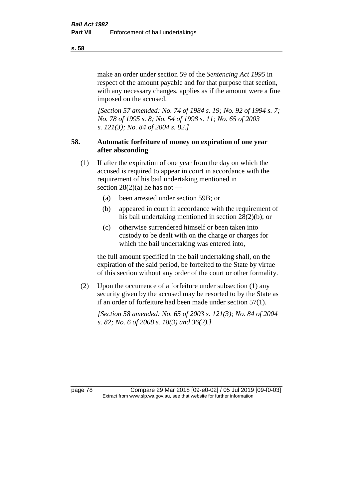make an order under section 59 of the *Sentencing Act 1995* in respect of the amount payable and for that purpose that section, with any necessary changes, applies as if the amount were a fine imposed on the accused.

*[Section 57 amended: No. 74 of 1984 s. 19; No. 92 of 1994 s. 7; No. 78 of 1995 s. 8; No. 54 of 1998 s. 11; No. 65 of 2003 s. 121(3); No. 84 of 2004 s. 82.]* 

# **58. Automatic forfeiture of money on expiration of one year after absconding**

- (1) If after the expiration of one year from the day on which the accused is required to appear in court in accordance with the requirement of his bail undertaking mentioned in section  $28(2)(a)$  he has not —
	- (a) been arrested under section 59B; or
	- (b) appeared in court in accordance with the requirement of his bail undertaking mentioned in section 28(2)(b); or
	- (c) otherwise surrendered himself or been taken into custody to be dealt with on the charge or charges for which the bail undertaking was entered into,

the full amount specified in the bail undertaking shall, on the expiration of the said period, be forfeited to the State by virtue of this section without any order of the court or other formality.

(2) Upon the occurrence of a forfeiture under subsection (1) any security given by the accused may be resorted to by the State as if an order of forfeiture had been made under section 57(1).

*[Section 58 amended: No. 65 of 2003 s. 121(3); No. 84 of 2004 s. 82; No. 6 of 2008 s. 18(3) and 36(2).]*

page 78 Compare 29 Mar 2018 [09-e0-02] / 05 Jul 2019 [09-f0-03] Extract from www.slp.wa.gov.au, see that website for further information

**s. 58**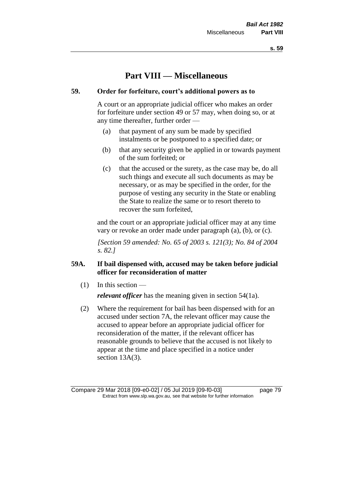**s. 59**

# **Part VIII — Miscellaneous**

# **59. Order for forfeiture, court's additional powers as to**

A court or an appropriate judicial officer who makes an order for forfeiture under section 49 or 57 may, when doing so, or at any time thereafter, further order —

- (a) that payment of any sum be made by specified instalments or be postponed to a specified date; or
- (b) that any security given be applied in or towards payment of the sum forfeited; or
- (c) that the accused or the surety, as the case may be, do all such things and execute all such documents as may be necessary, or as may be specified in the order, for the purpose of vesting any security in the State or enabling the State to realize the same or to resort thereto to recover the sum forfeited,

and the court or an appropriate judicial officer may at any time vary or revoke an order made under paragraph (a), (b), or (c).

*[Section 59 amended: No. 65 of 2003 s. 121(3); No. 84 of 2004 s. 82.]*

# **59A. If bail dispensed with, accused may be taken before judicial officer for reconsideration of matter**

 $(1)$  In this section —

*relevant officer* has the meaning given in section 54(1a).

(2) Where the requirement for bail has been dispensed with for an accused under section 7A, the relevant officer may cause the accused to appear before an appropriate judicial officer for reconsideration of the matter, if the relevant officer has reasonable grounds to believe that the accused is not likely to appear at the time and place specified in a notice under section 13A(3).

Compare 29 Mar 2018 [09-e0-02] / 05 Jul 2019 [09-f0-03] page 79 Extract from www.slp.wa.gov.au, see that website for further information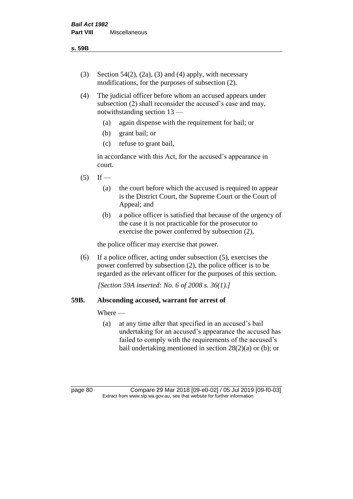**s. 59B**

- (3) Section 54(2), (2a), (3) and (4) apply, with necessary modifications, for the purposes of subsection (2).
- (4) The judicial officer before whom an accused appears under subsection (2) shall reconsider the accused's case and may, notwithstanding section 13 —
	- (a) again dispense with the requirement for bail; or
	- (b) grant bail; or
	- (c) refuse to grant bail,

in accordance with this Act, for the accused's appearance in court.

- $(5)$  If
	- (a) the court before which the accused is required to appear is the District Court, the Supreme Court or the Court of Appeal; and
	- (b) a police officer is satisfied that because of the urgency of the case it is not practicable for the prosecutor to exercise the power conferred by subsection (2),

the police officer may exercise that power.

(6) If a police officer, acting under subsection (5), exercises the power conferred by subsection (2), the police officer is to be regarded as the relevant officer for the purposes of this section.

*[Section 59A inserted: No. 6 of 2008 s. 36(1).]*

# **59B. Absconding accused, warrant for arrest of**

Where —

(a) at any time after that specified in an accused's bail undertaking for an accused's appearance the accused has failed to comply with the requirements of the accused's bail undertaking mentioned in section  $28(2)(a)$  or (b); or

page 80 Compare 29 Mar 2018 [09-e0-02] / 05 Jul 2019 [09-f0-03] Extract from www.slp.wa.gov.au, see that website for further information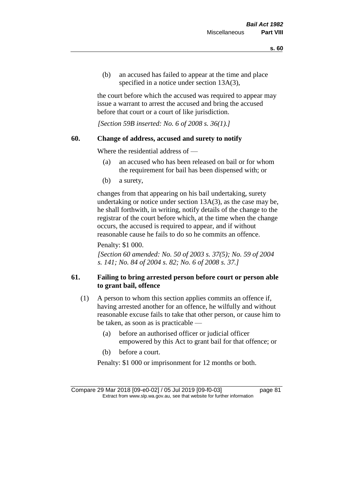(b) an accused has failed to appear at the time and place specified in a notice under section 13A(3),

the court before which the accused was required to appear may issue a warrant to arrest the accused and bring the accused before that court or a court of like jurisdiction.

*[Section 59B inserted: No. 6 of 2008 s. 36(1).]*

# **60. Change of address, accused and surety to notify**

Where the residential address of —

- (a) an accused who has been released on bail or for whom the requirement for bail has been dispensed with; or
- (b) a surety,

changes from that appearing on his bail undertaking, surety undertaking or notice under section 13A(3), as the case may be, he shall forthwith, in writing, notify details of the change to the registrar of the court before which, at the time when the change occurs, the accused is required to appear, and if without reasonable cause he fails to do so he commits an offence.

Penalty: \$1 000.

*[Section 60 amended: No. 50 of 2003 s. 37(5); No. 59 of 2004 s. 141; No. 84 of 2004 s. 82; No. 6 of 2008 s. 37.]*

# **61. Failing to bring arrested person before court or person able to grant bail, offence**

- (1) A person to whom this section applies commits an offence if, having arrested another for an offence, he wilfully and without reasonable excuse fails to take that other person, or cause him to be taken, as soon as is practicable —
	- (a) before an authorised officer or judicial officer empowered by this Act to grant bail for that offence; or
	- (b) before a court.

Penalty: \$1 000 or imprisonment for 12 months or both.

Compare 29 Mar 2018 [09-e0-02] / 05 Jul 2019 [09-f0-03] page 81 Extract from www.slp.wa.gov.au, see that website for further information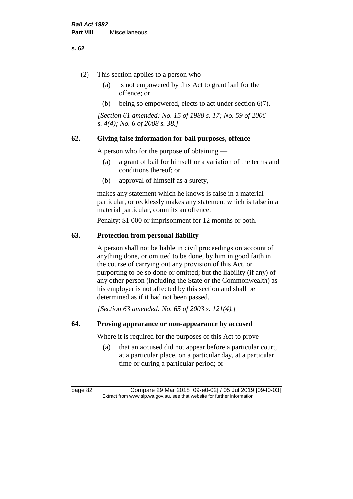#### **s. 62**

- (2) This section applies to a person who
	- (a) is not empowered by this Act to grant bail for the offence; or
	- (b) being so empowered, elects to act under section 6(7).

*[Section 61 amended: No. 15 of 1988 s. 17; No. 59 of 2006 s. 4(4); No. 6 of 2008 s. 38.]* 

# **62. Giving false information for bail purposes, offence**

A person who for the purpose of obtaining —

- (a) a grant of bail for himself or a variation of the terms and conditions thereof; or
- (b) approval of himself as a surety,

makes any statement which he knows is false in a material particular, or recklessly makes any statement which is false in a material particular, commits an offence.

Penalty: \$1 000 or imprisonment for 12 months or both.

#### **63. Protection from personal liability**

A person shall not be liable in civil proceedings on account of anything done, or omitted to be done, by him in good faith in the course of carrying out any provision of this Act, or purporting to be so done or omitted; but the liability (if any) of any other person (including the State or the Commonwealth) as his employer is not affected by this section and shall be determined as if it had not been passed.

*[Section 63 amended: No. 65 of 2003 s. 121(4).]*

# **64. Proving appearance or non-appearance by accused**

Where it is required for the purposes of this Act to prove —

(a) that an accused did not appear before a particular court, at a particular place, on a particular day, at a particular time or during a particular period; or

page 82 Compare 29 Mar 2018 [09-e0-02] / 05 Jul 2019 [09-f0-03] Extract from www.slp.wa.gov.au, see that website for further information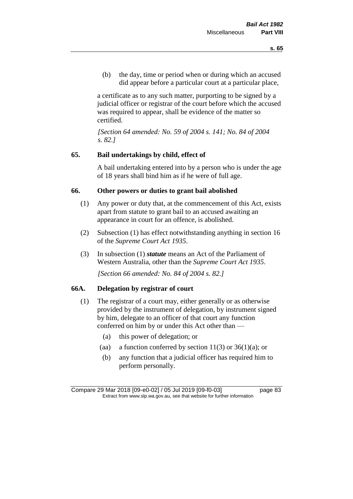(b) the day, time or period when or during which an accused did appear before a particular court at a particular place,

a certificate as to any such matter, purporting to be signed by a judicial officer or registrar of the court before which the accused was required to appear, shall be evidence of the matter so certified.

*[Section 64 amended: No. 59 of 2004 s. 141; No. 84 of 2004 s. 82.]* 

# **65. Bail undertakings by child, effect of**

A bail undertaking entered into by a person who is under the age of 18 years shall bind him as if he were of full age.

# **66. Other powers or duties to grant bail abolished**

- (1) Any power or duty that, at the commencement of this Act, exists apart from statute to grant bail to an accused awaiting an appearance in court for an offence, is abolished.
- (2) Subsection (1) has effect notwithstanding anything in section 16 of the *Supreme Court Act 1935*.
- (3) In subsection (1) *statute* means an Act of the Parliament of Western Australia, other than the *Supreme Court Act 1935*.

*[Section 66 amended: No. 84 of 2004 s. 82.]*

# **66A. Delegation by registrar of court**

- (1) The registrar of a court may, either generally or as otherwise provided by the instrument of delegation, by instrument signed by him, delegate to an officer of that court any function conferred on him by or under this Act other than —
	- (a) this power of delegation; or
	- (aa) a function conferred by section  $11(3)$  or  $36(1)(a)$ ; or
	- (b) any function that a judicial officer has required him to perform personally.

Compare 29 Mar 2018 [09-e0-02] / 05 Jul 2019 [09-f0-03] page 83 Extract from www.slp.wa.gov.au, see that website for further information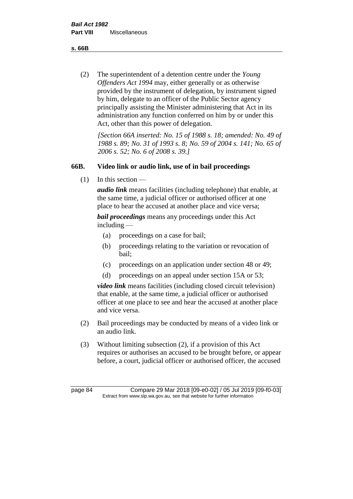**s. 66B**

(2) The superintendent of a detention centre under the *Young Offenders Act 1994* may, either generally or as otherwise provided by the instrument of delegation, by instrument signed by him, delegate to an officer of the Public Sector agency principally assisting the Minister administering that Act in its administration any function conferred on him by or under this Act, other than this power of delegation.

*[Section 66A inserted: No. 15 of 1988 s. 18; amended: No. 49 of 1988 s. 89; No. 31 of 1993 s. 8; No. 59 of 2004 s. 141; No. 65 of 2006 s. 52; No. 6 of 2008 s. 39.]* 

# **66B. Video link or audio link, use of in bail proceedings**

 $(1)$  In this section —

*audio link* means facilities (including telephone) that enable, at the same time, a judicial officer or authorised officer at one place to hear the accused at another place and vice versa;

*bail proceedings* means any proceedings under this Act including —

- (a) proceedings on a case for bail;
- (b) proceedings relating to the variation or revocation of bail;
- (c) proceedings on an application under section 48 or 49;
- (d) proceedings on an appeal under section 15A or 53;

*video link* means facilities (including closed circuit television) that enable, at the same time, a judicial officer or authorised officer at one place to see and hear the accused at another place and vice versa.

- (2) Bail proceedings may be conducted by means of a video link or an audio link.
- (3) Without limiting subsection (2), if a provision of this Act requires or authorises an accused to be brought before, or appear before, a court, judicial officer or authorised officer, the accused

page 84 Compare 29 Mar 2018 [09-e0-02] / 05 Jul 2019 [09-f0-03] Extract from www.slp.wa.gov.au, see that website for further information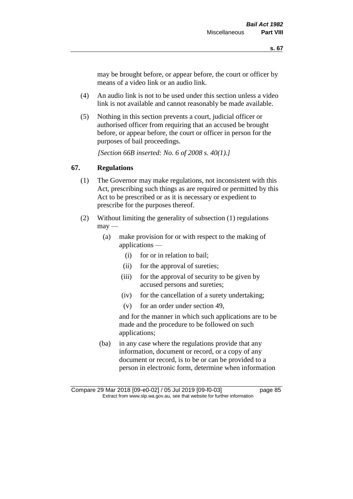may be brought before, or appear before, the court or officer by means of a video link or an audio link.

- (4) An audio link is not to be used under this section unless a video link is not available and cannot reasonably be made available.
- (5) Nothing in this section prevents a court, judicial officer or authorised officer from requiring that an accused be brought before, or appear before, the court or officer in person for the purposes of bail proceedings.

*[Section 66B inserted: No. 6 of 2008 s. 40(1).]*

# **67. Regulations**

- (1) The Governor may make regulations, not inconsistent with this Act, prescribing such things as are required or permitted by this Act to be prescribed or as it is necessary or expedient to prescribe for the purposes thereof.
- (2) Without limiting the generality of subsection (1) regulations  $\text{max}$  —
	- (a) make provision for or with respect to the making of applications —
		- (i) for or in relation to bail;
		- (ii) for the approval of sureties;
		- (iii) for the approval of security to be given by accused persons and sureties;
		- (iv) for the cancellation of a surety undertaking;
		- (v) for an order under section 49,

and for the manner in which such applications are to be made and the procedure to be followed on such applications;

(ba) in any case where the regulations provide that any information, document or record, or a copy of any document or record, is to be or can be provided to a person in electronic form, determine when information

Compare 29 Mar 2018 [09-e0-02] / 05 Jul 2019 [09-f0-03] page 85 Extract from www.slp.wa.gov.au, see that website for further information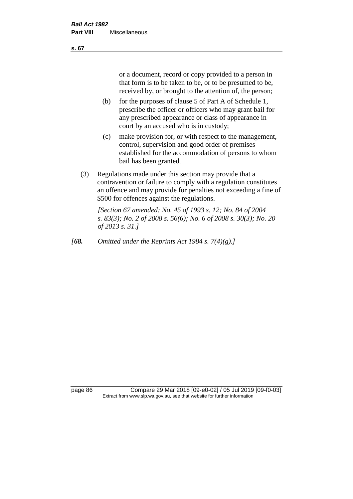or a document, record or copy provided to a person in that form is to be taken to be, or to be presumed to be, received by, or brought to the attention of, the person;

- (b) for the purposes of clause 5 of Part A of Schedule 1, prescribe the officer or officers who may grant bail for any prescribed appearance or class of appearance in court by an accused who is in custody;
- (c) make provision for, or with respect to the management, control, supervision and good order of premises established for the accommodation of persons to whom bail has been granted.
- (3) Regulations made under this section may provide that a contravention or failure to comply with a regulation constitutes an offence and may provide for penalties not exceeding a fine of \$500 for offences against the regulations.

*[Section 67 amended: No. 45 of 1993 s. 12; No. 84 of 2004 s. 83(3); No. 2 of 2008 s. 56(6); No. 6 of 2008 s. 30(3); No. 20 of 2013 s. 31.]* 

*[68. Omitted under the Reprints Act 1984 s. 7(4)(g).]*

page 86 Compare 29 Mar 2018 [09-e0-02] / 05 Jul 2019 [09-f0-03] Extract from www.slp.wa.gov.au, see that website for further information

#### **s. 67**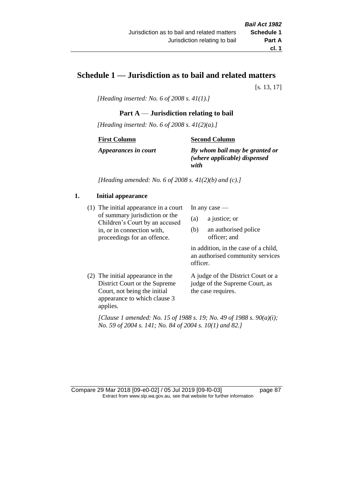# **Schedule 1 — Jurisdiction as to bail and related matters**

[s. 13, 17]

*[Heading inserted: No. 6 of 2008 s. 41(1).]*

#### **Part A** — **Jurisdiction relating to bail**

*[Heading inserted: No. 6 of 2008 s. 41(2)(a).]*

#### **First Column**

**Second Column**

*Appearances in court*

# *By whom bail may be granted or (where applicable) dispensed*

*with*

*[Heading amended: No. 6 of 2008 s. 41(2)(b) and (c).]*

# **1. Initial appearance**

(1) The initial appearance in a court of summary jurisdiction or the Children's Court by an accused in, or in connection with, proceedings for an offence.

In any case —

- (a) a justice; or
- (b) an authorised police officer; and

in addition, in the case of a child, an authorised community services officer.

(2) The initial appearance in the District Court or the Supreme Court, not being the initial appearance to which clause 3 applies. A judge of the District Court or a judge of the Supreme Court, as the case requires.

*[Clause 1 amended: No. 15 of 1988 s. 19; No. 49 of 1988 s. 90(a)(i); No. 59 of 2004 s. 141; No. 84 of 2004 s. 10(1) and 82.]*

Compare 29 Mar 2018 [09-e0-02] / 05 Jul 2019 [09-f0-03] page 87 Extract from www.slp.wa.gov.au, see that website for further information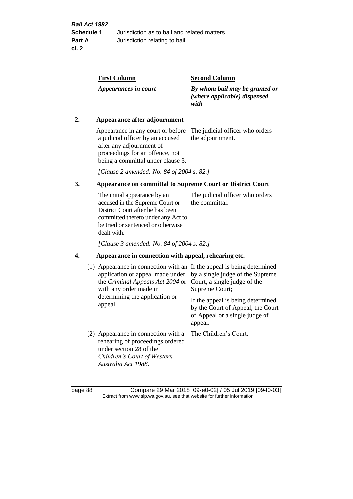| <b>Second Column</b>                                                   |
|------------------------------------------------------------------------|
| By whom bail may be granted or<br>(where applicable) dispensed<br>with |
|                                                                        |

# **2. Appearance after adjournment**

Appearance in any court or before The judicial officer who orders a judicial officer by an accused after any adjournment of proceedings for an offence, not being a committal under clause 3.

the adjournment.

*[Clause 2 amended: No. 84 of 2004 s. 82.]*

# **3. Appearance on committal to Supreme Court or District Court**

The initial appearance by an accused in the Supreme Court or District Court after he has been committed thereto under any Act to be tried or sentenced or otherwise dealt with. The judicial officer who orders the committal.

*[Clause 3 amended: No. 84 of 2004 s. 82.]*

# **4. Appearance in connection with appeal, rehearing etc.**

| (1) Appearance in connection with an If the appeal is being determined<br>application or appeal made under<br>the Criminal Appeals Act 2004 or<br>with any order made in<br>determining the application or<br>appeal. | by a single judge of the Supreme<br>Court, a single judge of the<br>Supreme Court;<br>If the appeal is being determined<br>by the Court of Appeal, the Court<br>of Appeal or a single judge of<br>appeal. |
|-----------------------------------------------------------------------------------------------------------------------------------------------------------------------------------------------------------------------|-----------------------------------------------------------------------------------------------------------------------------------------------------------------------------------------------------------|
| (2) Appearance in connection with a<br>rehearing of proceedings ordered<br>under section 28 of the<br>Children's Court of Western<br>Australia Act 1988.                                                              | The Children's Court.                                                                                                                                                                                     |

page 88 Compare 29 Mar 2018 [09-e0-02] / 05 Jul 2019 [09-f0-03] Extract from www.slp.wa.gov.au, see that website for further information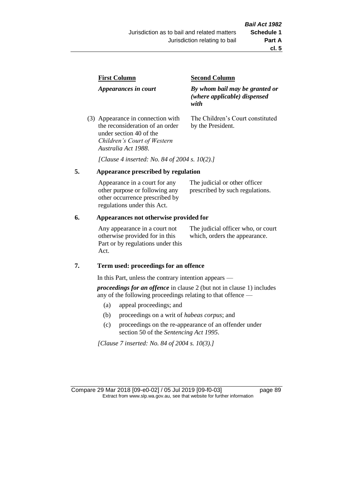| <b>First Column</b>                                                  | <b>Second Column</b>                                                   |
|----------------------------------------------------------------------|------------------------------------------------------------------------|
| Appearances in court                                                 | By whom bail may be granted or<br>(where applicable) dispensed<br>with |
| (3) Appearance in connection with<br>the reconsideration of an order | The Children's Court constituted<br>by the President.                  |

*[Clause 4 inserted: No. 84 of 2004 s. 10(2).]*

# **5. Appearance prescribed by regulation**

under section 40 of the *Children's Court of Western* 

*Australia Act 1988*.

| Appearance in a court for any  | The judicial or other officer   |
|--------------------------------|---------------------------------|
| other purpose or following any | prescribed by such regulations. |
| other occurrence prescribed by |                                 |
| regulations under this Act.    |                                 |

#### **6. Appearances not otherwise provided for**

Any appearance in a court not otherwise provided for in this Part or by regulations under this Act.

The judicial officer who, or court which, orders the appearance.

#### **7. Term used: proceedings for an offence**

In this Part, unless the contrary intention appears —

*proceedings for an offence* in clause 2 (but not in clause 1) includes any of the following proceedings relating to that offence —

- (a) appeal proceedings; and
- (b) proceedings on a writ of *habeas corpus*; and
- (c) proceedings on the re-appearance of an offender under section 50 of the *Sentencing Act 1995*.

*[Clause 7 inserted: No. 84 of 2004 s. 10(3).]*

Compare 29 Mar 2018 [09-e0-02] / 05 Jul 2019 [09-f0-03] page 89 Extract from www.slp.wa.gov.au, see that website for further information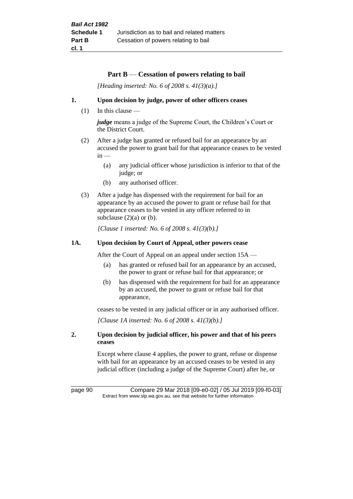# **Part B** — **Cessation of powers relating to bail**

*[Heading inserted: No. 6 of 2008 s. 41(3)(a).]*

#### **1. Upon decision by judge, power of other officers ceases**

(1) In this clause —

*judge* means a judge of the Supreme Court, the Children's Court or the District Court.

- (2) After a judge has granted or refused bail for an appearance by an accused the power to grant bail for that appearance ceases to be vested  $in -$ 
	- (a) any judicial officer whose jurisdiction is inferior to that of the judge; or
	- (b) any authorised officer.
- (3) After a judge has dispensed with the requirement for bail for an appearance by an accused the power to grant or refuse bail for that appearance ceases to be vested in any officer referred to in subclause  $(2)(a)$  or  $(b)$ .

*[Clause 1 inserted: No. 6 of 2008 s. 41(3)(b).]*

#### **1A. Upon decision by Court of Appeal, other powers cease**

After the Court of Appeal on an appeal under section 15A —

- (a) has granted or refused bail for an appearance by an accused, the power to grant or refuse bail for that appearance; or
- (b) has dispensed with the requirement for bail for an appearance by an accused, the power to grant or refuse bail for that appearance,

ceases to be vested in any judicial officer or in any authorised officer.

*[Clause 1A inserted: No. 6 of 2008 s. 41(3)(b).]*

#### **2. Upon decision by judicial officer, his power and that of his peers ceases**

Except where clause 4 applies, the power to grant, refuse or dispense with bail for an appearance by an accused ceases to be vested in any judicial officer (including a judge of the Supreme Court) after he, or

page 90 Compare 29 Mar 2018 [09-e0-02] / 05 Jul 2019 [09-f0-03] Extract from www.slp.wa.gov.au, see that website for further information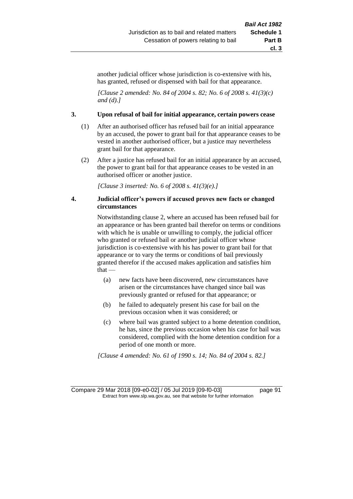another judicial officer whose jurisdiction is co-extensive with his, has granted, refused or dispensed with bail for that appearance.

*[Clause 2 amended: No. 84 of 2004 s. 82; No. 6 of 2008 s. 41(3)(c) and (d).]*

#### **3. Upon refusal of bail for initial appearance, certain powers cease**

- (1) After an authorised officer has refused bail for an initial appearance by an accused, the power to grant bail for that appearance ceases to be vested in another authorised officer, but a justice may nevertheless grant bail for that appearance.
- (2) After a justice has refused bail for an initial appearance by an accused, the power to grant bail for that appearance ceases to be vested in an authorised officer or another justice.

*[Clause 3 inserted: No. 6 of 2008 s. 41(3)(e).]*

#### **4. Judicial officer's powers if accused proves new facts or changed circumstances**

Notwithstanding clause 2, where an accused has been refused bail for an appearance or has been granted bail therefor on terms or conditions with which he is unable or unwilling to comply, the judicial officer who granted or refused bail or another judicial officer whose jurisdiction is co-extensive with his has power to grant bail for that appearance or to vary the terms or conditions of bail previously granted therefor if the accused makes application and satisfies him that —

- (a) new facts have been discovered, new circumstances have arisen or the circumstances have changed since bail was previously granted or refused for that appearance; or
- (b) he failed to adequately present his case for bail on the previous occasion when it was considered; or
- (c) where bail was granted subject to a home detention condition, he has, since the previous occasion when his case for bail was considered, complied with the home detention condition for a period of one month or more.

*[Clause 4 amended: No. 61 of 1990 s. 14; No. 84 of 2004 s. 82.]*

Compare 29 Mar 2018 [09-e0-02] / 05 Jul 2019 [09-f0-03] page 91 Extract from www.slp.wa.gov.au, see that website for further information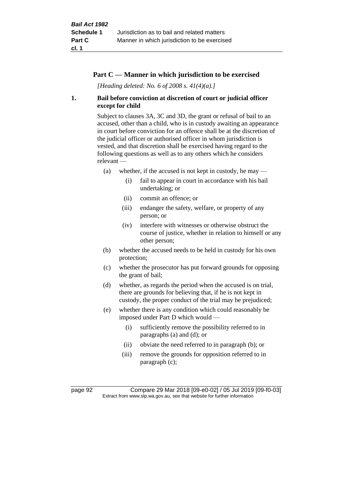# **Part C — Manner in which jurisdiction to be exercised**

*[Heading deleted: No. 6 of 2008 s. 41(4)(a).]*

# **1. Bail before conviction at discretion of court or judicial officer except for child**

Subject to clauses 3A, 3C and 3D, the grant or refusal of bail to an accused, other than a child, who is in custody awaiting an appearance in court before conviction for an offence shall be at the discretion of the judicial officer or authorised officer in whom jurisdiction is vested, and that discretion shall be exercised having regard to the following questions as well as to any others which he considers relevant —

- (a) whether, if the accused is not kept in custody, he may  $-$ 
	- (i) fail to appear in court in accordance with his bail undertaking; or
	- (ii) commit an offence; or
	- (iii) endanger the safety, welfare, or property of any person; or
	- (iv) interfere with witnesses or otherwise obstruct the course of justice, whether in relation to himself or any other person;
- (b) whether the accused needs to be held in custody for his own protection;
- (c) whether the prosecutor has put forward grounds for opposing the grant of bail;
- (d) whether, as regards the period when the accused is on trial, there are grounds for believing that, if he is not kept in custody, the proper conduct of the trial may be prejudiced;
- (e) whether there is any condition which could reasonably be imposed under Part D which would —
	- (i) sufficiently remove the possibility referred to in paragraphs (a) and (d); or
	- (ii) obviate the need referred to in paragraph (b); or
	- (iii) remove the grounds for opposition referred to in paragraph (c);

page 92 Compare 29 Mar 2018 [09-e0-02] / 05 Jul 2019 [09-f0-03] Extract from www.slp.wa.gov.au, see that website for further information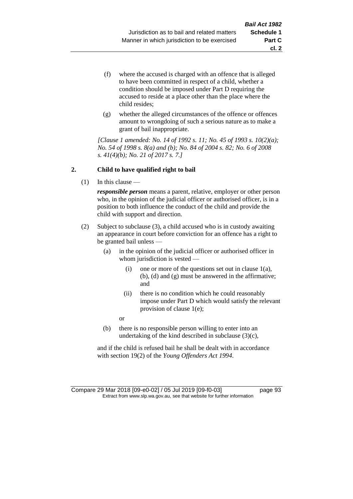- (f) where the accused is charged with an offence that is alleged to have been committed in respect of a child, whether a condition should be imposed under Part D requiring the accused to reside at a place other than the place where the child resides;
- (g) whether the alleged circumstances of the offence or offences amount to wrongdoing of such a serious nature as to make a grant of bail inappropriate.

*[Clause 1 amended: No. 14 of 1992 s. 11; No. 45 of 1993 s. 10(2)(a); No. 54 of 1998 s. 8(a) and (b); No. 84 of 2004 s. 82; No. 6 of 2008 s. 41(4)(b); No. 21 of 2017 s. 7.]*

# **2. Child to have qualified right to bail**

(1) In this clause —

*responsible person* means a parent, relative, employer or other person who, in the opinion of the judicial officer or authorised officer, is in a position to both influence the conduct of the child and provide the child with support and direction.

- (2) Subject to subclause (3), a child accused who is in custody awaiting an appearance in court before conviction for an offence has a right to be granted bail unless —
	- (a) in the opinion of the judicial officer or authorised officer in whom jurisdiction is vested —
		- (i) one or more of the questions set out in clause  $1(a)$ , (b), (d) and (g) must be answered in the affirmative; and
		- (ii) there is no condition which he could reasonably impose under Part D which would satisfy the relevant provision of clause 1(e);

or

(b) there is no responsible person willing to enter into an undertaking of the kind described in subclause (3)(c),

and if the child is refused bail he shall be dealt with in accordance with section 19(2) of the *Young Offenders Act 1994*.

Compare 29 Mar 2018 [09-e0-02] / 05 Jul 2019 [09-f0-03] page 93 Extract from www.slp.wa.gov.au, see that website for further information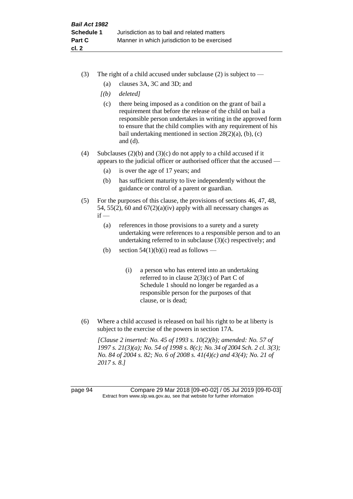- (3) The right of a child accused under subclause (2) is subject to  $-$ 
	- (a) clauses 3A, 3C and 3D; and
	- *[(b) deleted]*
	- (c) there being imposed as a condition on the grant of bail a requirement that before the release of the child on bail a responsible person undertakes in writing in the approved form to ensure that the child complies with any requirement of his bail undertaking mentioned in section  $28(2)(a)$ , (b), (c) and (d).
- (4) Subclauses (2)(b) and (3)(c) do not apply to a child accused if it appears to the judicial officer or authorised officer that the accused —
	- (a) is over the age of 17 years; and
	- (b) has sufficient maturity to live independently without the guidance or control of a parent or guardian.
- (5) For the purposes of this clause, the provisions of sections 46, 47, 48, 54, 55(2), 60 and  $67(2)(a)(iv)$  apply with all necessary changes as  $if -$ 
	- (a) references in those provisions to a surety and a surety undertaking were references to a responsible person and to an undertaking referred to in subclause (3)(c) respectively; and
	- (b) section  $54(1)(b)(i)$  read as follows
		- (i) a person who has entered into an undertaking referred to in clause 2(3)(c) of Part C of Schedule 1 should no longer be regarded as a responsible person for the purposes of that clause, or is dead;
- (6) Where a child accused is released on bail his right to be at liberty is subject to the exercise of the powers in section 17A.

*[Clause 2 inserted: No. 45 of 1993 s. 10(2)(b); amended: No. 57 of 1997 s. 21(3)(a); No. 54 of 1998 s. 8(c); No. 34 of 2004 Sch. 2 cl. 3(3); No. 84 of 2004 s. 82; No. 6 of 2008 s. 41(4)(c) and 43(4); No. 21 of 2017 s. 8.]*

page 94 Compare 29 Mar 2018 [09-e0-02] / 05 Jul 2019 [09-f0-03] Extract from www.slp.wa.gov.au, see that website for further information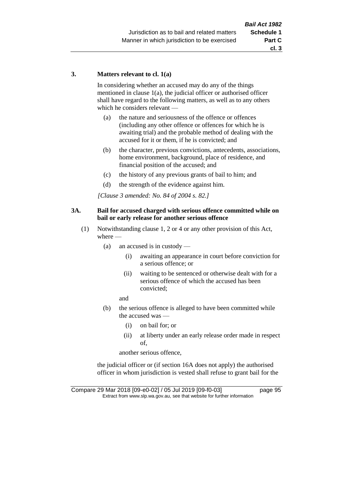#### **3. Matters relevant to cl. 1(a)**

In considering whether an accused may do any of the things mentioned in clause 1(a), the judicial officer or authorised officer shall have regard to the following matters, as well as to any others which he considers relevant —

- (a) the nature and seriousness of the offence or offences (including any other offence or offences for which he is awaiting trial) and the probable method of dealing with the accused for it or them, if he is convicted; and
- (b) the character, previous convictions, antecedents, associations, home environment, background, place of residence, and financial position of the accused; and
- (c) the history of any previous grants of bail to him; and
- (d) the strength of the evidence against him.

*[Clause 3 amended: No. 84 of 2004 s. 82.]*

#### **3A. Bail for accused charged with serious offence committed while on bail or early release for another serious offence**

- (1) Notwithstanding clause 1, 2 or 4 or any other provision of this Act, where —
	- (a) an accused is in custody
		- (i) awaiting an appearance in court before conviction for a serious offence; or
		- (ii) waiting to be sentenced or otherwise dealt with for a serious offence of which the accused has been convicted;

and

- (b) the serious offence is alleged to have been committed while the accused was —
	- (i) on bail for; or
	- (ii) at liberty under an early release order made in respect of,

another serious offence,

the judicial officer or (if section 16A does not apply) the authorised officer in whom jurisdiction is vested shall refuse to grant bail for the

Compare 29 Mar 2018 [09-e0-02] / 05 Jul 2019 [09-f0-03] page 95 Extract from www.slp.wa.gov.au, see that website for further information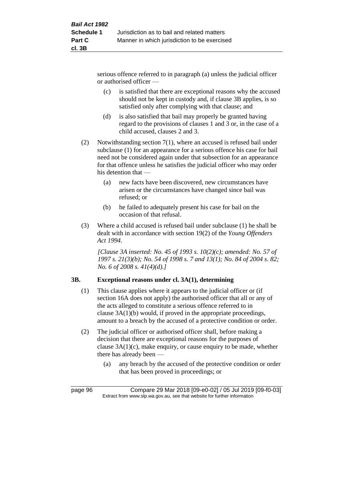serious offence referred to in paragraph (a) unless the judicial officer or authorised officer —

- (c) is satisfied that there are exceptional reasons why the accused should not be kept in custody and, if clause 3B applies, is so satisfied only after complying with that clause; and
- (d) is also satisfied that bail may properly be granted having regard to the provisions of clauses 1 and 3 or, in the case of a child accused, clauses 2 and 3.
- (2) Notwithstanding section 7(1), where an accused is refused bail under subclause (1) for an appearance for a serious offence his case for bail need not be considered again under that subsection for an appearance for that offence unless he satisfies the judicial officer who may order his detention that —
	- (a) new facts have been discovered, new circumstances have arisen or the circumstances have changed since bail was refused; or
	- (b) he failed to adequately present his case for bail on the occasion of that refusal.
- (3) Where a child accused is refused bail under subclause (1) he shall be dealt with in accordance with section 19(2) of the *Young Offenders Act 1994*.

*[Clause 3A inserted: No. 45 of 1993 s. 10(2)(c); amended: No. 57 of 1997 s. 21(3)(b); No. 54 of 1998 s. 7 and 13(1); No. 84 of 2004 s. 82; No. 6 of 2008 s. 41(4)(d).]*

# **3B. Exceptional reasons under cl. 3A(1), determining**

- (1) This clause applies where it appears to the judicial officer or (if section 16A does not apply) the authorised officer that all or any of the acts alleged to constitute a serious offence referred to in clause 3A(1)(b) would, if proved in the appropriate proceedings, amount to a breach by the accused of a protective condition or order.
- (2) The judicial officer or authorised officer shall, before making a decision that there are exceptional reasons for the purposes of clause 3A(1)(c), make enquiry, or cause enquiry to be made, whether there has already been —
	- (a) any breach by the accused of the protective condition or order that has been proved in proceedings; or

page 96 Compare 29 Mar 2018 [09-e0-02] / 05 Jul 2019 [09-f0-03] Extract from www.slp.wa.gov.au, see that website for further information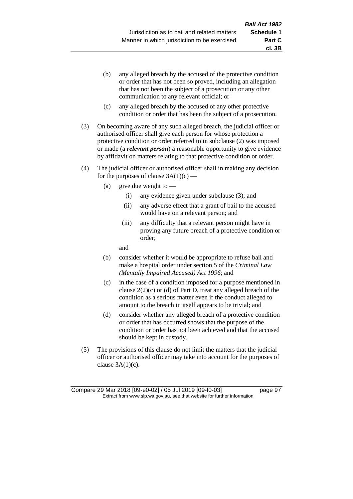- (b) any alleged breach by the accused of the protective condition or order that has not been so proved, including an allegation that has not been the subject of a prosecution or any other communication to any relevant official; or
- (c) any alleged breach by the accused of any other protective condition or order that has been the subject of a prosecution.
- (3) On becoming aware of any such alleged breach, the judicial officer or authorised officer shall give each person for whose protection a protective condition or order referred to in subclause (2) was imposed or made (a *relevant person*) a reasonable opportunity to give evidence by affidavit on matters relating to that protective condition or order.
- (4) The judicial officer or authorised officer shall in making any decision for the purposes of clause  $3A(1)(c)$  —
	- (a) give due weight to  $-$ 
		- (i) any evidence given under subclause (3); and
		- (ii) any adverse effect that a grant of bail to the accused would have on a relevant person; and
		- (iii) any difficulty that a relevant person might have in proving any future breach of a protective condition or order;

and

- (b) consider whether it would be appropriate to refuse bail and make a hospital order under section 5 of the *Criminal Law (Mentally Impaired Accused) Act 1996*; and
- (c) in the case of a condition imposed for a purpose mentioned in clause  $2(2)(c)$  or (d) of Part D, treat any alleged breach of the condition as a serious matter even if the conduct alleged to amount to the breach in itself appears to be trivial; and
- (d) consider whether any alleged breach of a protective condition or order that has occurred shows that the purpose of the condition or order has not been achieved and that the accused should be kept in custody.
- (5) The provisions of this clause do not limit the matters that the judicial officer or authorised officer may take into account for the purposes of clause  $3A(1)(c)$ .

**cl. 3B**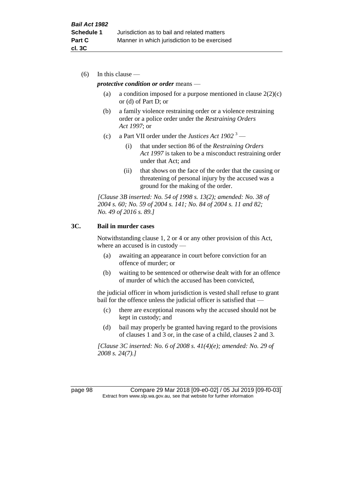(6) In this clause —

#### *protective condition or order* means —

- (a) a condition imposed for a purpose mentioned in clause  $2(2)(c)$ or (d) of Part D; or
- (b) a family violence restraining order or a violence restraining order or a police order under the *Restraining Orders Act 1997*; or
- (c) a Part VII order under the *Justices Act 1902* <sup>3</sup>
	- (i) that under section 86 of the *Restraining Orders Act 1997* is taken to be a misconduct restraining order under that Act; and
	- (ii) that shows on the face of the order that the causing or threatening of personal injury by the accused was a ground for the making of the order.

*[Clause 3B inserted: No. 54 of 1998 s. 13(2); amended: No. 38 of 2004 s. 60; No. 59 of 2004 s. 141; No. 84 of 2004 s. 11 and 82; No. 49 of 2016 s. 89.]*

#### **3C. Bail in murder cases**

Notwithstanding clause 1, 2 or 4 or any other provision of this Act, where an accused is in custody —

- (a) awaiting an appearance in court before conviction for an offence of murder; or
- (b) waiting to be sentenced or otherwise dealt with for an offence of murder of which the accused has been convicted,

the judicial officer in whom jurisdiction is vested shall refuse to grant bail for the offence unless the judicial officer is satisfied that —

- (c) there are exceptional reasons why the accused should not be kept in custody; and
- (d) bail may properly be granted having regard to the provisions of clauses 1 and 3 or, in the case of a child, clauses 2 and 3.

*[Clause 3C inserted: No. 6 of 2008 s. 41(4)(e); amended: No. 29 of 2008 s. 24(7).]*

page 98 Compare 29 Mar 2018 [09-e0-02] / 05 Jul 2019 [09-f0-03] Extract from www.slp.wa.gov.au, see that website for further information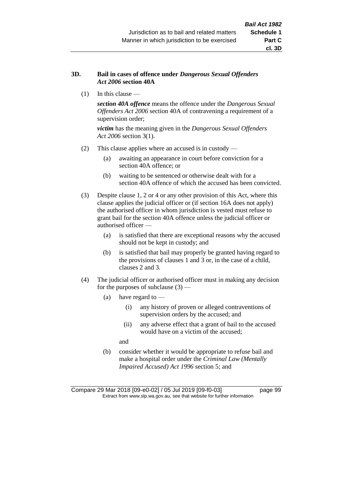#### **3D. Bail in cases of offence under** *Dangerous Sexual Offenders Act 2006* **section 40A**

(1) In this clause —

*section 40A offence* means the offence under the *Dangerous Sexual Offenders Act 2006* section 40A of contravening a requirement of a supervision order;

*victim* has the meaning given in the *Dangerous Sexual Offenders Act 2006* section 3(1).

- (2) This clause applies where an accused is in custody
	- (a) awaiting an appearance in court before conviction for a section 40A offence; or
	- (b) waiting to be sentenced or otherwise dealt with for a section 40A offence of which the accused has been convicted.
- (3) Despite clause 1, 2 or 4 or any other provision of this Act, where this clause applies the judicial officer or (if section 16A does not apply) the authorised officer in whom jurisdiction is vested must refuse to grant bail for the section 40A offence unless the judicial officer or authorised officer —
	- (a) is satisfied that there are exceptional reasons why the accused should not be kept in custody; and
	- (b) is satisfied that bail may properly be granted having regard to the provisions of clauses 1 and 3 or, in the case of a child, clauses 2 and 3.
- (4) The judicial officer or authorised officer must in making any decision for the purposes of subclause  $(3)$  —
	- (a) have regard to
		- (i) any history of proven or alleged contraventions of supervision orders by the accused; and
		- (ii) any adverse effect that a grant of bail to the accused would have on a victim of the accused;

and

(b) consider whether it would be appropriate to refuse bail and make a hospital order under the *Criminal Law (Mentally Impaired Accused) Act 1996* section 5; and

Compare 29 Mar 2018 [09-e0-02] / 05 Jul 2019 [09-f0-03] page 99 Extract from www.slp.wa.gov.au, see that website for further information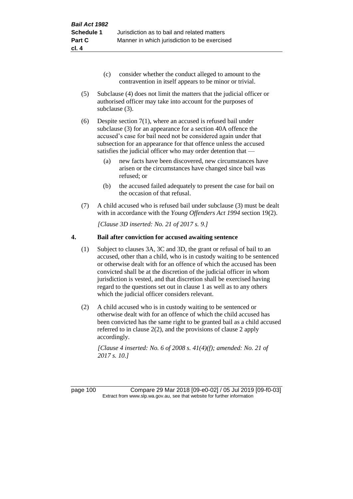- (c) consider whether the conduct alleged to amount to the contravention in itself appears to be minor or trivial.
- (5) Subclause (4) does not limit the matters that the judicial officer or authorised officer may take into account for the purposes of subclause (3).
- (6) Despite section 7(1), where an accused is refused bail under subclause (3) for an appearance for a section 40A offence the accused's case for bail need not be considered again under that subsection for an appearance for that offence unless the accused satisfies the judicial officer who may order detention that —
	- (a) new facts have been discovered, new circumstances have arisen or the circumstances have changed since bail was refused; or
	- (b) the accused failed adequately to present the case for bail on the occasion of that refusal.
- (7) A child accused who is refused bail under subclause (3) must be dealt with in accordance with the *Young Offenders Act 1994* section 19(2).

*[Clause 3D inserted: No. 21 of 2017 s. 9.]*

#### **4. Bail after conviction for accused awaiting sentence**

- (1) Subject to clauses 3A, 3C and 3D, the grant or refusal of bail to an accused, other than a child, who is in custody waiting to be sentenced or otherwise dealt with for an offence of which the accused has been convicted shall be at the discretion of the judicial officer in whom jurisdiction is vested, and that discretion shall be exercised having regard to the questions set out in clause 1 as well as to any others which the judicial officer considers relevant.
- (2) A child accused who is in custody waiting to be sentenced or otherwise dealt with for an offence of which the child accused has been convicted has the same right to be granted bail as a child accused referred to in clause 2(2), and the provisions of clause 2 apply accordingly.

*[Clause 4 inserted: No. 6 of 2008 s. 41(4)(f); amended: No. 21 of 2017 s. 10.]*

page 100 Compare 29 Mar 2018 [09-e0-02] / 05 Jul 2019 [09-f0-03] Extract from www.slp.wa.gov.au, see that website for further information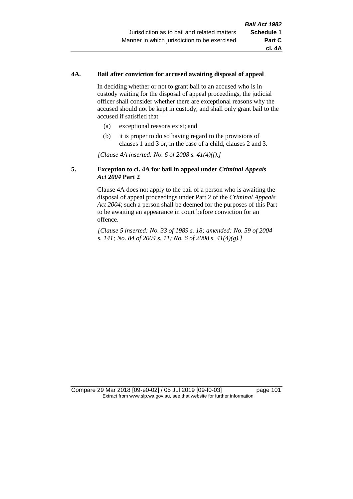#### **4A. Bail after conviction for accused awaiting disposal of appeal**

In deciding whether or not to grant bail to an accused who is in custody waiting for the disposal of appeal proceedings, the judicial officer shall consider whether there are exceptional reasons why the accused should not be kept in custody, and shall only grant bail to the accused if satisfied that —

- (a) exceptional reasons exist; and
- (b) it is proper to do so having regard to the provisions of clauses 1 and 3 or, in the case of a child, clauses 2 and 3.

*[Clause 4A inserted: No. 6 of 2008 s. 41(4)(f).]*

#### **5. Exception to cl. 4A for bail in appeal under** *Criminal Appeals Act 2004* **Part 2**

Clause 4A does not apply to the bail of a person who is awaiting the disposal of appeal proceedings under Part 2 of the *Criminal Appeals Act 2004*; such a person shall be deemed for the purposes of this Part to be awaiting an appearance in court before conviction for an offence.

*[Clause 5 inserted: No. 33 of 1989 s. 18; amended: No. 59 of 2004 s. 141; No. 84 of 2004 s. 11; No. 6 of 2008 s. 41(4)(g).]*

Compare 29 Mar 2018 [09-e0-02] / 05 Jul 2019 [09-f0-03] page 101 Extract from www.slp.wa.gov.au, see that website for further information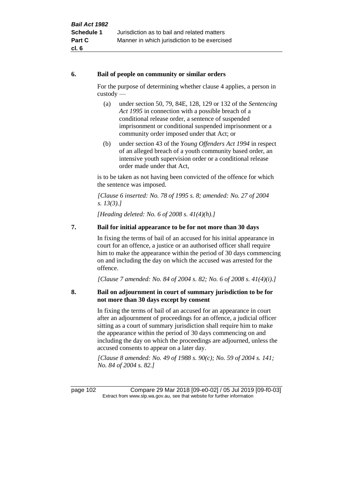#### **6. Bail of people on community or similar orders**

For the purpose of determining whether clause 4 applies, a person in custody —

- (a) under section 50, 79, 84E, 128, 129 or 132 of the *Sentencing Act 1995* in connection with a possible breach of a conditional release order, a sentence of suspended imprisonment or conditional suspended imprisonment or a community order imposed under that Act; or
- (b) under section 43 of the *Young Offenders Act 1994* in respect of an alleged breach of a youth community based order, an intensive youth supervision order or a conditional release order made under that Act,

is to be taken as not having been convicted of the offence for which the sentence was imposed.

*[Clause 6 inserted: No. 78 of 1995 s. 8; amended: No. 27 of 2004 s. 13(3).]*

*[Heading deleted: No. 6 of 2008 s. 41(4)(h).]*

# **7. Bail for initial appearance to be for not more than 30 days**

In fixing the terms of bail of an accused for his initial appearance in court for an offence, a justice or an authorised officer shall require him to make the appearance within the period of 30 days commencing on and including the day on which the accused was arrested for the offence.

*[Clause 7 amended: No. 84 of 2004 s. 82; No. 6 of 2008 s. 41(4)(i).]*

# **8. Bail on adjournment in court of summary jurisdiction to be for not more than 30 days except by consent**

In fixing the terms of bail of an accused for an appearance in court after an adjournment of proceedings for an offence, a judicial officer sitting as a court of summary jurisdiction shall require him to make the appearance within the period of 30 days commencing on and including the day on which the proceedings are adjourned, unless the accused consents to appear on a later day.

*[Clause 8 amended: No. 49 of 1988 s. 90(c); No. 59 of 2004 s. 141; No. 84 of 2004 s. 82.]*

page 102 Compare 29 Mar 2018 [09-e0-02] / 05 Jul 2019 [09-f0-03] Extract from www.slp.wa.gov.au, see that website for further information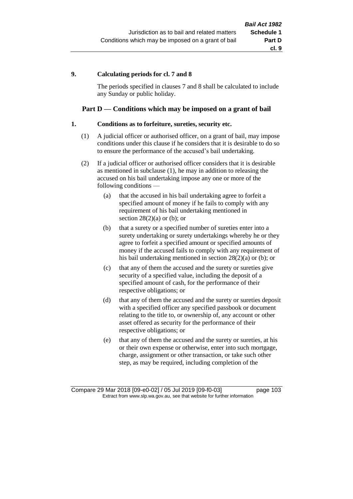#### **9. Calculating periods for cl. 7 and 8**

The periods specified in clauses 7 and 8 shall be calculated to include any Sunday or public holiday.

# **Part D — Conditions which may be imposed on a grant of bail**

#### **1. Conditions as to forfeiture, sureties, security etc.**

- (1) A judicial officer or authorised officer, on a grant of bail, may impose conditions under this clause if he considers that it is desirable to do so to ensure the performance of the accused's bail undertaking.
- (2) If a judicial officer or authorised officer considers that it is desirable as mentioned in subclause (1), he may in addition to releasing the accused on his bail undertaking impose any one or more of the following conditions —
	- (a) that the accused in his bail undertaking agree to forfeit a specified amount of money if he fails to comply with any requirement of his bail undertaking mentioned in section  $28(2)(a)$  or (b); or
	- (b) that a surety or a specified number of sureties enter into a surety undertaking or surety undertakings whereby he or they agree to forfeit a specified amount or specified amounts of money if the accused fails to comply with any requirement of his bail undertaking mentioned in section 28(2)(a) or (b); or
	- (c) that any of them the accused and the surety or sureties give security of a specified value, including the deposit of a specified amount of cash, for the performance of their respective obligations; or
	- (d) that any of them the accused and the surety or sureties deposit with a specified officer any specified passbook or document relating to the title to, or ownership of, any account or other asset offered as security for the performance of their respective obligations; or
	- (e) that any of them the accused and the surety or sureties, at his or their own expense or otherwise, enter into such mortgage, charge, assignment or other transaction, or take such other step, as may be required, including completion of the

Compare 29 Mar 2018 [09-e0-02] / 05 Jul 2019 [09-f0-03] page 103 Extract from www.slp.wa.gov.au, see that website for further information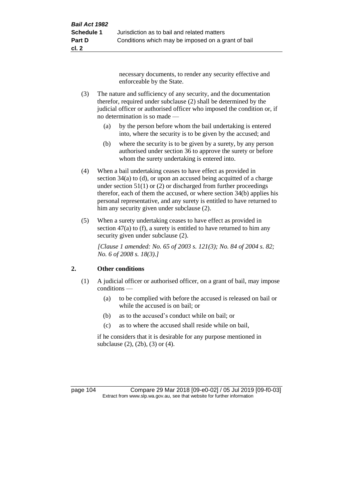necessary documents, to render any security effective and enforceable by the State.

- (3) The nature and sufficiency of any security, and the documentation therefor, required under subclause (2) shall be determined by the judicial officer or authorised officer who imposed the condition or, if no determination is so made —
	- (a) by the person before whom the bail undertaking is entered into, where the security is to be given by the accused; and
	- (b) where the security is to be given by a surety, by any person authorised under section 36 to approve the surety or before whom the surety undertaking is entered into.
- (4) When a bail undertaking ceases to have effect as provided in section 34(a) to (d), or upon an accused being acquitted of a charge under section  $51(1)$  or (2) or discharged from further proceedings therefor, each of them the accused, or where section 34(b) applies his personal representative, and any surety is entitled to have returned to him any security given under subclause (2).
- (5) When a surety undertaking ceases to have effect as provided in section 47(a) to (f), a surety is entitled to have returned to him any security given under subclause  $(2)$ .

*[Clause 1 amended: No. 65 of 2003 s. 121(3); No. 84 of 2004 s. 82; No. 6 of 2008 s. 18(3).]*

# **2. Other conditions**

- (1) A judicial officer or authorised officer, on a grant of bail, may impose conditions —
	- (a) to be complied with before the accused is released on bail or while the accused is on bail; or
	- (b) as to the accused's conduct while on bail; or
	- (c) as to where the accused shall reside while on bail,

if he considers that it is desirable for any purpose mentioned in subclause (2), (2b), (3) or (4).

page 104 Compare 29 Mar 2018 [09-e0-02] / 05 Jul 2019 [09-f0-03] Extract from www.slp.wa.gov.au, see that website for further information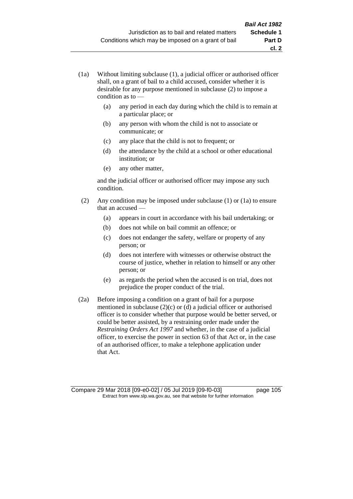- (1a) Without limiting subclause (1), a judicial officer or authorised officer shall, on a grant of bail to a child accused, consider whether it is desirable for any purpose mentioned in subclause (2) to impose a condition as to —
	- (a) any period in each day during which the child is to remain at a particular place; or
	- (b) any person with whom the child is not to associate or communicate; or
	- (c) any place that the child is not to frequent; or
	- (d) the attendance by the child at a school or other educational institution; or
	- (e) any other matter,

and the judicial officer or authorised officer may impose any such condition.

- (2) Any condition may be imposed under subclause (1) or (1a) to ensure that an accused —
	- (a) appears in court in accordance with his bail undertaking; or
	- (b) does not while on bail commit an offence; or
	- (c) does not endanger the safety, welfare or property of any person; or
	- (d) does not interfere with witnesses or otherwise obstruct the course of justice, whether in relation to himself or any other person; or
	- (e) as regards the period when the accused is on trial, does not prejudice the proper conduct of the trial.
- (2a) Before imposing a condition on a grant of bail for a purpose mentioned in subclause (2)(c) or (d) a judicial officer or authorised officer is to consider whether that purpose would be better served, or could be better assisted, by a restraining order made under the *Restraining Orders Act 1997* and whether, in the case of a judicial officer, to exercise the power in section 63 of that Act or, in the case of an authorised officer, to make a telephone application under that Act.

Compare 29 Mar 2018 [09-e0-02] / 05 Jul 2019 [09-f0-03] page 105 Extract from www.slp.wa.gov.au, see that website for further information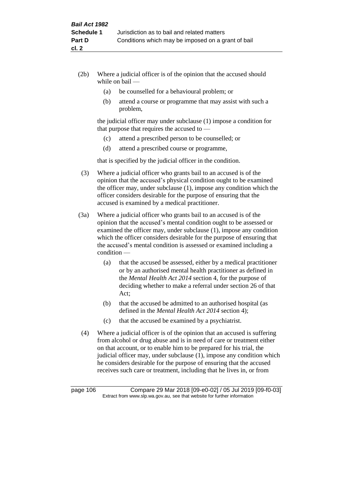- (2b) Where a judicial officer is of the opinion that the accused should while on bail —
	- (a) be counselled for a behavioural problem; or
	- (b) attend a course or programme that may assist with such a problem,

the judicial officer may under subclause (1) impose a condition for that purpose that requires the accused to —

- (c) attend a prescribed person to be counselled; or
- (d) attend a prescribed course or programme,

that is specified by the judicial officer in the condition.

- (3) Where a judicial officer who grants bail to an accused is of the opinion that the accused's physical condition ought to be examined the officer may, under subclause (1), impose any condition which the officer considers desirable for the purpose of ensuring that the accused is examined by a medical practitioner.
- (3a) Where a judicial officer who grants bail to an accused is of the opinion that the accused's mental condition ought to be assessed or examined the officer may, under subclause (1), impose any condition which the officer considers desirable for the purpose of ensuring that the accused's mental condition is assessed or examined including a condition —
	- (a) that the accused be assessed, either by a medical practitioner or by an authorised mental health practitioner as defined in the *Mental Health Act 2014* section 4, for the purpose of deciding whether to make a referral under section 26 of that Act;
	- (b) that the accused be admitted to an authorised hospital (as defined in the *Mental Health Act 2014* section 4);
	- (c) that the accused be examined by a psychiatrist.
- (4) Where a judicial officer is of the opinion that an accused is suffering from alcohol or drug abuse and is in need of care or treatment either on that account, or to enable him to be prepared for his trial, the judicial officer may, under subclause (1), impose any condition which he considers desirable for the purpose of ensuring that the accused receives such care or treatment, including that he lives in, or from

page 106 Compare 29 Mar 2018 [09-e0-02] / 05 Jul 2019 [09-f0-03] Extract from www.slp.wa.gov.au, see that website for further information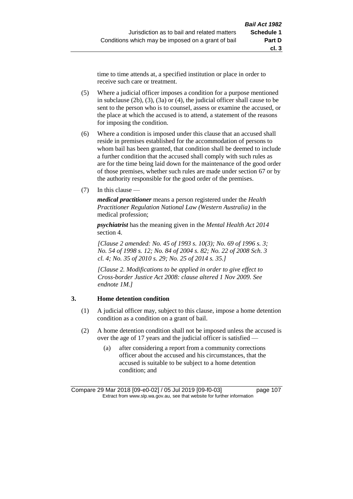time to time attends at, a specified institution or place in order to receive such care or treatment.

- (5) Where a judicial officer imposes a condition for a purpose mentioned in subclause (2b), (3), (3a) or (4), the judicial officer shall cause to be sent to the person who is to counsel, assess or examine the accused, or the place at which the accused is to attend, a statement of the reasons for imposing the condition.
- (6) Where a condition is imposed under this clause that an accused shall reside in premises established for the accommodation of persons to whom bail has been granted, that condition shall be deemed to include a further condition that the accused shall comply with such rules as are for the time being laid down for the maintenance of the good order of those premises, whether such rules are made under section 67 or by the authority responsible for the good order of the premises.
- (7) In this clause —

*medical practitioner* means a person registered under the *Health Practitioner Regulation National Law (Western Australia)* in the medical profession;

*psychiatrist* has the meaning given in the *Mental Health Act 2014* section 4.

*[Clause 2 amended: No. 45 of 1993 s. 10(3); No. 69 of 1996 s. 3; No. 54 of 1998 s. 12; No. 84 of 2004 s. 82; No. 22 of 2008 Sch. 3 cl. 4; No. 35 of 2010 s. 29; No. 25 of 2014 s. 35.]*

*[Clause 2. Modifications to be applied in order to give effect to Cross-border Justice Act 2008: clause altered 1 Nov 2009. See endnote 1M.]*

### **3. Home detention condition**

- (1) A judicial officer may, subject to this clause, impose a home detention condition as a condition on a grant of bail.
- (2) A home detention condition shall not be imposed unless the accused is over the age of 17 years and the judicial officer is satisfied -
	- (a) after considering a report from a community corrections officer about the accused and his circumstances, that the accused is suitable to be subject to a home detention condition; and

Compare 29 Mar 2018 [09-e0-02] / 05 Jul 2019 [09-f0-03] page 107 Extract from www.slp.wa.gov.au, see that website for further information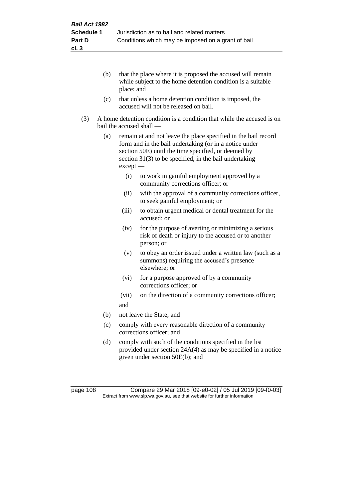- (b) that the place where it is proposed the accused will remain while subject to the home detention condition is a suitable place; and
- (c) that unless a home detention condition is imposed, the accused will not be released on bail.
- (3) A home detention condition is a condition that while the accused is on bail the accused shall —
	- (a) remain at and not leave the place specified in the bail record form and in the bail undertaking (or in a notice under section 50E) until the time specified, or deemed by section 31(3) to be specified, in the bail undertaking except —
		- (i) to work in gainful employment approved by a community corrections officer; or
		- (ii) with the approval of a community corrections officer, to seek gainful employment; or
		- (iii) to obtain urgent medical or dental treatment for the accused; or
		- (iv) for the purpose of averting or minimizing a serious risk of death or injury to the accused or to another person; or
		- (v) to obey an order issued under a written law (such as a summons) requiring the accused's presence elsewhere; or
		- (vi) for a purpose approved of by a community corrections officer; or
		- (vii) on the direction of a community corrections officer; and
	- (b) not leave the State; and
	- (c) comply with every reasonable direction of a community corrections officer; and
	- (d) comply with such of the conditions specified in the list provided under section 24A(4) as may be specified in a notice given under section 50E(b); and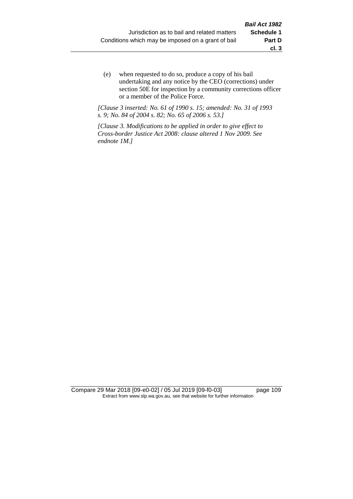(e) when requested to do so, produce a copy of his bail undertaking and any notice by the CEO (corrections) under section 50E for inspection by a community corrections officer or a member of the Police Force.

*[Clause 3 inserted: No. 61 of 1990 s. 15; amended: No. 31 of 1993 s. 9; No. 84 of 2004 s. 82; No. 65 of 2006 s. 53.]*

*[Clause 3. Modifications to be applied in order to give effect to Cross-border Justice Act 2008: clause altered 1 Nov 2009. See endnote 1M.]*

Compare 29 Mar 2018 [09-e0-02] / 05 Jul 2019 [09-f0-03] page 109 Extract from www.slp.wa.gov.au, see that website for further information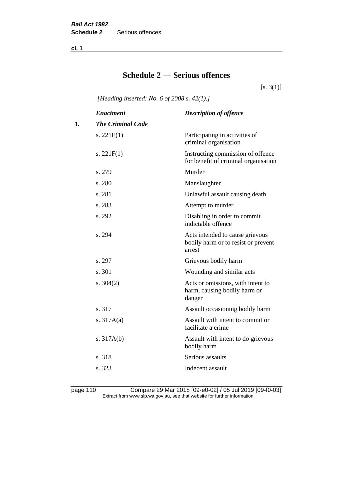**cl. 1**

# **Schedule 2 — Serious offences**

 $[s. 3(1)]$ 

*[Heading inserted: No. 6 of 2008 s. 42(1).]*

|    | <b>Enactment</b>         | <b>Description of offence</b>                                                    |
|----|--------------------------|----------------------------------------------------------------------------------|
| 1. | <b>The Criminal Code</b> |                                                                                  |
|    | s. $221E(1)$             | Participating in activities of<br>criminal organisation                          |
|    | s. $221F(1)$             | Instructing commission of offence<br>for benefit of criminal organisation        |
|    | s. 279                   | Murder                                                                           |
|    | s. 280                   | Manslaughter                                                                     |
|    | s. 281                   | Unlawful assault causing death                                                   |
|    | s. 283                   | Attempt to murder                                                                |
|    | s. 292                   | Disabling in order to commit<br>indictable offence                               |
|    | s. 294                   | Acts intended to cause grievous<br>bodily harm or to resist or prevent<br>arrest |
|    | s. 297                   | Grievous bodily harm                                                             |
|    | s. 301                   | Wounding and similar acts                                                        |
|    | s. $304(2)$              | Acts or omissions, with intent to<br>harm, causing bodily harm or<br>danger      |
|    | s. 317                   | Assault occasioning bodily harm                                                  |
|    | s. $317A(a)$             | Assault with intent to commit or<br>facilitate a crime                           |
|    | s. $317A(b)$             | Assault with intent to do grievous<br>bodily harm                                |
|    | s. 318                   | Serious assaults                                                                 |
|    | s. 323                   | Indecent assault                                                                 |
|    |                          |                                                                                  |

page 110 Compare 29 Mar 2018 [09-e0-02] / 05 Jul 2019 [09-f0-03] Extract from www.slp.wa.gov.au, see that website for further information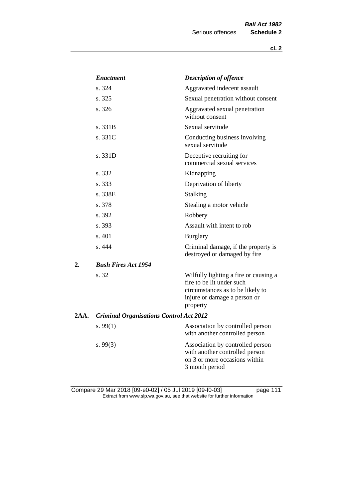|      | <b>Enactment</b>                               | <b>Description of offence</b>                                                                                                                      |
|------|------------------------------------------------|----------------------------------------------------------------------------------------------------------------------------------------------------|
|      | s. 324                                         | Aggravated indecent assault                                                                                                                        |
|      | s. 325                                         | Sexual penetration without consent                                                                                                                 |
|      | s. 326                                         | Aggravated sexual penetration<br>without consent                                                                                                   |
|      | s. 331B                                        | Sexual servitude                                                                                                                                   |
|      | s. 331C                                        | Conducting business involving<br>sexual servitude                                                                                                  |
|      | s. 331D                                        | Deceptive recruiting for<br>commercial sexual services                                                                                             |
|      | s. 332                                         | Kidnapping                                                                                                                                         |
|      | s. 333                                         | Deprivation of liberty                                                                                                                             |
|      | s. 338E                                        | <b>Stalking</b>                                                                                                                                    |
|      | s. 378                                         | Stealing a motor vehicle                                                                                                                           |
|      | s. 392                                         | Robbery                                                                                                                                            |
|      | s. 393                                         | Assault with intent to rob                                                                                                                         |
|      | s. 401                                         | <b>Burglary</b>                                                                                                                                    |
|      | s.444                                          | Criminal damage, if the property is<br>destroyed or damaged by fire                                                                                |
| 2.   | <b>Bush Fires Act 1954</b>                     |                                                                                                                                                    |
|      | s. 32                                          | Wilfully lighting a fire or causing a<br>fire to be lit under such<br>circumstances as to be likely to<br>injure or damage a person or<br>property |
| 2AA. | <b>Criminal Organisations Control Act 2012</b> |                                                                                                                                                    |
|      | s. $99(1)$                                     | Association by controlled person<br>with another controlled person                                                                                 |
|      | s.99(3)                                        | Association by controlled person<br>with another controlled person<br>on 3 or more occasions within<br>3 month period                              |

Compare 29 Mar 2018 [09-e0-02] / 05 Jul 2019 [09-f0-03] page 111 Extract from www.slp.wa.gov.au, see that website for further information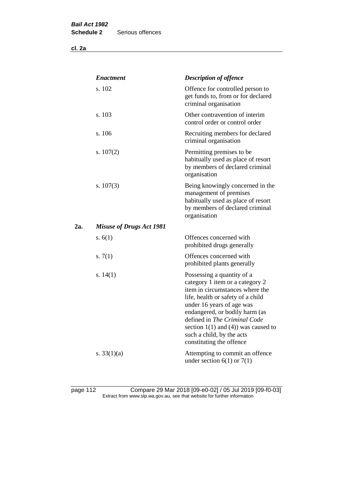|     | <b>Enactment</b>                | <b>Description of offence</b>                                                                                                                                                                                                                                                                                                             |
|-----|---------------------------------|-------------------------------------------------------------------------------------------------------------------------------------------------------------------------------------------------------------------------------------------------------------------------------------------------------------------------------------------|
|     | s. 102                          | Offence for controlled person to<br>get funds to, from or for declared<br>criminal organisation                                                                                                                                                                                                                                           |
|     | s. 103                          | Other contravention of interim<br>control order or control order                                                                                                                                                                                                                                                                          |
|     | s. 106                          | Recruiting members for declared<br>criminal organisation                                                                                                                                                                                                                                                                                  |
|     | s. $107(2)$                     | Permitting premises to be<br>habitually used as place of resort<br>by members of declared criminal<br>organisation                                                                                                                                                                                                                        |
|     | s. $107(3)$                     | Being knowingly concerned in the<br>management of premises<br>habitually used as place of resort<br>by members of declared criminal<br>organisation                                                                                                                                                                                       |
| 2а. | <b>Misuse of Drugs Act 1981</b> |                                                                                                                                                                                                                                                                                                                                           |
|     | s. $6(1)$                       | Offences concerned with<br>prohibited drugs generally                                                                                                                                                                                                                                                                                     |
|     | s. $7(1)$                       | Offences concerned with<br>prohibited plants generally                                                                                                                                                                                                                                                                                    |
|     | s. $14(1)$                      | Possessing a quantity of a<br>category 1 item or a category 2<br>item in circumstances where the<br>life, health or safety of a child<br>under 16 years of age was<br>endangered, or bodily harm (as<br>defined in The Criminal Code<br>section $1(1)$ and $(4)$ ) was caused to<br>such a child, by the acts<br>constituting the offence |
|     | s. $33(1)(a)$                   | Attempting to commit an offence<br>under section $6(1)$ or $7(1)$                                                                                                                                                                                                                                                                         |

page 112 Compare 29 Mar 2018 [09-e0-02] / 05 Jul 2019 [09-f0-03] Extract from www.slp.wa.gov.au, see that website for further information

**cl. 2a**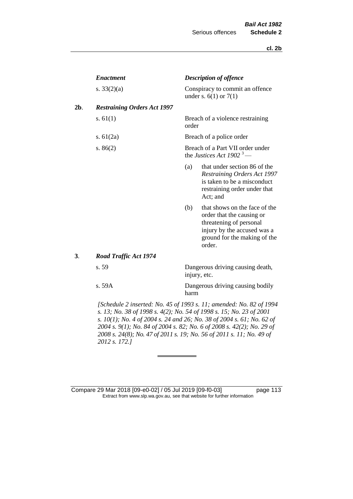|     | <b>Enactment</b>                   |       | <b>Description of offence</b>                                                                                                                                                                                                                                                                                                                                                                         |
|-----|------------------------------------|-------|-------------------------------------------------------------------------------------------------------------------------------------------------------------------------------------------------------------------------------------------------------------------------------------------------------------------------------------------------------------------------------------------------------|
|     | s. $33(2)(a)$                      |       | Conspiracy to commit an offence<br>under s. $6(1)$ or $7(1)$                                                                                                                                                                                                                                                                                                                                          |
| 2b. | <b>Restraining Orders Act 1997</b> |       |                                                                                                                                                                                                                                                                                                                                                                                                       |
|     | s. $61(1)$                         | order | Breach of a violence restraining                                                                                                                                                                                                                                                                                                                                                                      |
|     | s. $61(2a)$                        |       | Breach of a police order                                                                                                                                                                                                                                                                                                                                                                              |
|     | s. $86(2)$                         |       | Breach of a Part VII order under<br>the Justices Act 1902 <sup>3</sup> —                                                                                                                                                                                                                                                                                                                              |
|     |                                    | (a)   | that under section 86 of the<br>Restraining Orders Act 1997<br>is taken to be a misconduct<br>restraining order under that<br>Act; and                                                                                                                                                                                                                                                                |
|     |                                    | (b)   | that shows on the face of the<br>order that the causing or<br>threatening of personal<br>injury by the accused was a<br>ground for the making of the<br>order.                                                                                                                                                                                                                                        |
| 3.  | <b>Road Traffic Act 1974</b>       |       |                                                                                                                                                                                                                                                                                                                                                                                                       |
|     | s. 59                              |       | Dangerous driving causing death,<br>injury, etc.                                                                                                                                                                                                                                                                                                                                                      |
|     | s. 59A                             | harm  | Dangerous driving causing bodily                                                                                                                                                                                                                                                                                                                                                                      |
|     |                                    |       | $\overline{1}$ $\overline{1}$ $\overline{1}$ $\overline{1}$ $\overline{1}$ $\overline{0}$ $\overline{0}$ $\overline{0}$ $\overline{0}$ $\overline{0}$ $\overline{0}$ $\overline{0}$ $\overline{0}$ $\overline{0}$ $\overline{0}$ $\overline{0}$ $\overline{0}$ $\overline{0}$ $\overline{0}$ $\overline{0}$ $\overline{0}$ $\overline{0}$ $\overline{0}$ $\overline{0}$ $\overline{$<br>$0.1002 - 11$ |

*[Schedule 2 inserted: No. 45 of 1993 s. 11; amended: No. 82 of 1994 s. 13; No. 38 of 1998 s. 4(2); No. 54 of 1998 s. 15; No. 23 of 2001 s. 10(1); No. 4 of 2004 s. 24 and 26; No. 38 of 2004 s. 61; No. 62 of 2004 s. 9(1); No. 84 of 2004 s. 82; No. 6 of 2008 s. 42(2); No. 29 of 2008 s. 24(8); No. 47 of 2011 s. 19; No. 56 of 2011 s. 11; No. 49 of 2012 s. 172.]* 

Compare 29 Mar 2018 [09-e0-02] / 05 Jul 2019 [09-f0-03] page 113 Extract from www.slp.wa.gov.au, see that website for further information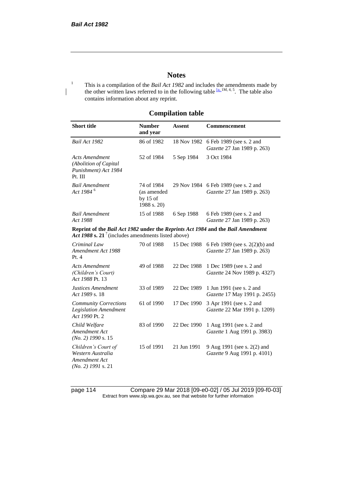### **Notes**

<sup>1</sup> This is a compilation of the *Bail Act 1982* and includes the amendments made by the other written laws referred to in the following table  $\frac{1a}{n}$  IM, 4, 5. The table also contains information about any reprint.

## **Compilation table**

| <b>Short title</b>                                                                                                                                | <b>Number</b><br>and year                              | Assent      | Commencement                                                        |
|---------------------------------------------------------------------------------------------------------------------------------------------------|--------------------------------------------------------|-------------|---------------------------------------------------------------------|
| Bail Act 1982                                                                                                                                     | 86 of 1982                                             | 18 Nov 1982 | 6 Feb 1989 (see s. 2 and<br>Gazette 27 Jan 1989 p. 263)             |
| <b>Acts Amendment</b><br>(Abolition of Capital<br>Punishment) Act 1984<br>Pt. III                                                                 | 52 of 1984                                             | 5 Sep 1984  | 3 Oct 1984                                                          |
| <b>Bail Amendment</b><br>Act 1984 <sup>6</sup>                                                                                                    | 74 of 1984<br>(as amended<br>by $15$ of<br>1988 s. 20) |             | 29 Nov 1984 6 Feb 1989 (see s. 2 and<br>Gazette 27 Jan 1989 p. 263) |
| <b>Bail Amendment</b><br>Act 1988                                                                                                                 | 15 of 1988                                             | 6 Sep 1988  | 6 Feb 1989 (see s. 2 and<br>Gazette 27 Jan 1989 p. 263)             |
| Reprint of the Bail Act 1982 under the Reprints Act 1984 and the Bail Amendment<br>Act 1988 s. 21 <sup>7</sup> (includes amendments listed above) |                                                        |             |                                                                     |
| Criminal Law<br>Amendment Act 1988<br>Pt.4                                                                                                        | 70 of 1988                                             | 15 Dec 1988 | 6 Feb 1989 (see s. 2(2)(b) and<br>Gazette 27 Jan 1989 p. 263)       |
| <b>Acts Amendment</b><br>(Children's Court)<br>Act 1988 Pt. 13                                                                                    | 49 of 1988                                             | 22 Dec 1988 | 1 Dec 1989 (see s. 2 and<br>Gazette 24 Nov 1989 p. 4327)            |
| Justices Amendment<br>Act 1989 s. 18                                                                                                              | 33 of 1989                                             | 22 Dec 1989 | 1 Jun 1991 (see s. 2 and<br>Gazette 17 May 1991 p. 2455)            |
| <b>Community Corrections</b><br><b>Legislation Amendment</b><br>Act 1990 Pt. 2                                                                    | 61 of 1990                                             | 17 Dec 1990 | 3 Apr 1991 (see s. 2 and<br>Gazette 22 Mar 1991 p. 1209)            |
| Child Welfare<br>Amendment Act<br>$(No. 2)$ 1990 s. 15                                                                                            | 83 of 1990                                             | 22 Dec 1990 | 1 Aug 1991 (see s. 2 and<br>Gazette 1 Aug 1991 p. 3983)             |
| Children's Court of<br>Western Australia<br>Amendment Act<br>$(No. 2)$ 1991 s. 21                                                                 | 15 of 1991                                             | 21 Jun 1991 | 9 Aug 1991 (see s. 2(2) and<br>Gazette 9 Aug 1991 p. 4101)          |

page 114 Compare 29 Mar 2018 [09-e0-02] / 05 Jul 2019 [09-f0-03] Extract from www.slp.wa.gov.au, see that website for further information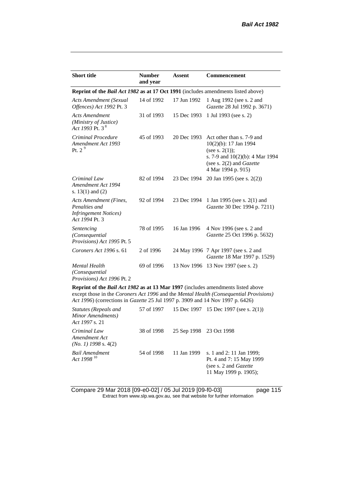| <b>Short title</b>                                                                         | <b>Number</b><br>and year | <b>Assent</b> | <b>Commencement</b>                                                                                                                                                         |  |  |
|--------------------------------------------------------------------------------------------|---------------------------|---------------|-----------------------------------------------------------------------------------------------------------------------------------------------------------------------------|--|--|
| <b>Reprint of the Bail Act 1982 as at 17 Oct 1991</b> (includes amendments listed above)   |                           |               |                                                                                                                                                                             |  |  |
| <b>Acts Amendment (Sexual</b><br>Offences) Act 1992 Pt. 3                                  | 14 of 1992                | 17 Jun 1992   | 1 Aug 1992 (see s. 2 and<br>Gazette 28 Jul 1992 p. 3671)                                                                                                                    |  |  |
| <b>Acts Amendment</b><br>(Ministry of Justice)<br>Act 1993 Pt. 3 <sup>8</sup>              | 31 of 1993                | 15 Dec 1993   | 1 Jul 1993 (see s. 2)                                                                                                                                                       |  |  |
| Criminal Procedure<br>Amendment Act 1993<br>Pt. 2 $9$                                      | 45 of 1993                | 20 Dec 1993   | Act other than s. 7-9 and<br>$10(2)(b)$ : 17 Jan 1994<br>(see s. $2(1)$ );<br>s. 7-9 and $10(2)(b)$ : 4 Mar 1994<br>(see s. $2(2)$ and <i>Gazette</i><br>4 Mar 1994 p. 915) |  |  |
| Criminal Law<br>Amendment Act 1994<br>s. $13(1)$ and $(2)$                                 | 82 of 1994                | 23 Dec 1994   | 20 Jan 1995 (see s. 2(2))                                                                                                                                                   |  |  |
| Acts Amendment (Fines,<br>Penalties and<br><b>Infringement Notices</b> )<br>Act 1994 Pt. 3 | 92 of 1994                | 23 Dec 1994   | 1 Jan 1995 (see s. 2(1) and<br>Gazette 30 Dec 1994 p. 7211)                                                                                                                 |  |  |
| Sentencing<br>(Consequential<br>Provisions) Act 1995 Pt. 5                                 | 78 of 1995                | 16 Jan 1996   | 4 Nov 1996 (see s. 2 and<br>Gazette 25 Oct 1996 p. 5632)                                                                                                                    |  |  |
| Coroners Act 1996 s. 61                                                                    | 2 of 1996                 |               | 24 May 1996 7 Apr 1997 (see s. 2 and<br>Gazette 18 Mar 1997 p. 1529)                                                                                                        |  |  |
| Mental Health<br>(Consequential<br>Provisions) Act 1996 Pt. 2                              | 69 of 1996                |               | 13 Nov 1996 13 Nov 1997 (see s. 2)                                                                                                                                          |  |  |
| <b>Reprint of the Bail Act 1982 as at 13 Mar 1997</b> (includes amendments listed above    |                           |               |                                                                                                                                                                             |  |  |

**Reprint of the** *Bail Act 1982* **as at 13 Mar 1997** (includes amendments listed above except those in the *Coroners Act 1996* and the *Mental Health (Consequential Provisions) Act 1996*) (corrections in *Gazette* 25 Jul 1997 p. 3909 and 14 Nov 1997 p. 6426)

| Statutes (Repeals and<br>Minor Amendments)<br>Act 1997 s. 21 |            |                         | 57 of 1997 15 Dec 1997 15 Dec 1997 (see s. 2(1))                                                                |
|--------------------------------------------------------------|------------|-------------------------|-----------------------------------------------------------------------------------------------------------------|
| Criminal Law<br>Amendment Act<br>$(No. 1)$ 1998 s. 4(2)      | 38 of 1998 | 25 Sep 1998 23 Oct 1998 |                                                                                                                 |
| Bail Amendment<br>Act 1998 <sup>10</sup>                     | 54 of 1998 | 11 Jan 1999             | s. 1 and 2: 11 Jan 1999;<br>Pt. 4 and 7: 15 May 1999<br>(see s. 2 and <i>Gazette</i> )<br>11 May 1999 p. 1905); |

Compare 29 Mar 2018 [09-e0-02] / 05 Jul 2019 [09-f0-03] page 115 Extract from www.slp.wa.gov.au, see that website for further information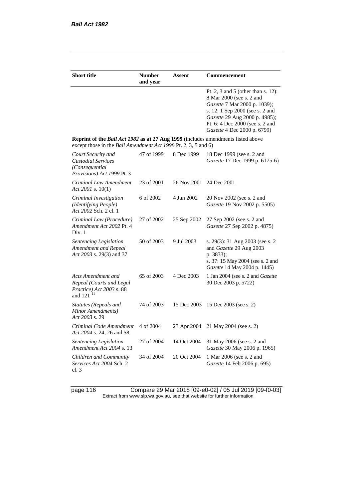| <b>Short title</b>                                                                                                                                        | <b>Number</b><br>and year | Assent                  | Commencement                                                                                                                                                                                                                         |
|-----------------------------------------------------------------------------------------------------------------------------------------------------------|---------------------------|-------------------------|--------------------------------------------------------------------------------------------------------------------------------------------------------------------------------------------------------------------------------------|
|                                                                                                                                                           |                           |                         | Pt. 2, 3 and 5 (other than s. 12):<br>8 Mar 2000 (see s. 2 and<br>Gazette 7 Mar 2000 p. 1039);<br>s. 12: 1 Sep 2000 (see s. 2 and<br>Gazette 29 Aug 2000 p. 4985);<br>Pt. 6: 4 Dec 2000 (see s. 2 and<br>Gazette 4 Dec 2000 p. 6799) |
| <b>Reprint of the Bail Act 1982 as at 27 Aug 1999</b> (includes amendments listed above<br>except those in the Bail Amendment Act 1998 Pt. 2, 3, 5 and 6) |                           |                         |                                                                                                                                                                                                                                      |
| Court Security and<br><b>Custodial Services</b><br>(Consequential)<br>Provisions) Act 1999 Pt. 3                                                          | 47 of 1999                | 8 Dec 1999              | 18 Dec 1999 (see s. 2 and<br>Gazette 17 Dec 1999 p. 6175-6)                                                                                                                                                                          |
| Criminal Law Amendment<br>Act 2001 s. $10(1)$                                                                                                             | 23 of 2001                | 26 Nov 2001 24 Dec 2001 |                                                                                                                                                                                                                                      |
| Criminal Investigation<br>(Identifying People)<br>Act 2002 Sch. 2 cl. 1                                                                                   | 6 of 2002                 | 4 Jun 2002              | 20 Nov 2002 (see s. 2 and<br>Gazette 19 Nov 2002 p. 5505)                                                                                                                                                                            |
| Criminal Law (Procedure)<br>Amendment Act 2002 Pt. 4<br>Div. 1                                                                                            | 27 of 2002                | 25 Sep 2002             | 27 Sep 2002 (see s. 2 and<br>Gazette 27 Sep 2002 p. 4875)                                                                                                                                                                            |
| Sentencing Legislation<br>Amendment and Repeal<br>Act 2003 s. 29(3) and 37                                                                                | 50 of 2003                | 9 Jul 2003              | s. 29(3): 31 Aug 2003 (see s. 2)<br>and Gazette 29 Aug 2003<br>p. 3833);<br>s. 37: 15 May 2004 (see s. 2 and<br>Gazette 14 May 2004 p. 1445)                                                                                         |
| Acts Amendment and<br>Repeal (Courts and Legal<br>Practice) Act 2003 s. 88<br>and 121 <sup>11</sup>                                                       | 65 of 2003                | 4 Dec 2003              | 1 Jan 2004 (see s. 2 and Gazette<br>30 Dec 2003 p. 5722)                                                                                                                                                                             |
| Statutes (Repeals and<br>Minor Amendments)<br>Act 2003 s. 29                                                                                              | 74 of 2003                | 15 Dec 2003             | 15 Dec 2003 (see s. 2)                                                                                                                                                                                                               |
| Criminal Code Amendment<br>Act 2004 s. 24, 26 and 58                                                                                                      | 4 of 2004                 | 23 Apr 2004             | 21 May 2004 (see s. 2)                                                                                                                                                                                                               |
| Sentencing Legislation<br>Amendment Act 2004 s. 13                                                                                                        | 27 of 2004                | 14 Oct 2004             | 31 May 2006 (see s. 2 and<br>Gazette 30 May 2006 p. 1965)                                                                                                                                                                            |
| Children and Community<br>Services Act 2004 Sch. 2<br>cl. 3                                                                                               | 34 of 2004                | 20 Oct 2004             | 1 Mar 2006 (see s. 2 and<br>Gazette 14 Feb 2006 p. 695)                                                                                                                                                                              |

page 116 Compare 29 Mar 2018 [09-e0-02] / 05 Jul 2019 [09-f0-03] Extract from www.slp.wa.gov.au, see that website for further information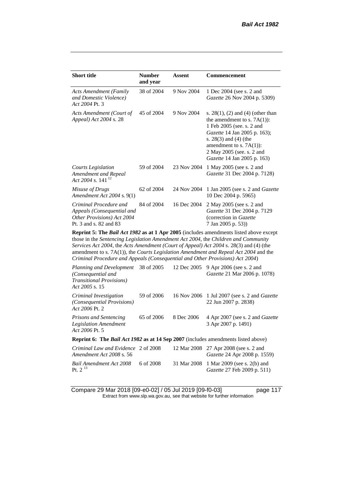| <b>Short title</b>                                                                                           | <b>Number</b><br>and year | Assent      | Commencement                                                                                                                                                                                                                                             |  |
|--------------------------------------------------------------------------------------------------------------|---------------------------|-------------|----------------------------------------------------------------------------------------------------------------------------------------------------------------------------------------------------------------------------------------------------------|--|
| <b>Acts Amendment (Family</b><br>and Domestic Violence)<br>Act 2004 Pt. 3                                    | 38 of 2004                | 9 Nov 2004  | 1 Dec 2004 (see s. 2 and<br><i>Gazette</i> 26 Nov 2004 p. 5309)                                                                                                                                                                                          |  |
| Acts Amendment (Court of<br>Appeal) Act 2004 s. 28                                                           | 45 of 2004                | 9 Nov 2004  | s. $28(1)$ , (2) and (4) (other than<br>the amendment to s. $7A(1)$ :<br>1 Feb 2005 (see. s. 2 and<br>Gazette 14 Jan 2005 p. 163);<br>s. $28(3)$ and $(4)$ (the<br>amendment to s. $7A(1)$ :<br>2 May 2005 (see. s. 2 and<br>Gazette 14 Jan 2005 p. 163) |  |
| Courts Legislation<br>Amendment and Repeal<br>Act 2004 s. 141 <sup>12</sup>                                  | 59 of 2004                | 23 Nov 2004 | 1 May 2005 (see s. 2 and<br>Gazette 31 Dec 2004 p. 7128)                                                                                                                                                                                                 |  |
| Misuse of Drugs<br>Amendment Act 2004 s. 9(1)                                                                | 62 of 2004                | 24 Nov 2004 | 1 Jan 2005 (see s. 2 and <i>Gazette</i><br>10 Dec 2004 p. 5965)                                                                                                                                                                                          |  |
| Criminal Procedure and<br>Appeals (Consequential and<br>Other Provisions) Act 2004<br>Pt. 3 and s. 82 and 83 | 84 of 2004                | 16 Dec 2004 | 2 May 2005 (see s. 2 and<br>Gazette 31 Dec 2004 p. 7129<br>(correction in Gazette<br>7 Jan 2005 p. 53)                                                                                                                                                   |  |
| Dopply 5. The Dail Act 1002 as at 1 Apr 2005 Gualidae amondments listed share avec the                       |                           |             |                                                                                                                                                                                                                                                          |  |

**Reprint 5: The** *Bail Act 1982* **as at 1 Apr 2005** (includes amendments listed above except those in the *Sentencing Legislation Amendment Act 2004*, the *Children and Community Services Act 2004*, the *Acts Amendment (Court of Appeal) Act 2004* s. 28(3) and (4) (the amendment to s. 7A(1)), the *Courts Legislation Amendment and Repeal Act 2004* and the *Criminal Procedure and Appeals (Consequential and Other Provisions) Act 2004*)

| Planning and Development 38 of 2005<br>(Consequential and<br><b>Transitional Provisions</b> )<br>Act 2005 s. 15 |            | 12 Dec 2005 | 9 Apr 2006 (see s. 2 and<br>Gazette 21 Mar 2006 p. 1078)                      |
|-----------------------------------------------------------------------------------------------------------------|------------|-------------|-------------------------------------------------------------------------------|
| Criminal Investigation<br>(Consequential Provisions)<br>Act 2006 Pt. 2                                          | 59 of 2006 |             | 16 Nov 2006 1 Jul 2007 (see s. 2 and <i>Gazette</i><br>22 Jun 2007 p. 2838)   |
| <b>Prisons and Sentencing</b><br><b>Legislation Amendment</b><br>Act 2006 Pt. 5                                 | 65 of 2006 | 8 Dec 2006  | 4 Apr 2007 (see s. 2 and <i>Gazette</i><br>3 Apr 2007 p. 1491)                |
| <b>Reprint 6: The Bail Act 1982 as at 14 Sep 2007</b> (includes amendments listed above)                        |            |             |                                                                               |
| Criminal Law and Evidence 2 of 2008<br>Amendment Act 2008 s. 56                                                 |            |             | 12 Mar 2008 27 Apr 2008 (see s. 2 and<br><i>Gazette</i> 24 Apr 2008 p. 1559)  |
| Bail Amendment Act 2008<br>Pt. $2^{13}$                                                                         | 6 of 2008  |             | 31 Mar 2008 1 Mar 2009 (see s. 2(b) and<br><i>Gazette</i> 27 Feb 2009 p. 511) |

Compare 29 Mar 2018 [09-e0-02] / 05 Jul 2019 [09-f0-03] page 117 Extract from www.slp.wa.gov.au, see that website for further information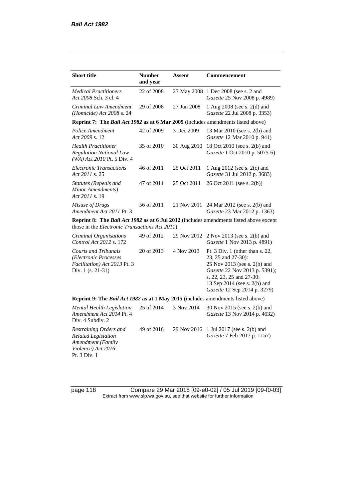| <b>Short title</b>                                                                                              | <b>Number</b><br>and year | Assent      | <b>Commencement</b>                                                                                                                                                                                                   |
|-----------------------------------------------------------------------------------------------------------------|---------------------------|-------------|-----------------------------------------------------------------------------------------------------------------------------------------------------------------------------------------------------------------------|
|                                                                                                                 |                           |             |                                                                                                                                                                                                                       |
| <b>Medical Practitioners</b><br>Act 2008 Sch. 3 cl. 4                                                           | 22 of 2008                | 27 May 2008 | 1 Dec 2008 (see s. 2 and<br>Gazette 25 Nov 2008 p. 4989)                                                                                                                                                              |
| Criminal Law Amendment<br>(Homicide) Act 2008 s. 24                                                             | 29 of 2008                | 27 Jun 2008 | 1 Aug 2008 (see s. 2(d) and<br>Gazette 22 Jul 2008 p. 3353)                                                                                                                                                           |
| Reprint 7: The Bail Act 1982 as at 6 Mar 2009 (includes amendments listed above)                                |                           |             |                                                                                                                                                                                                                       |
| Police Amendment<br>Act 2009 s. 12                                                                              | 42 of 2009                | 3 Dec 2009  | 13 Mar 2010 (see s. 2(b) and<br>Gazette 12 Mar 2010 p. 941)                                                                                                                                                           |
| <b>Health Practitioner</b><br><b>Regulation National Law</b><br>(WA) Act 2010 Pt. 5 Div. 4                      | 35 of 2010                | 30 Aug 2010 | 18 Oct 2010 (see s. 2(b) and<br>Gazette 1 Oct 2010 p. 5075-6)                                                                                                                                                         |
| <b>Electronic Transactions</b><br>Act 2011 s. 25                                                                | 46 of 2011                | 25 Oct 2011 | 1 Aug 2012 (see s. 2(c) and<br>Gazette 31 Jul 2012 p. 3683)                                                                                                                                                           |
| <b>Statutes (Repeals and</b><br>Minor Amendments)<br>Act 2011 s. 19                                             | 47 of 2011                | 25 Oct 2011 | 26 Oct 2011 (see s. 2(b))                                                                                                                                                                                             |
| Misuse of Drugs<br>Amendment Act 2011 Pt. 3                                                                     | 56 of 2011                | 21 Nov 2011 | 24 Mar 2012 (see s. 2(b) and<br>Gazette 23 Mar 2012 p. 1363)                                                                                                                                                          |
| those in the <i>Electronic Transactions Act 2011</i> )                                                          |                           |             | Reprint 8: The Bail Act 1982 as at 6 Jul 2012 (includes amendments listed above except                                                                                                                                |
| Criminal Organisations<br>Control Act 2012 s. 172                                                               | 49 of 2012                | 29 Nov 2012 | 2 Nov 2013 (see s. 2(b) and<br>Gazette 1 Nov 2013 p. 4891)                                                                                                                                                            |
| <b>Courts and Tribunals</b><br>(Electronic Processes<br>Facilitation) Act 2013 Pt. 3<br>Div. $1$ (s. 21-31)     | 20 of 2013                | 4 Nov 2013  | Pt. 3 Div. 1 (other than s. $22$ ,<br>23, 25 and 27-30):<br>25 Nov 2013 (see s. 2(b) and<br>Gazette 22 Nov 2013 p. 5391);<br>s. 22, 23, 25 and 27-30:<br>13 Sep 2014 (see s. 2(b) and<br>Gazette 12 Sep 2014 p. 3279) |
| Reprint 9: The Bail Act 1982 as at 1 May 2015 (includes amendments listed above)                                |                           |             |                                                                                                                                                                                                                       |
| <b>Mental Health Legislation</b><br>Amendment Act 2014 Pt. 4<br>Div. 4 Subdiv. 2                                | 25 of 2014                | 3 Nov 2014  | 30 Nov 2015 (see s. 2(b) and<br>Gazette 13 Nov 2014 p. 4632)                                                                                                                                                          |
| Restraining Orders and<br><b>Related Legislation</b><br>Amendment (Family<br>Violence) Act 2016<br>Pt. 3 Div. 1 | 49 of 2016                | 29 Nov 2016 | 1 Jul 2017 (see s. 2(b) and<br>Gazette 7 Feb 2017 p. 1157)                                                                                                                                                            |

page 118 Compare 29 Mar 2018 [09-e0-02] / 05 Jul 2019 [09-f0-03] Extract from www.slp.wa.gov.au, see that website for further information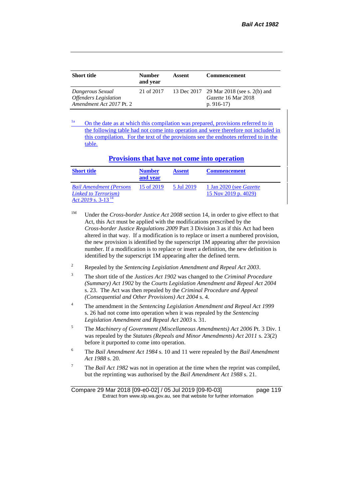| <b>Short title</b>                                                                  | <b>Number</b><br>and vear | Assent | <b>Commencement</b>                                                            |
|-------------------------------------------------------------------------------------|---------------------------|--------|--------------------------------------------------------------------------------|
| Dangerous Sexual<br><i><b>Offenders Legislation</b></i><br>Amendment Act 2017 Pt. 2 | 21 of 2017                |        | 13 Dec 2017 29 Mar 2018 (see s. 2(b) and<br>Gazette 16 Mar 2018<br>p. $916-17$ |

<sup>1a</sup> On the date as at which this compilation was prepared, provisions referred to in the following table had not come into operation and were therefore not included in this compilation. For the text of the provisions see the endnotes referred to in the table.

#### **Provisions that have not come into operation**

| <b>Short title</b>                                                                         | <b>Number</b><br>and vear | <b>Assent</b> | <b>Commencement</b>                                    |
|--------------------------------------------------------------------------------------------|---------------------------|---------------|--------------------------------------------------------|
| <b>Bail Amendment (Persons</b><br>Linked to Terrorism)<br>$Act 2019$ s. 3-13 <sup>14</sup> | 15 of 2019                | 5 Jul 2019    | 1 Jan 2020 (see <i>Gazette</i><br>15 Nov 2019 p. 4029) |

- <sup>1M</sup> Under the *Cross-border Justice Act 2008* section 14, in order to give effect to that Act, this Act must be applied with the modifications prescribed by the *Cross-border Justice Regulations 2009* Part 3 Division 3 as if this Act had been altered in that way. If a modification is to replace or insert a numbered provision, the new provision is identified by the superscript 1M appearing after the provision number. If a modification is to replace or insert a definition, the new definition is identified by the superscript 1M appearing after the defined term.
- <sup>2</sup> Repealed by the *Sentencing Legislation Amendment and Repeal Act 2003*.
- <sup>3</sup> The short title of the *Justices Act 1902* was changed to the *Criminal Procedure (Summary) Act 1902* by the *Courts Legislation Amendment and Repeal Act 2004*  s. 23. The Act was then repealed by the *Criminal Procedure and Appeal (Consequential and Other Provisions) Act 2004* s. 4.
- <sup>4</sup> The amendment in the *Sentencing Legislation Amendment and Repeal Act 1999* s. 26 had not come into operation when it was repealed by the *Sentencing Legislation Amendment and Repeal Act 2003* s. 31.
- <sup>5</sup> The *Machinery of Government (Miscellaneous Amendments) Act 2006* Pt. 3 Div. 1 was repealed by the *Statutes (Repeals and Minor Amendments) Act 2011* s. 23(2) before it purported to come into operation.
- <sup>6</sup> The *Bail Amendment Act 1984* s. 10 and 11 were repealed by the *Bail Amendment Act 1988* s. 20.
- <sup>7</sup> The *Bail Act 1982* was not in operation at the time when the reprint was compiled, but the reprinting was authorised by the *Bail Amendment Act 1988* s. 21.

Compare 29 Mar 2018 [09-e0-02] / 05 Jul 2019 [09-f0-03] page 119 Extract from www.slp.wa.gov.au, see that website for further information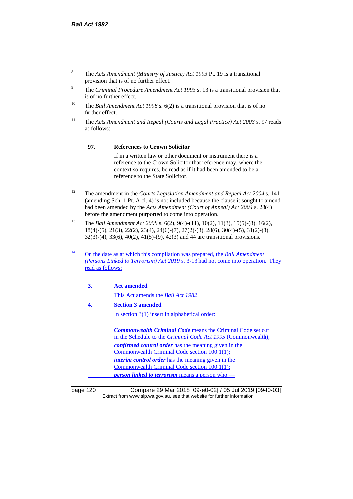- <sup>8</sup> The *Acts Amendment (Ministry of Justice) Act 1993* Pt. 19 is a transitional provision that is of no further effect.
- <sup>9</sup> The *Criminal Procedure Amendment Act 1993* s. 13 is a transitional provision that is of no further effect.
- <sup>10</sup> The *Bail Amendment Act 1998* s. 6(2) is a transitional provision that is of no further effect.
- <sup>11</sup> The *Acts Amendment and Repeal (Courts and Legal Practice) Act 2003* s. 97 reads as follows:

#### **97. References to Crown Solicitor**

If in a written law or other document or instrument there is a reference to the Crown Solicitor that reference may, where the context so requires, be read as if it had been amended to be a reference to the State Solicitor.

- <sup>12</sup> The amendment in the *Courts Legislation Amendment and Repeal Act 2004* s. 141 (amending Sch. 1 Pt. A cl. 4) is not included because the clause it sought to amend had been amended by the *Acts Amendment (Court of Appeal) Act 2004* s. 28(4) before the amendment purported to come into operation.
- <sup>13</sup> The *Bail Amendment Act 2008* s. 6(2), 9(4)-(11), 10(2), 11(3), 15(5)-(8), 16(2), 18(4)-(5), 21(3), 22(2), 23(4), 24(6)-(7), 27(2)-(3), 28(6), 30(4)-(5), 31(2)-(3), 32(3)-(4), 33(6), 40(2), 41(5)-(9), 42(3) and 44 are transitional provisions.
- <sup>14</sup> On the date as at which this compilation was prepared, the *Bail Amendment (Persons Linked to Terrorism) Act 2019* s. 3-13 had not come into operation. They read as follows:
	- **3. Act amended**
		- This Act amends the *Bail Act 1982*.
	- **4. Section 3 amended**
		- In section 3(1) insert in alphabetical order:
	- *Commonwealth Criminal Code* means the Criminal Code set out in the Schedule to the *Criminal Code Act 1995* (Commonwealth); *confirmed control order* has the meaning given in the Commonwealth Criminal Code section 100.1(1); *interim control order* has the meaning given in the Commonwealth Criminal Code section 100.1(1); *person linked to terrorism* means a person who —

page 120 Compare 29 Mar 2018 [09-e0-02] / 05 Jul 2019 [09-f0-03] Extract from www.slp.wa.gov.au, see that website for further information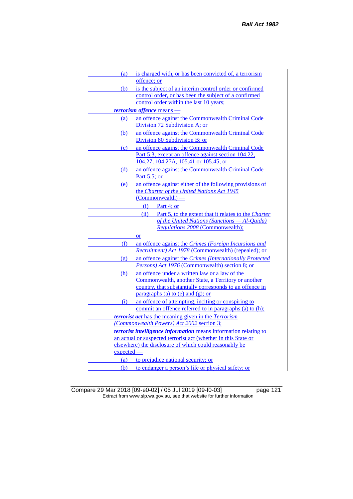| (a)                         | is charged with, or has been convicted of, a terrorism                                                       |
|-----------------------------|--------------------------------------------------------------------------------------------------------------|
|                             | offence; or                                                                                                  |
| (b)                         | is the subject of an interim control order or confirmed                                                      |
|                             | control order, or has been the subject of a confirmed                                                        |
|                             | control order within the last 10 years;                                                                      |
|                             | terrorism offence means -                                                                                    |
| (a)                         | an offence against the Commonwealth Criminal Code                                                            |
|                             | Division 72 Subdivision A; or                                                                                |
| (b)                         | an offence against the Commonwealth Criminal Code                                                            |
|                             | Division 80 Subdivision B; or                                                                                |
| (c)                         | an offence against the Commonwealth Criminal Code                                                            |
|                             | Part 5.3, except an offence against section 104.22,                                                          |
|                             | 104.27, 104.27A, 105.41 or 105.45; or                                                                        |
| (d)                         | an offence against the Commonwealth Criminal Code                                                            |
|                             | Part 5.5; or                                                                                                 |
| (e)                         | an offence against either of the following provisions of                                                     |
|                             | the Charter of the United Nations Act 1945                                                                   |
|                             | $(Common wealth)$ —                                                                                          |
|                             | $(i)$ Part 4; or                                                                                             |
|                             | (ii)<br>Part 5, to the extent that it relates to the Charter                                                 |
|                             | of the United Nations (Sanctions - Al-Qaida)                                                                 |
|                             | <b>Regulations 2008 (Commonwealth);</b>                                                                      |
|                             | or                                                                                                           |
| (f)                         | an offence against the Crimes (Foreign Incursions and<br>Recruitment) Act 1978 (Commonwealth) (repealed); or |
|                             |                                                                                                              |
| $\left( \mathbf{g} \right)$ | an offence against the Crimes (Internationally Protected<br>Persons) Act 1976 (Commonwealth) section 8; or   |
|                             |                                                                                                              |
| (h)                         | an offence under a written law or a law of the<br>Commonwealth, another State, a Territory or another        |
|                             | country, that substantially corresponds to an offence in                                                     |
|                             | paragraphs (a) to (e) and (g); or                                                                            |
| (i)                         | an offence of attempting, inciting or conspiring to                                                          |
|                             | commit an offence referred to in paragraphs (a) to (h);                                                      |
|                             | <b><i>terrorist act</i></b> has the meaning given in the Terrorism                                           |
|                             | (Commonwealth Powers) Act 2002 section 3;                                                                    |
|                             | terrorist intelligence information means information relating to                                             |
|                             | an actual or suspected terrorist act (whether in this State or                                               |
|                             | elsewhere) the disclosure of which could reasonably be                                                       |
| expected                    |                                                                                                              |
| (a)                         | to prejudice national security; or                                                                           |
| (b)                         | to endanger a person's life or physical safety; or                                                           |

Compare 29 Mar 2018 [09-e0-02] / 05 Jul 2019 [09-f0-03] page 121 Extract from www.slp.wa.gov.au, see that website for further information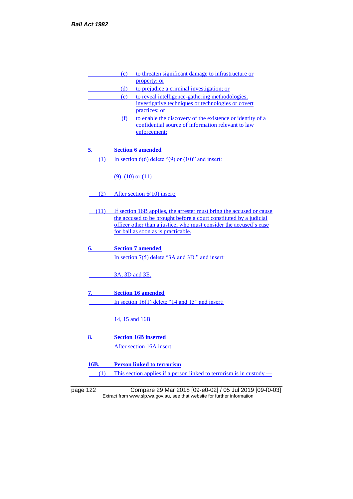|      | to threaten significant damage to infrastructure or<br>(c)                                                      |
|------|-----------------------------------------------------------------------------------------------------------------|
|      | property; or                                                                                                    |
|      | to prejudice a criminal investigation; or<br>(d)                                                                |
|      | to reveal intelligence-gathering methodologies,<br>(e)                                                          |
|      | investigative techniques or technologies or covert<br>practices; or                                             |
|      | (f)                                                                                                             |
|      | to enable the discovery of the existence or identity of a<br>confidential source of information relevant to law |
|      | enforcement;                                                                                                    |
| 5.   | <b>Section 6 amended</b>                                                                                        |
| (1)  | In section $6(6)$ delete " $(9)$ or $(10)$ " and insert:                                                        |
|      | $(9)$ , $(10)$ or $(11)$                                                                                        |
| (2)  | After section $6(10)$ insert:                                                                                   |
| (11) | If section 16B applies, the arrester must bring the accused or cause                                            |
|      | the accused to be brought before a court constituted by a judicial                                              |
|      | officer other than a justice, who must consider the accused's case                                              |
|      | for bail as soon as is practicable.                                                                             |
| 6.   | <b>Section 7 amended</b>                                                                                        |
|      | In section 7(5) delete "3A and 3D." and insert:                                                                 |
|      |                                                                                                                 |
|      | 3A, 3D and 3E.                                                                                                  |
| 7.   | <b>Section 16 amended</b>                                                                                       |
|      | In section $16(1)$ delete "14 and 15" and insert:                                                               |
|      | 14, 15 and 16B                                                                                                  |
| 8.   | <b>Section 16B inserted</b>                                                                                     |
|      | After section 16A insert:                                                                                       |
| 16B. | <b>Person linked to terrorism</b>                                                                               |

page 122 Compare 29 Mar 2018 [09-e0-02] / 05 Jul 2019 [09-f0-03] Extract from www.slp.wa.gov.au, see that website for further information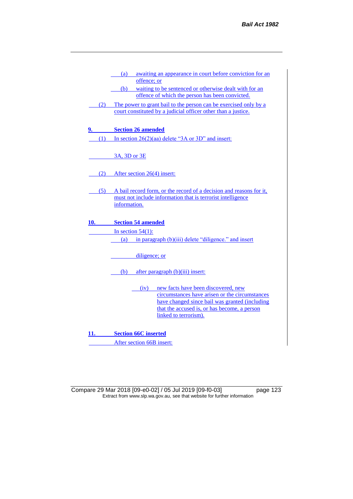|     | awaiting an appearance in court before conviction for an<br>(a)                                  |
|-----|--------------------------------------------------------------------------------------------------|
|     | offence; or                                                                                      |
|     | waiting to be sentenced or otherwise dealt with for an<br>(b)                                    |
|     | offence of which the person has been convicted.                                                  |
| (2) | The power to grant bail to the person can be exercised only by a                                 |
|     | court constituted by a judicial officer other than a justice.                                    |
|     |                                                                                                  |
| 9.  | <b>Section 26 amended</b>                                                                        |
|     |                                                                                                  |
| (1) | In section $26(2)(aa)$ delete "3A or 3D" and insert:                                             |
|     |                                                                                                  |
|     | 3A, 3D or 3E                                                                                     |
|     |                                                                                                  |
| (2) | After section 26(4) insert:                                                                      |
|     |                                                                                                  |
|     |                                                                                                  |
| (5) | A bail record form, or the record of a decision and reasons for it,                              |
|     | must not include information that is terrorist intelligence<br>information.                      |
|     |                                                                                                  |
|     |                                                                                                  |
| 10. | <b>Section 54 amended</b>                                                                        |
|     | In section $54(1)$ :                                                                             |
|     | in paragraph (b)(iii) delete "diligence." and insert<br>(a)                                      |
|     |                                                                                                  |
|     | diligence; or                                                                                    |
|     |                                                                                                  |
|     | (b)<br>after paragraph (b)(iii) insert:                                                          |
|     |                                                                                                  |
|     |                                                                                                  |
|     | new facts have been discovered, new<br>(iv)                                                      |
|     | circumstances have arisen or the circumstances<br>have changed since bail was granted (including |
|     | that the accused is, or has become, a person                                                     |
|     | linked to terrorism).                                                                            |
|     |                                                                                                  |
|     |                                                                                                  |
| 11. | <b>Section 66C inserted</b>                                                                      |

After section 66B insert:

Compare 29 Mar 2018 [09-e0-02] / 05 Jul 2019 [09-f0-03] page 123 Extract from www.slp.wa.gov.au, see that website for further information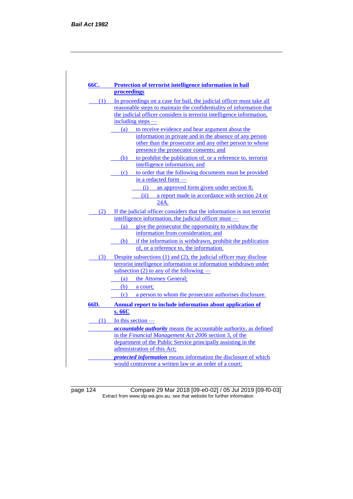| 66C. <b>Santa</b> | Protection of terrorist intelligence information in bail                                                                           |
|-------------------|------------------------------------------------------------------------------------------------------------------------------------|
|                   | proceedings                                                                                                                        |
| (1)               | In proceedings on a case for bail, the judicial officer must take all                                                              |
|                   | reasonable steps to maintain the confidentiality of information that                                                               |
|                   | the judicial officer considers is terrorist intelligence information,                                                              |
|                   | including steps —                                                                                                                  |
|                   | to receive evidence and hear argument about the<br>(a)                                                                             |
|                   | information in private and in the absence of any person                                                                            |
|                   | other than the prosecutor and any other person to whose                                                                            |
|                   | presence the prosecutor consents; and                                                                                              |
|                   | (b) to prohibit the publication of, or a reference to, terrorist                                                                   |
|                   | intelligence information; and                                                                                                      |
|                   | (c) to order that the following documents must be provided                                                                         |
|                   | in a redacted form -                                                                                                               |
|                   | an approved form given under section 8;<br>(i)                                                                                     |
|                   | a report made in accordance with section 24 or<br>(ii)                                                                             |
|                   | 24A.                                                                                                                               |
| (2)               | If the judicial officer considers that the information is not terrorist                                                            |
|                   | intelligence information, the judicial officer must –                                                                              |
|                   | give the prosecutor the opportunity to withdraw the<br>(a)                                                                         |
|                   | information from consideration; and                                                                                                |
|                   | if the information is withdrawn, prohibit the publication<br>(b)                                                                   |
|                   | of, or a reference to, the information.                                                                                            |
|                   | (3) Despite subsections (1) and (2), the judicial officer may disclose                                                             |
|                   | terrorist intelligence information or information withdrawn under                                                                  |
|                   | subsection $(2)$ to any of the following —                                                                                         |
|                   | (a) the Attorney General;                                                                                                          |
|                   | (b)<br>a court;                                                                                                                    |
|                   | (c) a person to whom the prosecutor authorises disclosure.                                                                         |
| 66D.              | Annual report to include information about application of                                                                          |
|                   | s. 66C                                                                                                                             |
|                   | $(1)$ In this section —                                                                                                            |
|                   |                                                                                                                                    |
|                   | <i>accountable authority</i> means the accountable authority, as defined<br>in the Financial Management Act 2006 section 3, of the |
|                   | department of the Public Service principally assisting in the                                                                      |
|                   | administration of this Act;                                                                                                        |
|                   | protected information means information the disclosure of which                                                                    |
|                   | would contravene a written law or an order of a court;                                                                             |
|                   |                                                                                                                                    |

page 124 Compare 29 Mar 2018 [09-e0-02] / 05 Jul 2019 [09-f0-03] Extract from www.slp.wa.gov.au, see that website for further information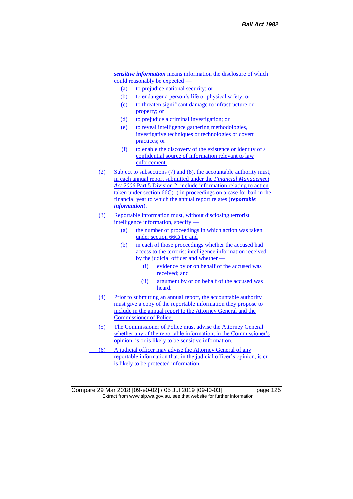|     | sensitive information means information the disclosure of which                                                                   |
|-----|-----------------------------------------------------------------------------------------------------------------------------------|
|     | could reasonably be expected —                                                                                                    |
|     | (a) to prejudice national security; or                                                                                            |
|     | to endanger a person's life or physical safety; or<br>(b)                                                                         |
|     | to threaten significant damage to infrastructure or<br>(c)                                                                        |
|     | property; or                                                                                                                      |
|     | to prejudice a criminal investigation; or<br>(d)                                                                                  |
|     | to reveal intelligence gathering methodologies,<br>(e)                                                                            |
|     | investigative techniques or technologies or covert                                                                                |
|     | practices; or                                                                                                                     |
|     | to enable the discovery of the existence or identity of a<br>(f)                                                                  |
|     | confidential source of information relevant to law                                                                                |
|     | enforcement.                                                                                                                      |
| (2) | Subject to subsections (7) and (8), the accountable authority must,                                                               |
|     | in each annual report submitted under the Financial Management                                                                    |
|     | Act 2006 Part 5 Division 2, include information relating to action                                                                |
|     | taken under section $66C(1)$ in proceedings on a case for bail in the                                                             |
|     | financial year to which the annual report relates (reportable                                                                     |
|     | <i>information</i> ).                                                                                                             |
| (3) | Reportable information must, without disclosing terrorist                                                                         |
|     | intelligence information, specify -                                                                                               |
|     | the number of proceedings in which action was taken<br>(a)                                                                        |
|     | under section $66C(1)$ ; and                                                                                                      |
|     | in each of those proceedings whether the accused had<br>(b)                                                                       |
|     | access to the terrorist intelligence information received<br>by the judicial officer and whether -                                |
|     | evidence by or on behalf of the accused was<br>(i)                                                                                |
|     | received; and                                                                                                                     |
|     | argument by or on behalf of the accused was<br>(ii)                                                                               |
|     | heard.                                                                                                                            |
| (4) |                                                                                                                                   |
|     | Prior to submitting an annual report, the accountable authority<br>must give a copy of the reportable information they propose to |
|     | include in the annual report to the Attorney General and the                                                                      |
|     | <b>Commissioner of Police.</b>                                                                                                    |
| (5) | The Commissioner of Police must advise the Attorney General                                                                       |
|     | whether any of the reportable information, in the Commissioner's                                                                  |
|     | opinion, is or is likely to be sensitive information.                                                                             |
| (6) | A judicial officer may advise the Attorney General of any                                                                         |
|     | reportable information that, in the judicial officer's opinion, is or                                                             |
|     | is likely to be protected information.                                                                                            |
|     |                                                                                                                                   |

Compare 29 Mar 2018 [09-e0-02] / 05 Jul 2019 [09-f0-03] page 125 Extract from www.slp.wa.gov.au, see that website for further information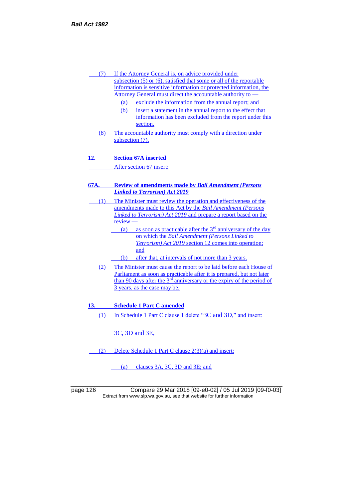| (7)        | If the Attorney General is, on advice provided under                           |
|------------|--------------------------------------------------------------------------------|
|            | subsection $(5)$ or $(6)$ , satisfied that some or all of the reportable       |
|            | information is sensitive information or protected information, the             |
|            | Attorney General must direct the accountable authority to -                    |
|            | exclude the information from the annual report; and<br>(a)                     |
|            | insert a statement in the annual report to the effect that<br>(b)              |
|            | information has been excluded from the report under this                       |
|            | section.                                                                       |
| (8)        | The accountable authority must comply with a direction under                   |
|            | subsection (7).                                                                |
| <u>12.</u> | <b>Section 67A inserted</b>                                                    |
|            | After section 67 insert:                                                       |
|            |                                                                                |
| 67A.       | <b>Review of amendments made by Bail Amendment (Persons</b>                    |
|            | <b>Linked to Terrorism) Act 2019</b>                                           |
| (1)        | The Minister must review the operation and effectiveness of the                |
|            | amendments made to this Act by the Bail Amendment (Persons                     |
|            | Linked to Terrorism) Act 2019 and prepare a report based on the                |
|            | $review -$                                                                     |
|            | as soon as practicable after the 3 <sup>rd</sup> anniversary of the day<br>(a) |
|            | on which the Bail Amendment (Persons Linked to                                 |
|            | Terrorism) Act 2019 section 12 comes into operation;                           |
|            | and                                                                            |
|            | after that, at intervals of not more than 3 years.<br>(b)                      |
| (2)        | The Minister must cause the report to be laid before each House of             |
|            | Parliament as soon as practicable after it is prepared, but not later          |
|            | than 90 days after the $3rd$ anniversary or the expiry of the period of        |
|            | 3 years, as the case may be.                                                   |
| 13.        | <b>Schedule 1 Part C amended</b>                                               |
| (1)        | In Schedule 1 Part C clause 1 delete "3C and 3D," and insert:                  |
|            | 3C, 3D and 3E,                                                                 |
|            |                                                                                |
| (2)        | Delete Schedule 1 Part C clause 2(3)(a) and insert:                            |
|            |                                                                                |
|            | clauses 3A, 3C, 3D and 3E; and<br>(a)                                          |

page 126 Compare 29 Mar 2018 [09-e0-02] / 05 Jul 2019 [09-f0-03] Extract from www.slp.wa.gov.au, see that website for further information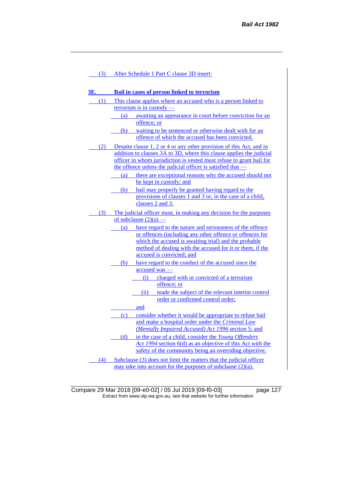| 3E.<br><b>Bail in cases of person linked to terrorism</b><br>This clause applies where an accused who is a person linked to<br>(1)<br>$\frac{1}{2}$ terrorism is in custody -<br>(a) awaiting an appearance in court before conviction for an<br>offence; or<br>(b) waiting to be sentenced or otherwise dealt with for an<br>offence of which the accused has been convicted.<br>(2) Despite clause 1, 2 or 4 or any other provision of this Act, and in<br>addition to clauses 3A to 3D, where this clause applies the judicial<br>officer in whom jurisdiction is vested must refuse to grant bail for<br>the offence unless the judicial officer is satisfied that —<br>there are exceptional reasons why the accused should not<br>(a)<br>be kept in custody; and<br>bail may properly be granted having regard to the<br>(b)<br>provisions of clauses 1 and 3 or, in the case of a child,<br>clauses 2 and 3.<br>(3)<br>The judicial officer must, in making any decision for the purposes<br>of subclause $(2)(a)$ — |
|-----------------------------------------------------------------------------------------------------------------------------------------------------------------------------------------------------------------------------------------------------------------------------------------------------------------------------------------------------------------------------------------------------------------------------------------------------------------------------------------------------------------------------------------------------------------------------------------------------------------------------------------------------------------------------------------------------------------------------------------------------------------------------------------------------------------------------------------------------------------------------------------------------------------------------------------------------------------------------------------------------------------------------|
|                                                                                                                                                                                                                                                                                                                                                                                                                                                                                                                                                                                                                                                                                                                                                                                                                                                                                                                                                                                                                             |
|                                                                                                                                                                                                                                                                                                                                                                                                                                                                                                                                                                                                                                                                                                                                                                                                                                                                                                                                                                                                                             |
|                                                                                                                                                                                                                                                                                                                                                                                                                                                                                                                                                                                                                                                                                                                                                                                                                                                                                                                                                                                                                             |
|                                                                                                                                                                                                                                                                                                                                                                                                                                                                                                                                                                                                                                                                                                                                                                                                                                                                                                                                                                                                                             |
|                                                                                                                                                                                                                                                                                                                                                                                                                                                                                                                                                                                                                                                                                                                                                                                                                                                                                                                                                                                                                             |
|                                                                                                                                                                                                                                                                                                                                                                                                                                                                                                                                                                                                                                                                                                                                                                                                                                                                                                                                                                                                                             |
|                                                                                                                                                                                                                                                                                                                                                                                                                                                                                                                                                                                                                                                                                                                                                                                                                                                                                                                                                                                                                             |
|                                                                                                                                                                                                                                                                                                                                                                                                                                                                                                                                                                                                                                                                                                                                                                                                                                                                                                                                                                                                                             |
|                                                                                                                                                                                                                                                                                                                                                                                                                                                                                                                                                                                                                                                                                                                                                                                                                                                                                                                                                                                                                             |
|                                                                                                                                                                                                                                                                                                                                                                                                                                                                                                                                                                                                                                                                                                                                                                                                                                                                                                                                                                                                                             |
|                                                                                                                                                                                                                                                                                                                                                                                                                                                                                                                                                                                                                                                                                                                                                                                                                                                                                                                                                                                                                             |
|                                                                                                                                                                                                                                                                                                                                                                                                                                                                                                                                                                                                                                                                                                                                                                                                                                                                                                                                                                                                                             |
|                                                                                                                                                                                                                                                                                                                                                                                                                                                                                                                                                                                                                                                                                                                                                                                                                                                                                                                                                                                                                             |
|                                                                                                                                                                                                                                                                                                                                                                                                                                                                                                                                                                                                                                                                                                                                                                                                                                                                                                                                                                                                                             |
|                                                                                                                                                                                                                                                                                                                                                                                                                                                                                                                                                                                                                                                                                                                                                                                                                                                                                                                                                                                                                             |
|                                                                                                                                                                                                                                                                                                                                                                                                                                                                                                                                                                                                                                                                                                                                                                                                                                                                                                                                                                                                                             |
|                                                                                                                                                                                                                                                                                                                                                                                                                                                                                                                                                                                                                                                                                                                                                                                                                                                                                                                                                                                                                             |
|                                                                                                                                                                                                                                                                                                                                                                                                                                                                                                                                                                                                                                                                                                                                                                                                                                                                                                                                                                                                                             |
|                                                                                                                                                                                                                                                                                                                                                                                                                                                                                                                                                                                                                                                                                                                                                                                                                                                                                                                                                                                                                             |
| have regard to the nature and seriousness of the offence<br>(a)                                                                                                                                                                                                                                                                                                                                                                                                                                                                                                                                                                                                                                                                                                                                                                                                                                                                                                                                                             |
| or offences (including any other offence or offences for                                                                                                                                                                                                                                                                                                                                                                                                                                                                                                                                                                                                                                                                                                                                                                                                                                                                                                                                                                    |
| which the accused is awaiting trial) and the probable                                                                                                                                                                                                                                                                                                                                                                                                                                                                                                                                                                                                                                                                                                                                                                                                                                                                                                                                                                       |
| method of dealing with the accused for it or them, if the                                                                                                                                                                                                                                                                                                                                                                                                                                                                                                                                                                                                                                                                                                                                                                                                                                                                                                                                                                   |
| accused is convicted; and                                                                                                                                                                                                                                                                                                                                                                                                                                                                                                                                                                                                                                                                                                                                                                                                                                                                                                                                                                                                   |
| (b) have regard to the conduct of the accused since the                                                                                                                                                                                                                                                                                                                                                                                                                                                                                                                                                                                                                                                                                                                                                                                                                                                                                                                                                                     |
| $accused$ was —                                                                                                                                                                                                                                                                                                                                                                                                                                                                                                                                                                                                                                                                                                                                                                                                                                                                                                                                                                                                             |
| charged with or convicted of a terrorism<br>(i)<br>offence; or                                                                                                                                                                                                                                                                                                                                                                                                                                                                                                                                                                                                                                                                                                                                                                                                                                                                                                                                                              |
| made the subject of the relevant interim control<br>(ii)                                                                                                                                                                                                                                                                                                                                                                                                                                                                                                                                                                                                                                                                                                                                                                                                                                                                                                                                                                    |
| order or confirmed control order;                                                                                                                                                                                                                                                                                                                                                                                                                                                                                                                                                                                                                                                                                                                                                                                                                                                                                                                                                                                           |
| and                                                                                                                                                                                                                                                                                                                                                                                                                                                                                                                                                                                                                                                                                                                                                                                                                                                                                                                                                                                                                         |
| $\left( \text{c} \right)$<br>consider whether it would be appropriate to refuse bail                                                                                                                                                                                                                                                                                                                                                                                                                                                                                                                                                                                                                                                                                                                                                                                                                                                                                                                                        |
| and make a hospital order under the Criminal Law                                                                                                                                                                                                                                                                                                                                                                                                                                                                                                                                                                                                                                                                                                                                                                                                                                                                                                                                                                            |
| (Mentally Impaired Accused) Act 1996 section 5; and                                                                                                                                                                                                                                                                                                                                                                                                                                                                                                                                                                                                                                                                                                                                                                                                                                                                                                                                                                         |
| in the case of a child, consider the Young Offenders<br>(d)                                                                                                                                                                                                                                                                                                                                                                                                                                                                                                                                                                                                                                                                                                                                                                                                                                                                                                                                                                 |
| Act 1994 section 6(d) as an objective of this Act with the                                                                                                                                                                                                                                                                                                                                                                                                                                                                                                                                                                                                                                                                                                                                                                                                                                                                                                                                                                  |
| safety of the community being an overriding objective.                                                                                                                                                                                                                                                                                                                                                                                                                                                                                                                                                                                                                                                                                                                                                                                                                                                                                                                                                                      |
| Subclause (3) does not limit the matters that the judicial officer<br>(4)                                                                                                                                                                                                                                                                                                                                                                                                                                                                                                                                                                                                                                                                                                                                                                                                                                                                                                                                                   |
| may take into account for the purposes of subclause $(2)(a)$ .                                                                                                                                                                                                                                                                                                                                                                                                                                                                                                                                                                                                                                                                                                                                                                                                                                                                                                                                                              |

Compare 29 Mar 2018 [09-e0-02] / 05 Jul 2019 [09-f0-03] page 127 Extract from www.slp.wa.gov.au, see that website for further information